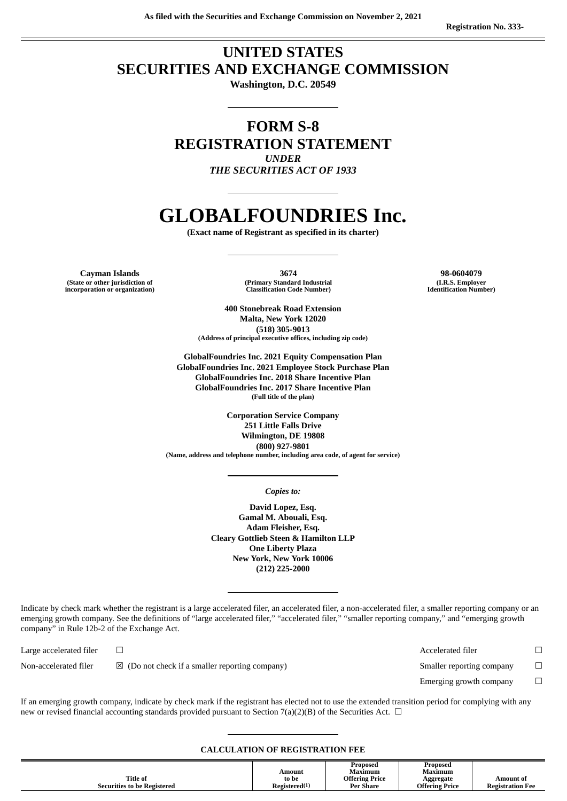# **UNITED STATES SECURITIES AND EXCHANGE COMMISSION**

**Washington, D.C. 20549**

# **FORM S-8 REGISTRATION STATEMENT** *UNDER*

*THE SECURITIES ACT OF 1933*

# **GLOBALFOUNDRIES Inc.**

**(Exact name of Registrant as specified in its charter)**

**Cayman Islands 3674 98-0604079 (State or other jurisdiction of incorporation or organization)**

**(Primary Standard Industrial Classification Code Number)**

**(I.R.S. Employer Identification Number)**

**400 Stonebreak Road Extension Malta, New York 12020 (518) 305-9013 (Address of principal executive offices, including zip code)**

**GlobalFoundries Inc. 2021 Equity Compensation Plan GlobalFoundries Inc. 2021 Employee Stock Purchase Plan GlobalFoundries Inc. 2018 Share Incentive Plan GlobalFoundries Inc. 2017 Share Incentive Plan (Full title of the plan)**

**Corporation Service Company 251 Little Falls Drive Wilmington, DE 19808 (800) 927-9801 (Name, address and telephone number, including area code, of agent for service)**

*Copies to:*

**David Lopez, Esq. Gamal M. Abouali, Esq. Adam Fleisher, Esq. Cleary Gottlieb Steen & Hamilton LLP One Liberty Plaza New York, New York 10006 (212) 225-2000**

Indicate by check mark whether the registrant is a large accelerated filer, an accelerated filer, a non-accelerated filer, a smaller reporting company or an emerging growth company. See the definitions of "large accelerated filer," "accelerated filer," "smaller reporting company," and "emerging growth company" in Rule 12b-2 of the Exchange Act.

| Large accelerated filer |                                                           | Accelerated filer         |  |
|-------------------------|-----------------------------------------------------------|---------------------------|--|
| Non-accelerated filer   | $\boxtimes$ (Do not check if a smaller reporting company) | Smaller reporting company |  |
|                         |                                                           | Emerging growth company   |  |

If an emerging growth company, indicate by check mark if the registrant has elected not to use the extended transition period for complying with any new or revised financial accounting standards provided pursuant to Section 7(a)(2)(B) of the Securities Act.  $\Box$ 

**CALCULATION OF REGISTRATION FEE**

|                                    |               | Proposed              | Proposed              |                         |
|------------------------------------|---------------|-----------------------|-----------------------|-------------------------|
|                                    | Amount        | Maximum               | <b>Maximum</b>        |                         |
| <b>Title of</b>                    | to be         | <b>Offering Price</b> | Aggregate             | Amount of               |
| <b>Securities to be Registered</b> | Registered(1) | Per Share             | <b>Offering Price</b> | <b>Registration Fee</b> |
|                                    |               |                       |                       |                         |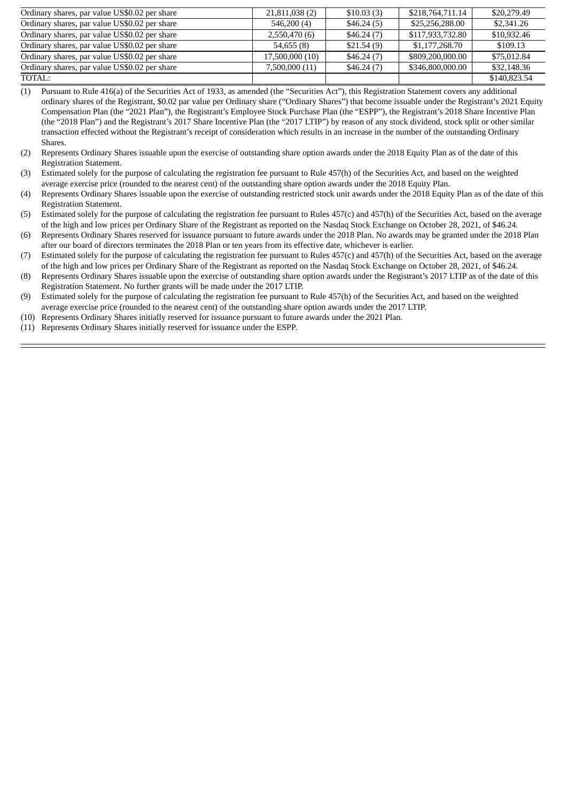| Ordinary shares, par value US\$0.02 per share | 21,811,038 (2)  | \$10.03(3) | \$218,764,711.14 | \$20,279.49  |
|-----------------------------------------------|-----------------|------------|------------------|--------------|
| Ordinary shares, par value US\$0.02 per share | 546,200 (4)     | \$46.24(5) | \$25,256,288.00  | \$2,341.26   |
| Ordinary shares, par value US\$0.02 per share | 2,550,470(6)    | \$46.24(7) | \$117,933,732.80 | \$10,932.46  |
| Ordinary shares, par value US\$0.02 per share | 54,655(8)       | \$21.54(9) | \$1,177,268.70   | \$109.13     |
| Ordinary shares, par value US\$0.02 per share | 17,500,000 (10) | \$46.24(7) | \$809,200,000,00 | \$75,012.84  |
| Ordinary shares, par value US\$0.02 per share | 7,500,000 (11)  | \$46.24(7) | \$346,800,000.00 | \$32,148.36  |
| TOTAL:                                        |                 |            |                  | \$140,823.54 |

- (1) Pursuant to Rule 416(a) of the Securities Act of 1933, as amended (the "Securities Act"), this Registration Statement covers any additional ordinary shares of the Registrant, \$0.02 par value per Ordinary share ("Ordinary Shares") that become issuable under the Registrant's 2021 Equity Compensation Plan (the "2021 Plan"), the Registrant's Employee Stock Purchase Plan (the "ESPP"), the Registrant's 2018 Share Incentive Plan (the "2018 Plan") and the Registrant's 2017 Share Incentive Plan (the "2017 LTIP") by reason of any stock dividend, stock split or other similar transaction effected without the Registrant's receipt of consideration which results in an increase in the number of the outstanding Ordinary Shares.
- (2) Represents Ordinary Shares issuable upon the exercise of outstanding share option awards under the 2018 Equity Plan as of the date of this Registration Statement.
- (3) Estimated solely for the purpose of calculating the registration fee pursuant to Rule 457(h) of the Securities Act, and based on the weighted average exercise price (rounded to the nearest cent) of the outstanding share option awards under the 2018 Equity Plan.
- (4) Represents Ordinary Shares issuable upon the exercise of outstanding restricted stock unit awards under the 2018 Equity Plan as of the date of this Registration Statement.
- (5) Estimated solely for the purpose of calculating the registration fee pursuant to Rules 457(c) and 457(h) of the Securities Act, based on the average of the high and low prices per Ordinary Share of the Registrant as reported on the Nasdaq Stock Exchange on October 28, 2021, of \$46.24.
- (6) Represents Ordinary Shares reserved for issuance pursuant to future awards under the 2018 Plan. No awards may be granted under the 2018 Plan after our board of directors terminates the 2018 Plan or ten years from its effective date, whichever is earlier.
- (7) Estimated solely for the purpose of calculating the registration fee pursuant to Rules 457(c) and 457(h) of the Securities Act, based on the average of the high and low prices per Ordinary Share of the Registrant as reported on the Nasdaq Stock Exchange on October 28, 2021, of \$46.24.
- (8) Represents Ordinary Shares issuable upon the exercise of outstanding share option awards under the Registrant's 2017 LTIP as of the date of this Registration Statement. No further grants will be made under the 2017 LTIP.
- (9) Estimated solely for the purpose of calculating the registration fee pursuant to Rule 457(h) of the Securities Act, and based on the weighted average exercise price (rounded to the nearest cent) of the outstanding share option awards under the 2017 LTIP.
- (10) Represents Ordinary Shares initially reserved for issuance pursuant to future awards under the 2021 Plan.
- (11) Represents Ordinary Shares initially reserved for issuance under the ESPP.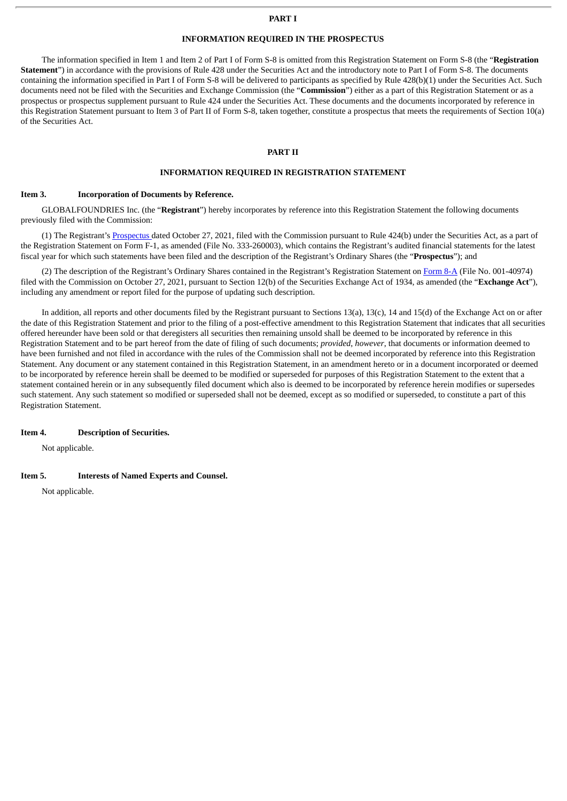#### **PART I**

#### **INFORMATION REQUIRED IN THE PROSPECTUS**

The information specified in Item 1 and Item 2 of Part I of Form S-8 is omitted from this Registration Statement on Form S-8 (the "**Registration Statement**") in accordance with the provisions of Rule 428 under the Securities Act and the introductory note to Part I of Form S-8. The documents containing the information specified in Part I of Form S-8 will be delivered to participants as specified by Rule 428(b)(1) under the Securities Act. Such documents need not be filed with the Securities and Exchange Commission (the "**Commission**") either as a part of this Registration Statement or as a prospectus or prospectus supplement pursuant to Rule 424 under the Securities Act. These documents and the documents incorporated by reference in this Registration Statement pursuant to Item 3 of Part II of Form S-8, taken together, constitute a prospectus that meets the requirements of Section 10(a) of the Securities Act.

#### **PART II**

#### **INFORMATION REQUIRED IN REGISTRATION STATEMENT**

#### **Item 3. Incorporation of Documents by Reference.**

GLOBALFOUNDRIES Inc. (the "**Registrant**") hereby incorporates by reference into this Registration Statement the following documents previously filed with the Commission:

(1) The Registrant's [Prospectus](http://www.sec.gov/Archives/edgar/data/1709048/000119312521313344/d192411d424b4.htm) dated October 27, 2021, filed with the Commission pursuant to Rule 424(b) under the Securities Act, as a part of the Registration Statement on Form F-1, as amended (File No. 333-260003), which contains the Registrant's audited financial statements for the latest fiscal year for which such statements have been filed and the description of the Registrant's Ordinary Shares (the "**Prospectus**"); and

(2) The description of the Registrant's Ordinary Shares contained in the Registrant's Registration Statement on [Form](http://www.sec.gov/Archives/edgar/data/1709048/000119312521308789/d199778d8a12b.htm) 8-A (File No. 001-40974) filed with the Commission on October 27, 2021, pursuant to Section 12(b) of the Securities Exchange Act of 1934, as amended (the "**Exchange Act**"), including any amendment or report filed for the purpose of updating such description.

In addition, all reports and other documents filed by the Registrant pursuant to Sections 13(a), 13(c), 14 and 15(d) of the Exchange Act on or after the date of this Registration Statement and prior to the filing of a post-effective amendment to this Registration Statement that indicates that all securities offered hereunder have been sold or that deregisters all securities then remaining unsold shall be deemed to be incorporated by reference in this Registration Statement and to be part hereof from the date of filing of such documents; *provided*, *however*, that documents or information deemed to have been furnished and not filed in accordance with the rules of the Commission shall not be deemed incorporated by reference into this Registration Statement. Any document or any statement contained in this Registration Statement, in an amendment hereto or in a document incorporated or deemed to be incorporated by reference herein shall be deemed to be modified or superseded for purposes of this Registration Statement to the extent that a statement contained herein or in any subsequently filed document which also is deemed to be incorporated by reference herein modifies or supersedes such statement. Any such statement so modified or superseded shall not be deemed, except as so modified or superseded, to constitute a part of this Registration Statement.

#### **Item 4. Description of Securities.**

Not applicable.

#### **Item 5. Interests of Named Experts and Counsel.**

Not applicable.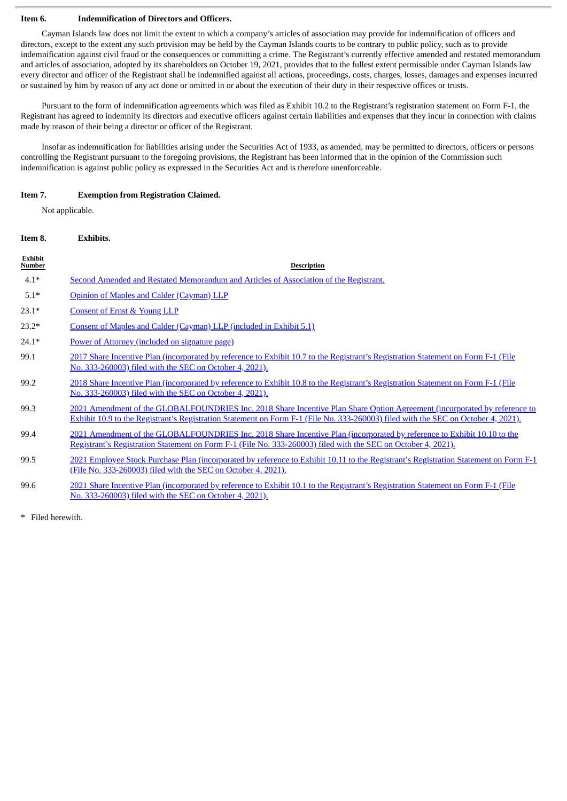#### **Item 6. Indemnification of Directors and Officers.**

Cayman Islands law does not limit the extent to which a company's articles of association may provide for indemnification of officers and directors, except to the extent any such provision may be held by the Cayman Islands courts to be contrary to public policy, such as to provide indemnification against civil fraud or the consequences or committing a crime. The Registrant's currently effective amended and restated memorandum and articles of association, adopted by its shareholders on October 19, 2021, provides that to the fullest extent permissible under Cayman Islands law every director and officer of the Registrant shall be indemnified against all actions, proceedings, costs, charges, losses, damages and expenses incurred or sustained by him by reason of any act done or omitted in or about the execution of their duty in their respective offices or trusts.

Pursuant to the form of indemnification agreements which was filed as Exhibit 10.2 to the Registrant's registration statement on Form F-1, the Registrant has agreed to indemnify its directors and executive officers against certain liabilities and expenses that they incur in connection with claims made by reason of their being a director or officer of the Registrant.

Insofar as indemnification for liabilities arising under the Securities Act of 1933, as amended, may be permitted to directors, officers or persons controlling the Registrant pursuant to the foregoing provisions, the Registrant has been informed that in the opinion of the Commission such indemnification is against public policy as expressed in the Securities Act and is therefore unenforceable.

#### **Item 7. Exemption from Registration Claimed.**

Not applicable.

#### **Item 8. Exhibits.**

| <b>Exhibit</b><br>Number | <b>Description</b>                                                                                                                                                                                                                                             |
|--------------------------|----------------------------------------------------------------------------------------------------------------------------------------------------------------------------------------------------------------------------------------------------------------|
| $4.1*$                   | Second Amended and Restated Memorandum and Articles of Association of the Registrant.                                                                                                                                                                          |
| $5.1*$                   | <b>Opinion of Maples and Calder (Cayman) LLP</b>                                                                                                                                                                                                               |
| $23.1*$                  | <b>Consent of Ernst &amp; Young LLP</b>                                                                                                                                                                                                                        |
| $23.2*$                  | Consent of Maples and Calder (Cayman) LLP (included in Exhibit 5.1)                                                                                                                                                                                            |
| $24.1*$                  | Power of Attorney (included on signature page)                                                                                                                                                                                                                 |
| 99.1                     | 2017 Share Incentive Plan (incorporated by reference to Exhibit 10.7 to the Registrant's Registration Statement on Form F-1 (File<br>No. 333-260003) filed with the SEC on October 4, 2021).                                                                   |
| 99.2                     | 2018 Share Incentive Plan (incorporated by reference to Exhibit 10.8 to the Registrant's Registration Statement on Form F-1 (File<br>No. 333-260003) filed with the SEC on October 4, 2021).                                                                   |
| 99.3                     | 2021 Amendment of the GLOBALFOUNDRIES Inc. 2018 Share Incentive Plan Share Option Agreement (incorporated by reference to<br>Exhibit 10.9 to the Registrant's Registration Statement on Form F-1 (File No. 333-260003) filed with the SEC on October 4, 2021). |
| 99.4                     | 2021 Amendment of the GLOBALFOUNDRIES Inc. 2018 Share Incentive Plan (incorporated by reference to Exhibit 10.10 to the<br>Registrant's Registration Statement on Form F-1 (File No. 333-260003) filed with the SEC on October 4, 2021).                       |
| 99.5                     | 2021 Employee Stock Purchase Plan (incorporated by reference to Exhibit 10.11 to the Registrant's Registration Statement on Form F-1<br>(File No. 333-260003) filed with the SEC on October 4, 2021).                                                          |
| 99.6                     | 2021 Share Incentive Plan (incorporated by reference to Exhibit 10.1 to the Registrant's Registration Statement on Form F-1 (File<br>No. 333-260003) filed with the SEC on October 4, 2021).                                                                   |

\* Filed herewith.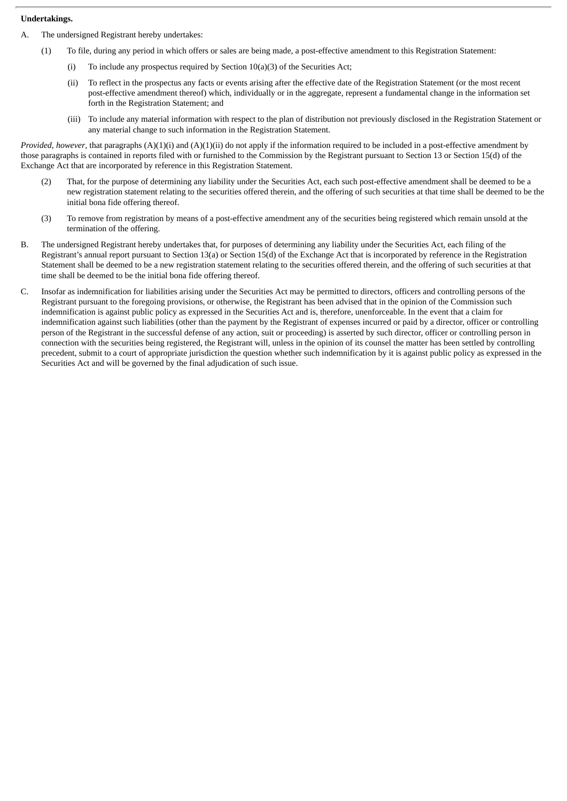#### **Undertakings.**

- A. The undersigned Registrant hereby undertakes:
	- (1) To file, during any period in which offers or sales are being made, a post-effective amendment to this Registration Statement:
		- (i) To include any prospectus required by Section 10(a)(3) of the Securities Act;
		- (ii) To reflect in the prospectus any facts or events arising after the effective date of the Registration Statement (or the most recent post-effective amendment thereof) which, individually or in the aggregate, represent a fundamental change in the information set forth in the Registration Statement; and
		- (iii) To include any material information with respect to the plan of distribution not previously disclosed in the Registration Statement or any material change to such information in the Registration Statement.

*Provided*, *however*, that paragraphs (A)(1)(i) and (A)(1)(ii) do not apply if the information required to be included in a post-effective amendment by those paragraphs is contained in reports filed with or furnished to the Commission by the Registrant pursuant to Section 13 or Section 15(d) of the Exchange Act that are incorporated by reference in this Registration Statement.

- (2) That, for the purpose of determining any liability under the Securities Act, each such post-effective amendment shall be deemed to be a new registration statement relating to the securities offered therein, and the offering of such securities at that time shall be deemed to be the initial bona fide offering thereof.
- (3) To remove from registration by means of a post-effective amendment any of the securities being registered which remain unsold at the termination of the offering.
- B. The undersigned Registrant hereby undertakes that, for purposes of determining any liability under the Securities Act, each filing of the Registrant's annual report pursuant to Section 13(a) or Section 15(d) of the Exchange Act that is incorporated by reference in the Registration Statement shall be deemed to be a new registration statement relating to the securities offered therein, and the offering of such securities at that time shall be deemed to be the initial bona fide offering thereof.
- C. Insofar as indemnification for liabilities arising under the Securities Act may be permitted to directors, officers and controlling persons of the Registrant pursuant to the foregoing provisions, or otherwise, the Registrant has been advised that in the opinion of the Commission such indemnification is against public policy as expressed in the Securities Act and is, therefore, unenforceable. In the event that a claim for indemnification against such liabilities (other than the payment by the Registrant of expenses incurred or paid by a director, officer or controlling person of the Registrant in the successful defense of any action, suit or proceeding) is asserted by such director, officer or controlling person in connection with the securities being registered, the Registrant will, unless in the opinion of its counsel the matter has been settled by controlling precedent, submit to a court of appropriate jurisdiction the question whether such indemnification by it is against public policy as expressed in the Securities Act and will be governed by the final adjudication of such issue.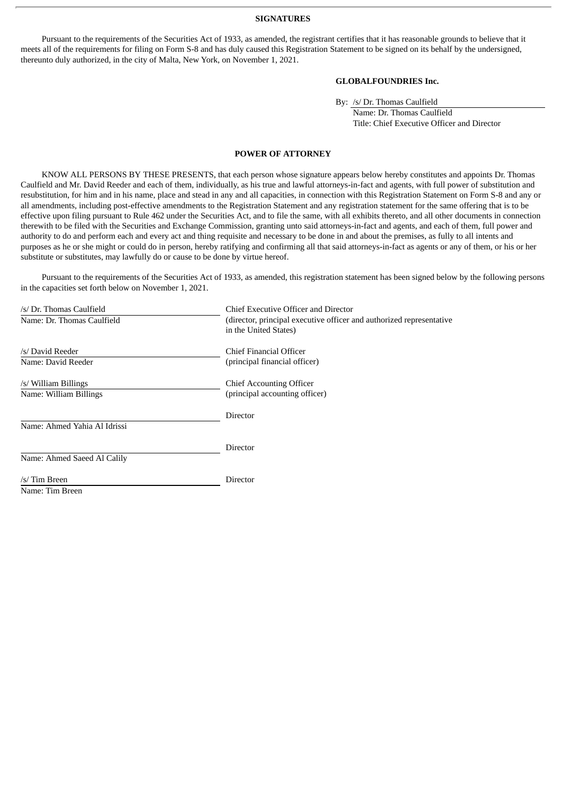#### **SIGNATURES**

<span id="page-5-0"></span>Pursuant to the requirements of the Securities Act of 1933, as amended, the registrant certifies that it has reasonable grounds to believe that it meets all of the requirements for filing on Form S-8 and has duly caused this Registration Statement to be signed on its behalf by the undersigned, thereunto duly authorized, in the city of Malta, New York, on November 1, 2021.

# **GLOBALFOUNDRIES Inc.**

By: /s/ Dr. Thomas Caulfield

Name: Dr. Thomas Caulfield Title: Chief Executive Officer and Director

#### **POWER OF ATTORNEY**

KNOW ALL PERSONS BY THESE PRESENTS, that each person whose signature appears below hereby constitutes and appoints Dr. Thomas Caulfield and Mr. David Reeder and each of them, individually, as his true and lawful attorneys-in-fact and agents, with full power of substitution and resubstitution, for him and in his name, place and stead in any and all capacities, in connection with this Registration Statement on Form S-8 and any or all amendments, including post-effective amendments to the Registration Statement and any registration statement for the same offering that is to be effective upon filing pursuant to Rule 462 under the Securities Act, and to file the same, with all exhibits thereto, and all other documents in connection therewith to be filed with the Securities and Exchange Commission, granting unto said attorneys-in-fact and agents, and each of them, full power and authority to do and perform each and every act and thing requisite and necessary to be done in and about the premises, as fully to all intents and purposes as he or she might or could do in person, hereby ratifying and confirming all that said attorneys-in-fact as agents or any of them, or his or her substitute or substitutes, may lawfully do or cause to be done by virtue hereof.

Pursuant to the requirements of the Securities Act of 1933, as amended, this registration statement has been signed below by the following persons in the capacities set forth below on November 1, 2021.

| /s/ Dr. Thomas Caulfield     | Chief Executive Officer and Director                                                          |
|------------------------------|-----------------------------------------------------------------------------------------------|
| Name: Dr. Thomas Caulfield   | (director, principal executive officer and authorized representative<br>in the United States) |
| /s/ David Reeder             | Chief Financial Officer                                                                       |
| Name: David Reeder           | (principal financial officer)                                                                 |
| /s/ William Billings         | <b>Chief Accounting Officer</b>                                                               |
| Name: William Billings       | (principal accounting officer)                                                                |
|                              | Director                                                                                      |
| Name: Ahmed Yahia Al Idrissi |                                                                                               |
|                              | Director                                                                                      |
| Name: Ahmed Saeed Al Calily  |                                                                                               |
| /s/ Tim Breen                | Director                                                                                      |
| Name: Tim Breen              |                                                                                               |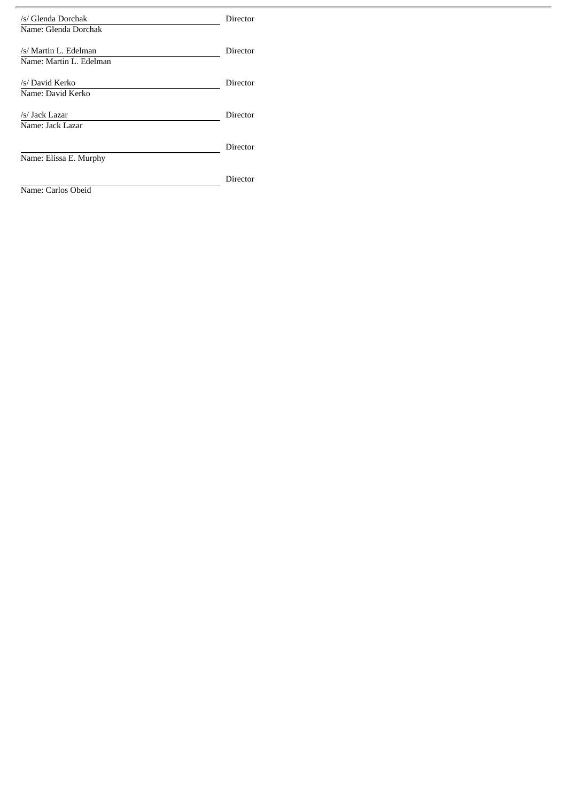| /s/ Glenda Dorchak      | Director        |
|-------------------------|-----------------|
| Name: Glenda Dorchak    |                 |
| /s/ Martin L. Edelman   | <b>Director</b> |
| Name: Martin L. Edelman |                 |
| /s/ David Kerko         | Director        |
| Name: David Kerko       |                 |
| /s/ Jack Lazar          | Director        |
| Name: Jack Lazar        |                 |
|                         | Director        |
| Name: Elissa E. Murphy  |                 |
|                         | Director        |
| Name: Carlos Obeid      |                 |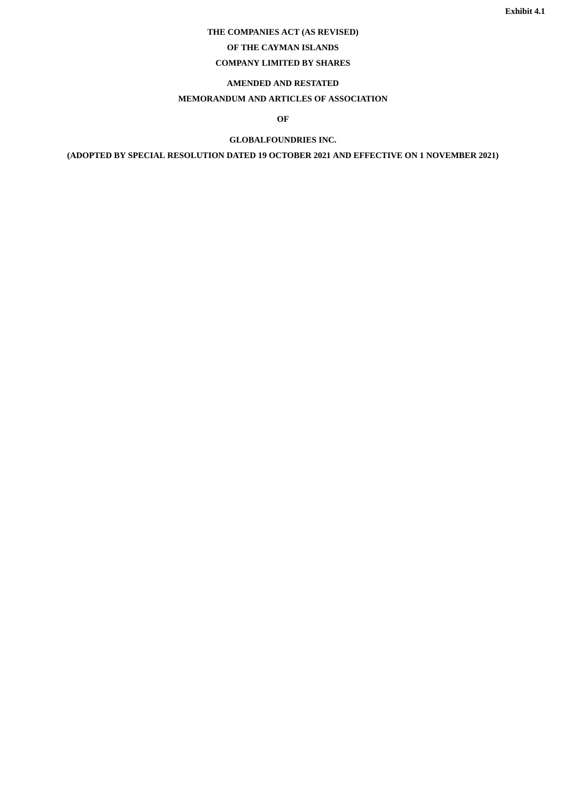# **THE COMPANIES ACT (AS REVISED)**

# **OF THE CAYMAN ISLANDS**

# **COMPANY LIMITED BY SHARES**

# **AMENDED AND RESTATED**

# **MEMORANDUM AND ARTICLES OF ASSOCIATION**

**OF**

# **GLOBALFOUNDRIES INC.**

<span id="page-7-0"></span>**(ADOPTED BY SPECIAL RESOLUTION DATED 19 OCTOBER 2021 AND EFFECTIVE ON 1 NOVEMBER 2021)**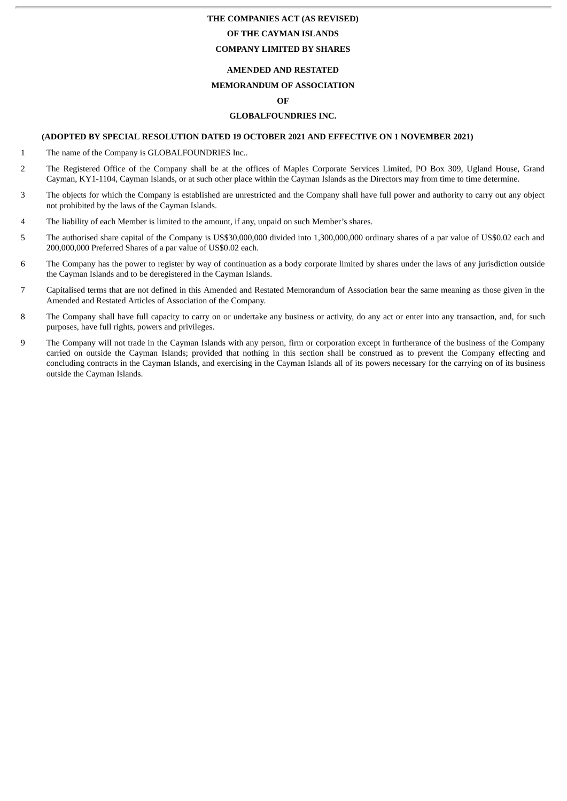# **THE COMPANIES ACT (AS REVISED)**

**OF THE CAYMAN ISLANDS**

# **COMPANY LIMITED BY SHARES**

# **AMENDED AND RESTATED**

#### **MEMORANDUM OF ASSOCIATION**

#### **OF**

#### **GLOBALFOUNDRIES INC.**

## **(ADOPTED BY SPECIAL RESOLUTION DATED 19 OCTOBER 2021 AND EFFECTIVE ON 1 NOVEMBER 2021)**

1 The name of the Company is GLOBALFOUNDRIES Inc..

- 2 The Registered Office of the Company shall be at the offices of Maples Corporate Services Limited, PO Box 309, Ugland House, Grand Cayman, KY1-1104, Cayman Islands, or at such other place within the Cayman Islands as the Directors may from time to time determine.
- 3 The objects for which the Company is established are unrestricted and the Company shall have full power and authority to carry out any object not prohibited by the laws of the Cayman Islands.
- 4 The liability of each Member is limited to the amount, if any, unpaid on such Member's shares.
- 5 The authorised share capital of the Company is US\$30,000,000 divided into 1,300,000,000 ordinary shares of a par value of US\$0.02 each and 200,000,000 Preferred Shares of a par value of US\$0.02 each.
- 6 The Company has the power to register by way of continuation as a body corporate limited by shares under the laws of any jurisdiction outside the Cayman Islands and to be deregistered in the Cayman Islands.
- 7 Capitalised terms that are not defined in this Amended and Restated Memorandum of Association bear the same meaning as those given in the Amended and Restated Articles of Association of the Company.
- 8 The Company shall have full capacity to carry on or undertake any business or activity, do any act or enter into any transaction, and, for such purposes, have full rights, powers and privileges.
- 9 The Company will not trade in the Cayman Islands with any person, firm or corporation except in furtherance of the business of the Company carried on outside the Cayman Islands; provided that nothing in this section shall be construed as to prevent the Company effecting and concluding contracts in the Cayman Islands, and exercising in the Cayman Islands all of its powers necessary for the carrying on of its business outside the Cayman Islands.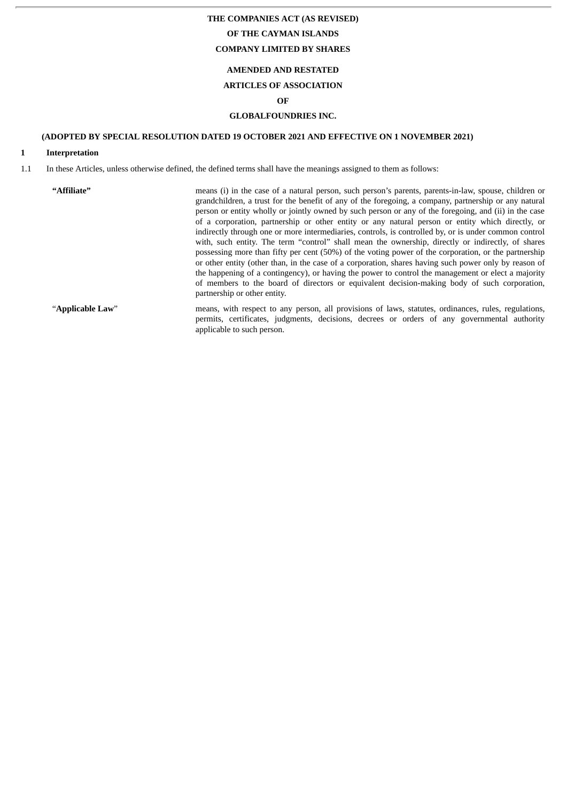# **THE COMPANIES ACT (AS REVISED) OF THE CAYMAN ISLANDS COMPANY LIMITED BY SHARES**

# **AMENDED AND RESTATED**

# **ARTICLES OF ASSOCIATION**

# **OF**

# **GLOBALFOUNDRIES INC.**

# **(ADOPTED BY SPECIAL RESOLUTION DATED 19 OCTOBER 2021 AND EFFECTIVE ON 1 NOVEMBER 2021)**

# **1 Interpretation**

1.1 In these Articles, unless otherwise defined, the defined terms shall have the meanings assigned to them as follows:

| "Affiliate"      | means (i) in the case of a natural person, such person's parents, parents-in-law, spouse, children or<br>grandchildren, a trust for the benefit of any of the foregoing, a company, partnership or any natural<br>person or entity wholly or jointly owned by such person or any of the foregoing, and (ii) in the case<br>of a corporation, partnership or other entity or any natural person or entity which directly, or<br>indirectly through one or more intermediaries, controls, is controlled by, or is under common control<br>with, such entity. The term "control" shall mean the ownership, directly or indirectly, of shares<br>possessing more than fifty per cent (50%) of the voting power of the corporation, or the partnership<br>or other entity (other than, in the case of a corporation, shares having such power only by reason of<br>the happening of a contingency), or having the power to control the management or elect a majority<br>of members to the board of directors or equivalent decision-making body of such corporation,<br>partnership or other entity. |
|------------------|--------------------------------------------------------------------------------------------------------------------------------------------------------------------------------------------------------------------------------------------------------------------------------------------------------------------------------------------------------------------------------------------------------------------------------------------------------------------------------------------------------------------------------------------------------------------------------------------------------------------------------------------------------------------------------------------------------------------------------------------------------------------------------------------------------------------------------------------------------------------------------------------------------------------------------------------------------------------------------------------------------------------------------------------------------------------------------------------------|
| "Applicable Law" | means, with respect to any person, all provisions of laws, statutes, ordinances, rules, regulations,<br>permits, certificates, judgments, decisions, decrees or orders of any governmental authority<br>applicable to such person.                                                                                                                                                                                                                                                                                                                                                                                                                                                                                                                                                                                                                                                                                                                                                                                                                                                               |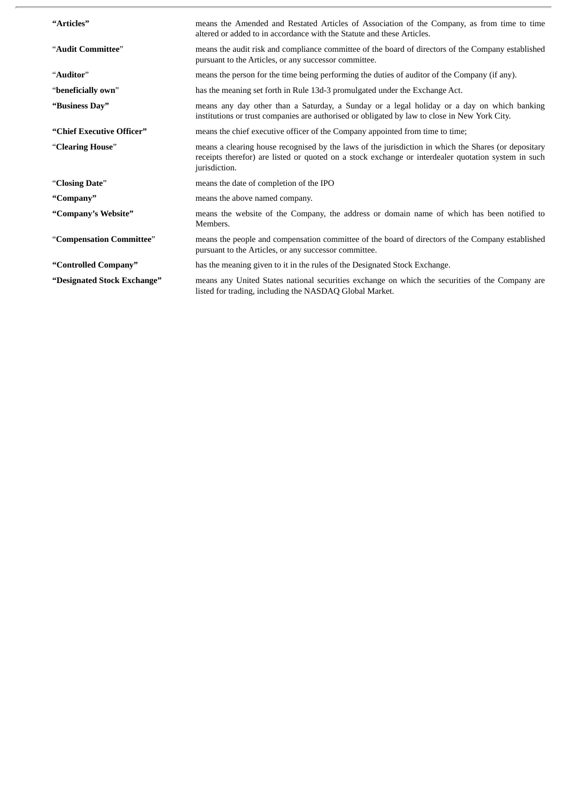| "Articles"                  | means the Amended and Restated Articles of Association of the Company, as from time to time<br>altered or added to in accordance with the Statute and these Articles.                                                        |
|-----------------------------|------------------------------------------------------------------------------------------------------------------------------------------------------------------------------------------------------------------------------|
| "Audit Committee"           | means the audit risk and compliance committee of the board of directors of the Company established<br>pursuant to the Articles, or any successor committee.                                                                  |
| "Auditor"                   | means the person for the time being performing the duties of auditor of the Company (if any).                                                                                                                                |
| "beneficially own"          | has the meaning set forth in Rule 13d-3 promulgated under the Exchange Act.                                                                                                                                                  |
| "Business Day"              | means any day other than a Saturday, a Sunday or a legal holiday or a day on which banking<br>institutions or trust companies are authorised or obligated by law to close in New York City.                                  |
| "Chief Executive Officer"   | means the chief executive officer of the Company appointed from time to time;                                                                                                                                                |
| "Clearing House"            | means a clearing house recognised by the laws of the jurisdiction in which the Shares (or depositary<br>receipts therefor) are listed or quoted on a stock exchange or interdealer quotation system in such<br>jurisdiction. |
| "Closing Date"              | means the date of completion of the IPO                                                                                                                                                                                      |
| "Company"                   | means the above named company.                                                                                                                                                                                               |
| "Company's Website"         | means the website of the Company, the address or domain name of which has been notified to<br>Members.                                                                                                                       |
| "Compensation Committee"    | means the people and compensation committee of the board of directors of the Company established<br>pursuant to the Articles, or any successor committee.                                                                    |
| "Controlled Company"        | has the meaning given to it in the rules of the Designated Stock Exchange.                                                                                                                                                   |
| "Designated Stock Exchange" | means any United States national securities exchange on which the securities of the Company are<br>listed for trading, including the NASDAQ Global Market.                                                                   |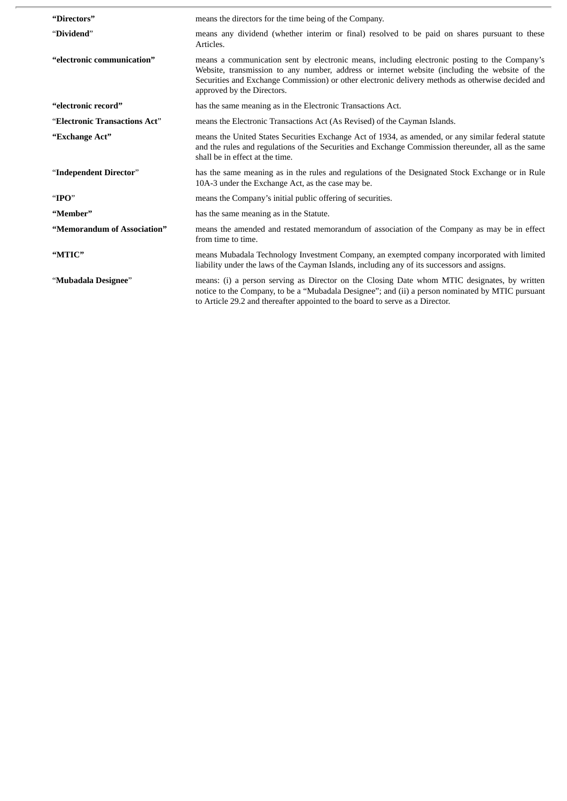| "Directors"                   | means the directors for the time being of the Company.                                                                                                                                                                                                                                                                             |
|-------------------------------|------------------------------------------------------------------------------------------------------------------------------------------------------------------------------------------------------------------------------------------------------------------------------------------------------------------------------------|
| "Dividend"                    | means any dividend (whether interim or final) resolved to be paid on shares pursuant to these<br>Articles.                                                                                                                                                                                                                         |
| "electronic communication"    | means a communication sent by electronic means, including electronic posting to the Company's<br>Website, transmission to any number, address or internet website (including the website of the<br>Securities and Exchange Commission) or other electronic delivery methods as otherwise decided and<br>approved by the Directors. |
| "electronic record"           | has the same meaning as in the Electronic Transactions Act.                                                                                                                                                                                                                                                                        |
| "Electronic Transactions Act" | means the Electronic Transactions Act (As Revised) of the Cayman Islands.                                                                                                                                                                                                                                                          |
| "Exchange Act"                | means the United States Securities Exchange Act of 1934, as amended, or any similar federal statute<br>and the rules and regulations of the Securities and Exchange Commission thereunder, all as the same<br>shall be in effect at the time.                                                                                      |
| "Independent Director"        | has the same meaning as in the rules and regulations of the Designated Stock Exchange or in Rule<br>10A-3 under the Exchange Act, as the case may be.                                                                                                                                                                              |
| " $IPO"$                      | means the Company's initial public offering of securities.                                                                                                                                                                                                                                                                         |
| "Member"                      | has the same meaning as in the Statute.                                                                                                                                                                                                                                                                                            |
| "Memorandum of Association"   | means the amended and restated memorandum of association of the Company as may be in effect<br>from time to time.                                                                                                                                                                                                                  |
| "MTIC"                        | means Mubadala Technology Investment Company, an exempted company incorporated with limited<br>liability under the laws of the Cayman Islands, including any of its successors and assigns.                                                                                                                                        |
| "Mubadala Designee"           | means: (i) a person serving as Director on the Closing Date whom MTIC designates, by written<br>notice to the Company, to be a "Mubadala Designee"; and (ii) a person nominated by MTIC pursuant<br>to Article 29.2 and thereafter appointed to the board to serve as a Director.                                                  |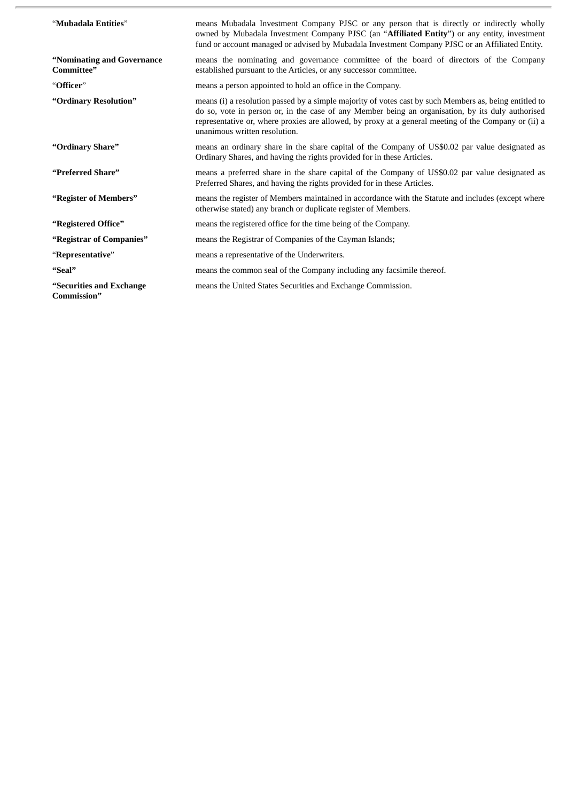| "Mubadala Entities"                      | means Mubadala Investment Company PJSC or any person that is directly or indirectly wholly<br>owned by Mubadala Investment Company PJSC (an "Affiliated Entity") or any entity, investment<br>fund or account managed or advised by Mubadala Investment Company PJSC or an Affiliated Entity.                                                        |
|------------------------------------------|------------------------------------------------------------------------------------------------------------------------------------------------------------------------------------------------------------------------------------------------------------------------------------------------------------------------------------------------------|
| "Nominating and Governance<br>Committee" | means the nominating and governance committee of the board of directors of the Company<br>established pursuant to the Articles, or any successor committee.                                                                                                                                                                                          |
| "Officer"                                | means a person appointed to hold an office in the Company.                                                                                                                                                                                                                                                                                           |
| "Ordinary Resolution"                    | means (i) a resolution passed by a simple majority of votes cast by such Members as, being entitled to<br>do so, vote in person or, in the case of any Member being an organisation, by its duly authorised<br>representative or, where proxies are allowed, by proxy at a general meeting of the Company or (ii) a<br>unanimous written resolution. |
| "Ordinary Share"                         | means an ordinary share in the share capital of the Company of US\$0.02 par value designated as<br>Ordinary Shares, and having the rights provided for in these Articles.                                                                                                                                                                            |
| "Preferred Share"                        | means a preferred share in the share capital of the Company of US\$0.02 par value designated as<br>Preferred Shares, and having the rights provided for in these Articles.                                                                                                                                                                           |
| "Register of Members"                    | means the register of Members maintained in accordance with the Statute and includes (except where<br>otherwise stated) any branch or duplicate register of Members.                                                                                                                                                                                 |
| "Registered Office"                      | means the registered office for the time being of the Company.                                                                                                                                                                                                                                                                                       |
| "Registrar of Companies"                 | means the Registrar of Companies of the Cayman Islands;                                                                                                                                                                                                                                                                                              |
| "Representative"                         | means a representative of the Underwriters.                                                                                                                                                                                                                                                                                                          |
| "Seal"                                   | means the common seal of the Company including any facsimile thereof.                                                                                                                                                                                                                                                                                |
| "Securities and Exchange<br>Commission"  | means the United States Securities and Exchange Commission.                                                                                                                                                                                                                                                                                          |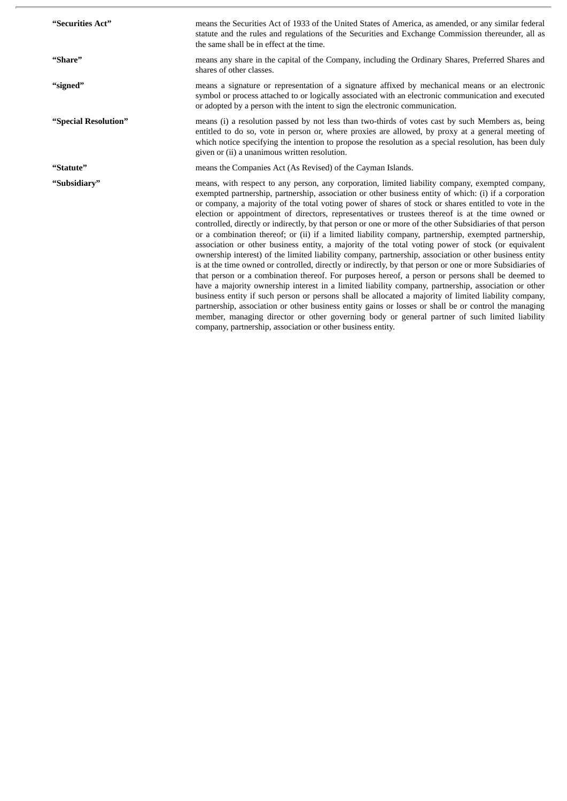| "Securities Act"     | means the Securities Act of 1933 of the United States of America, as amended, or any similar federal<br>statute and the rules and regulations of the Securities and Exchange Commission thereunder, all as<br>the same shall be in effect at the time.                                                                                                                                                                                                                                                                                                                                                                                                                                                                                                                                                                                                                                                                                                                                                                                                                                                                                                                                                                                                                                                                                                                                                                                                                                                                                                                       |
|----------------------|------------------------------------------------------------------------------------------------------------------------------------------------------------------------------------------------------------------------------------------------------------------------------------------------------------------------------------------------------------------------------------------------------------------------------------------------------------------------------------------------------------------------------------------------------------------------------------------------------------------------------------------------------------------------------------------------------------------------------------------------------------------------------------------------------------------------------------------------------------------------------------------------------------------------------------------------------------------------------------------------------------------------------------------------------------------------------------------------------------------------------------------------------------------------------------------------------------------------------------------------------------------------------------------------------------------------------------------------------------------------------------------------------------------------------------------------------------------------------------------------------------------------------------------------------------------------------|
| "Share"              | means any share in the capital of the Company, including the Ordinary Shares, Preferred Shares and<br>shares of other classes.                                                                                                                                                                                                                                                                                                                                                                                                                                                                                                                                                                                                                                                                                                                                                                                                                                                                                                                                                                                                                                                                                                                                                                                                                                                                                                                                                                                                                                               |
| "signed"             | means a signature or representation of a signature affixed by mechanical means or an electronic<br>symbol or process attached to or logically associated with an electronic communication and executed<br>or adopted by a person with the intent to sign the electronic communication.                                                                                                                                                                                                                                                                                                                                                                                                                                                                                                                                                                                                                                                                                                                                                                                                                                                                                                                                                                                                                                                                                                                                                                                                                                                                                       |
| "Special Resolution" | means (i) a resolution passed by not less than two-thirds of votes cast by such Members as, being<br>entitled to do so, vote in person or, where proxies are allowed, by proxy at a general meeting of<br>which notice specifying the intention to propose the resolution as a special resolution, has been duly<br>given or (ii) a unanimous written resolution.                                                                                                                                                                                                                                                                                                                                                                                                                                                                                                                                                                                                                                                                                                                                                                                                                                                                                                                                                                                                                                                                                                                                                                                                            |
| "Statute"            | means the Companies Act (As Revised) of the Cayman Islands.                                                                                                                                                                                                                                                                                                                                                                                                                                                                                                                                                                                                                                                                                                                                                                                                                                                                                                                                                                                                                                                                                                                                                                                                                                                                                                                                                                                                                                                                                                                  |
| "Subsidiary"         | means, with respect to any person, any corporation, limited liability company, exempted company,<br>exempted partnership, partnership, association or other business entity of which: (i) if a corporation<br>or company, a majority of the total voting power of shares of stock or shares entitled to vote in the<br>election or appointment of directors, representatives or trustees thereof is at the time owned or<br>controlled, directly or indirectly, by that person or one or more of the other Subsidiaries of that person<br>or a combination thereof; or (ii) if a limited liability company, partnership, exempted partnership,<br>association or other business entity, a majority of the total voting power of stock (or equivalent<br>ownership interest) of the limited liability company, partnership, association or other business entity<br>is at the time owned or controlled, directly or indirectly, by that person or one or more Subsidiaries of<br>that person or a combination thereof. For purposes hereof, a person or persons shall be deemed to<br>have a majority ownership interest in a limited liability company, partnership, association or other<br>business entity if such person or persons shall be allocated a majority of limited liability company,<br>partnership, association or other business entity gains or losses or shall be or control the managing<br>member, managing director or other governing body or general partner of such limited liability<br>company, partnership, association or other business entity. |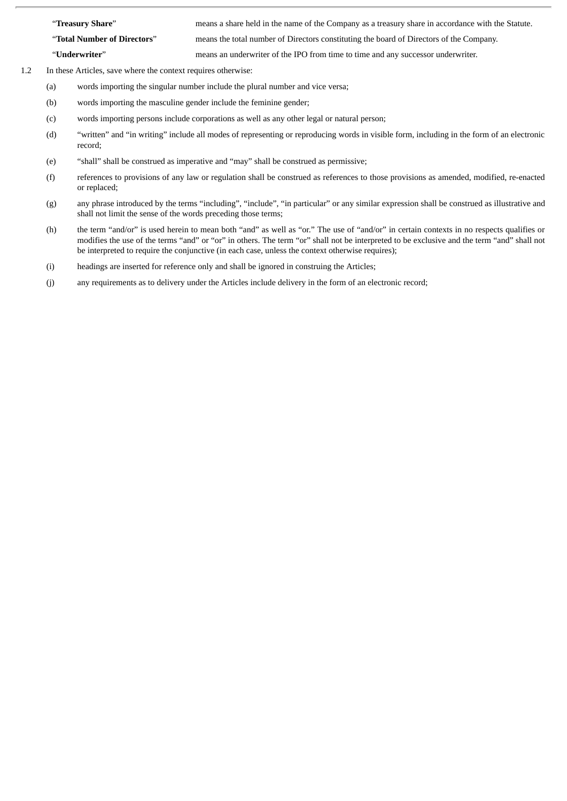- 
- 

"**Treasury Share**" means a share held in the name of the Company as a treasury share in accordance with the Statute.

"**Total Number of Directors**" means the total number of Directors constituting the board of Directors of the Company.

"**Underwriter**" means an underwriter of the IPO from time to time and any successor underwriter.

- 1.2 In these Articles, save where the context requires otherwise:
	- (a) words importing the singular number include the plural number and vice versa;
	- (b) words importing the masculine gender include the feminine gender;
	- (c) words importing persons include corporations as well as any other legal or natural person;
	- (d) "written" and "in writing" include all modes of representing or reproducing words in visible form, including in the form of an electronic record;
	- (e) "shall" shall be construed as imperative and "may" shall be construed as permissive;
	- (f) references to provisions of any law or regulation shall be construed as references to those provisions as amended, modified, re-enacted or replaced;
	- (g) any phrase introduced by the terms "including", "include", "in particular" or any similar expression shall be construed as illustrative and shall not limit the sense of the words preceding those terms;
	- (h) the term "and/or" is used herein to mean both "and" as well as "or." The use of "and/or" in certain contexts in no respects qualifies or modifies the use of the terms "and" or "or" in others. The term "or" shall not be interpreted to be exclusive and the term "and" shall not be interpreted to require the conjunctive (in each case, unless the context otherwise requires);
	- (i) headings are inserted for reference only and shall be ignored in construing the Articles;
	- (j) any requirements as to delivery under the Articles include delivery in the form of an electronic record;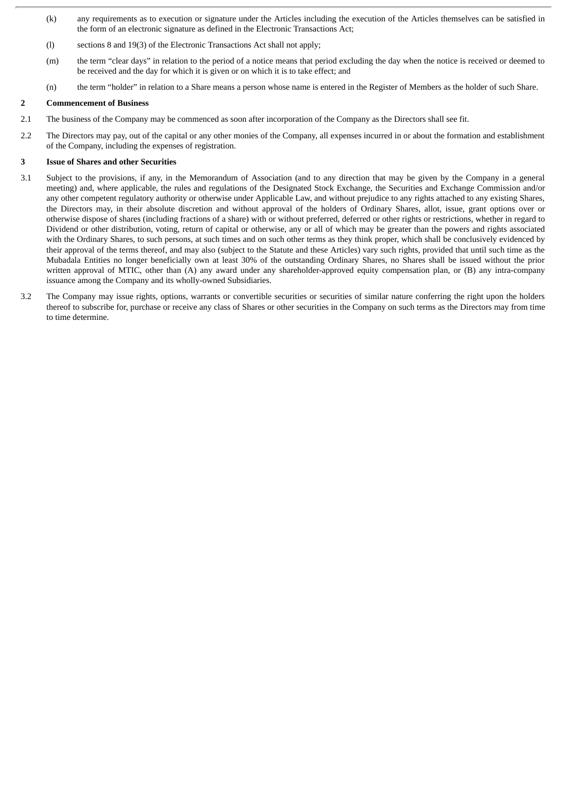- (k) any requirements as to execution or signature under the Articles including the execution of the Articles themselves can be satisfied in the form of an electronic signature as defined in the Electronic Transactions Act;
- (l) sections 8 and 19(3) of the Electronic Transactions Act shall not apply;
- (m) the term "clear days" in relation to the period of a notice means that period excluding the day when the notice is received or deemed to be received and the day for which it is given or on which it is to take effect; and
- (n) the term "holder" in relation to a Share means a person whose name is entered in the Register of Members as the holder of such Share.

#### **2 Commencement of Business**

- 2.1 The business of the Company may be commenced as soon after incorporation of the Company as the Directors shall see fit.
- 2.2 The Directors may pay, out of the capital or any other monies of the Company, all expenses incurred in or about the formation and establishment of the Company, including the expenses of registration.

#### **3 Issue of Shares and other Securities**

- 3.1 Subject to the provisions, if any, in the Memorandum of Association (and to any direction that may be given by the Company in a general meeting) and, where applicable, the rules and regulations of the Designated Stock Exchange, the Securities and Exchange Commission and/or any other competent regulatory authority or otherwise under Applicable Law, and without prejudice to any rights attached to any existing Shares, the Directors may, in their absolute discretion and without approval of the holders of Ordinary Shares, allot, issue, grant options over or otherwise dispose of shares (including fractions of a share) with or without preferred, deferred or other rights or restrictions, whether in regard to Dividend or other distribution, voting, return of capital or otherwise, any or all of which may be greater than the powers and rights associated with the Ordinary Shares, to such persons, at such times and on such other terms as they think proper, which shall be conclusively evidenced by their approval of the terms thereof, and may also (subject to the Statute and these Articles) vary such rights, provided that until such time as the Mubadala Entities no longer beneficially own at least 30% of the outstanding Ordinary Shares, no Shares shall be issued without the prior written approval of MTIC, other than (A) any award under any shareholder-approved equity compensation plan, or (B) any intra-company issuance among the Company and its wholly-owned Subsidiaries.
- 3.2 The Company may issue rights, options, warrants or convertible securities or securities of similar nature conferring the right upon the holders thereof to subscribe for, purchase or receive any class of Shares or other securities in the Company on such terms as the Directors may from time to time determine.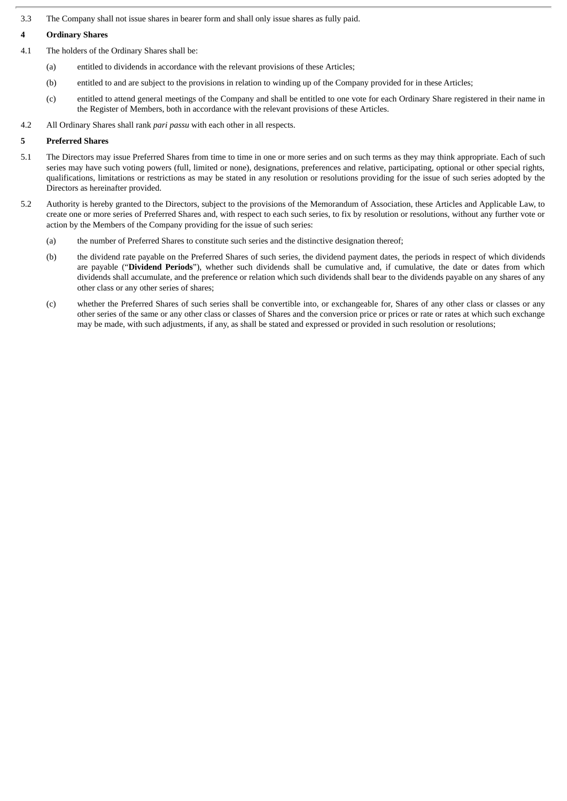3.3 The Company shall not issue shares in bearer form and shall only issue shares as fully paid.

# **4 Ordinary Shares**

- 4.1 The holders of the Ordinary Shares shall be:
	- (a) entitled to dividends in accordance with the relevant provisions of these Articles;
	- (b) entitled to and are subject to the provisions in relation to winding up of the Company provided for in these Articles;
	- (c) entitled to attend general meetings of the Company and shall be entitled to one vote for each Ordinary Share registered in their name in the Register of Members, both in accordance with the relevant provisions of these Articles.
- 4.2 All Ordinary Shares shall rank *pari passu* with each other in all respects.

#### **5 Preferred Shares**

- 5.1 The Directors may issue Preferred Shares from time to time in one or more series and on such terms as they may think appropriate. Each of such series may have such voting powers (full, limited or none), designations, preferences and relative, participating, optional or other special rights, qualifications, limitations or restrictions as may be stated in any resolution or resolutions providing for the issue of such series adopted by the Directors as hereinafter provided.
- 5.2 Authority is hereby granted to the Directors, subject to the provisions of the Memorandum of Association, these Articles and Applicable Law, to create one or more series of Preferred Shares and, with respect to each such series, to fix by resolution or resolutions, without any further vote or action by the Members of the Company providing for the issue of such series:
	- (a) the number of Preferred Shares to constitute such series and the distinctive designation thereof;
	- (b) the dividend rate payable on the Preferred Shares of such series, the dividend payment dates, the periods in respect of which dividends are payable ("**Dividend Periods**"), whether such dividends shall be cumulative and, if cumulative, the date or dates from which dividends shall accumulate, and the preference or relation which such dividends shall bear to the dividends payable on any shares of any other class or any other series of shares;
	- (c) whether the Preferred Shares of such series shall be convertible into, or exchangeable for, Shares of any other class or classes or any other series of the same or any other class or classes of Shares and the conversion price or prices or rate or rates at which such exchange may be made, with such adjustments, if any, as shall be stated and expressed or provided in such resolution or resolutions;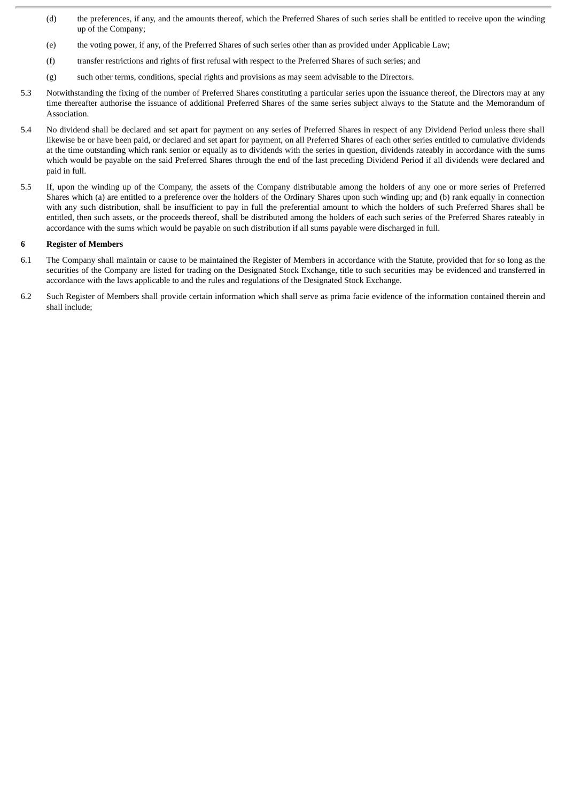- (d) the preferences, if any, and the amounts thereof, which the Preferred Shares of such series shall be entitled to receive upon the winding up of the Company;
- (e) the voting power, if any, of the Preferred Shares of such series other than as provided under Applicable Law;
- (f) transfer restrictions and rights of first refusal with respect to the Preferred Shares of such series; and
- (g) such other terms, conditions, special rights and provisions as may seem advisable to the Directors.
- 5.3 Notwithstanding the fixing of the number of Preferred Shares constituting a particular series upon the issuance thereof, the Directors may at any time thereafter authorise the issuance of additional Preferred Shares of the same series subject always to the Statute and the Memorandum of Association.
- 5.4 No dividend shall be declared and set apart for payment on any series of Preferred Shares in respect of any Dividend Period unless there shall likewise be or have been paid, or declared and set apart for payment, on all Preferred Shares of each other series entitled to cumulative dividends at the time outstanding which rank senior or equally as to dividends with the series in question, dividends rateably in accordance with the sums which would be payable on the said Preferred Shares through the end of the last preceding Dividend Period if all dividends were declared and paid in full.
- 5.5 If, upon the winding up of the Company, the assets of the Company distributable among the holders of any one or more series of Preferred Shares which (a) are entitled to a preference over the holders of the Ordinary Shares upon such winding up; and (b) rank equally in connection with any such distribution, shall be insufficient to pay in full the preferential amount to which the holders of such Preferred Shares shall be entitled, then such assets, or the proceeds thereof, shall be distributed among the holders of each such series of the Preferred Shares rateably in accordance with the sums which would be payable on such distribution if all sums payable were discharged in full.

#### **6 Register of Members**

- 6.1 The Company shall maintain or cause to be maintained the Register of Members in accordance with the Statute, provided that for so long as the securities of the Company are listed for trading on the Designated Stock Exchange, title to such securities may be evidenced and transferred in accordance with the laws applicable to and the rules and regulations of the Designated Stock Exchange.
- 6.2 Such Register of Members shall provide certain information which shall serve as prima facie evidence of the information contained therein and shall include;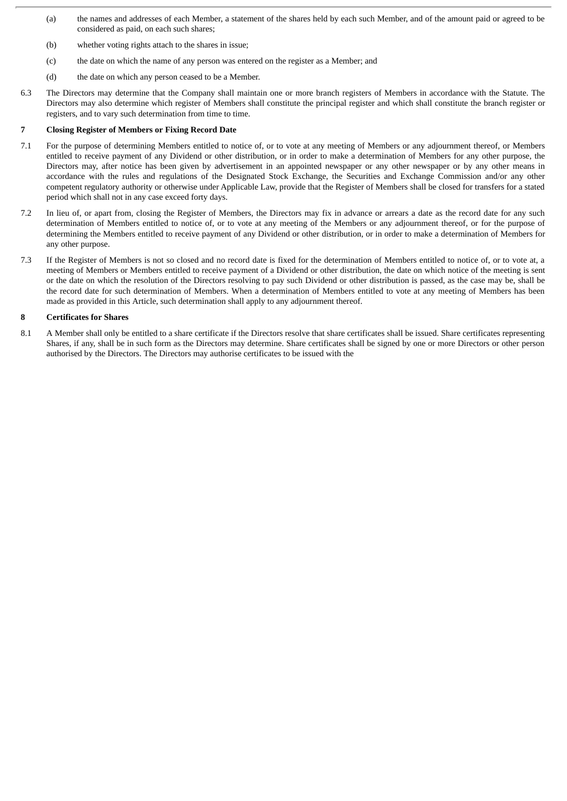- (a) the names and addresses of each Member, a statement of the shares held by each such Member, and of the amount paid or agreed to be considered as paid, on each such shares;
- (b) whether voting rights attach to the shares in issue;
- (c) the date on which the name of any person was entered on the register as a Member; and
- (d) the date on which any person ceased to be a Member.
- 6.3 The Directors may determine that the Company shall maintain one or more branch registers of Members in accordance with the Statute. The Directors may also determine which register of Members shall constitute the principal register and which shall constitute the branch register or registers, and to vary such determination from time to time.

# **7 Closing Register of Members or Fixing Record Date**

- 7.1 For the purpose of determining Members entitled to notice of, or to vote at any meeting of Members or any adjournment thereof, or Members entitled to receive payment of any Dividend or other distribution, or in order to make a determination of Members for any other purpose, the Directors may, after notice has been given by advertisement in an appointed newspaper or any other newspaper or by any other means in accordance with the rules and regulations of the Designated Stock Exchange, the Securities and Exchange Commission and/or any other competent regulatory authority or otherwise under Applicable Law, provide that the Register of Members shall be closed for transfers for a stated period which shall not in any case exceed forty days.
- 7.2 In lieu of, or apart from, closing the Register of Members, the Directors may fix in advance or arrears a date as the record date for any such determination of Members entitled to notice of, or to vote at any meeting of the Members or any adjournment thereof, or for the purpose of determining the Members entitled to receive payment of any Dividend or other distribution, or in order to make a determination of Members for any other purpose.
- 7.3 If the Register of Members is not so closed and no record date is fixed for the determination of Members entitled to notice of, or to vote at, a meeting of Members or Members entitled to receive payment of a Dividend or other distribution, the date on which notice of the meeting is sent or the date on which the resolution of the Directors resolving to pay such Dividend or other distribution is passed, as the case may be, shall be the record date for such determination of Members. When a determination of Members entitled to vote at any meeting of Members has been made as provided in this Article, such determination shall apply to any adjournment thereof.

# **8 Certificates for Shares**

8.1 A Member shall only be entitled to a share certificate if the Directors resolve that share certificates shall be issued. Share certificates representing Shares, if any, shall be in such form as the Directors may determine. Share certificates shall be signed by one or more Directors or other person authorised by the Directors. The Directors may authorise certificates to be issued with the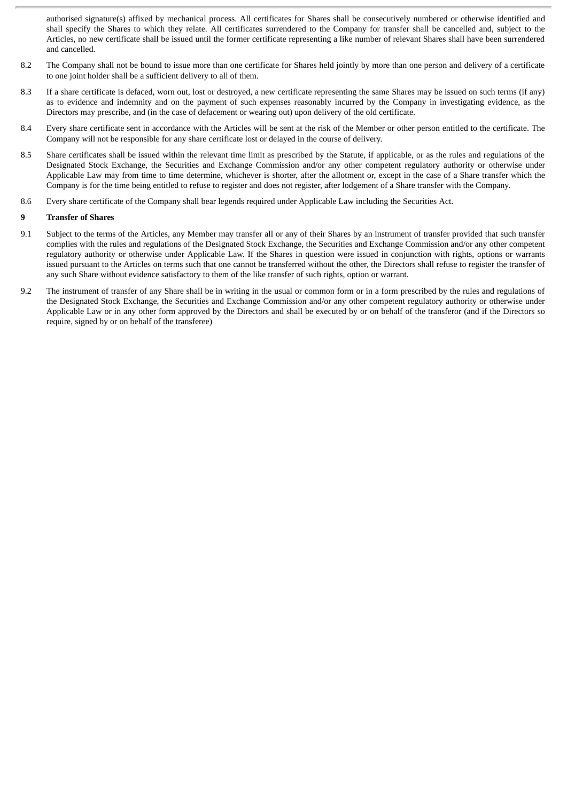authorised signature(s) affixed by mechanical process. All certificates for Shares shall be consecutively numbered or otherwise identified and shall specify the Shares to which they relate. All certificates surrendered to the Company for transfer shall be cancelled and, subject to the Articles, no new certificate shall be issued until the former certificate representing a like number of relevant Shares shall have been surrendered and cancelled.

- 8.2 The Company shall not be bound to issue more than one certificate for Shares held jointly by more than one person and delivery of a certificate to one joint holder shall be a sufficient delivery to all of them.
- 8.3 If a share certificate is defaced, worn out, lost or destroyed, a new certificate representing the same Shares may be issued on such terms (if any) as to evidence and indemnity and on the payment of such expenses reasonably incurred by the Company in investigating evidence, as the Directors may prescribe, and (in the case of defacement or wearing out) upon delivery of the old certificate.
- 8.4 Every share certificate sent in accordance with the Articles will be sent at the risk of the Member or other person entitled to the certificate. The Company will not be responsible for any share certificate lost or delayed in the course of delivery.
- 8.5 Share certificates shall be issued within the relevant time limit as prescribed by the Statute, if applicable, or as the rules and regulations of the Designated Stock Exchange, the Securities and Exchange Commission and/or any other competent regulatory authority or otherwise under Applicable Law may from time to time determine, whichever is shorter, after the allotment or, except in the case of a Share transfer which the Company is for the time being entitled to refuse to register and does not register, after lodgement of a Share transfer with the Company.
- 8.6 Every share certificate of the Company shall bear legends required under Applicable Law including the Securities Act.

#### **9 Transfer of Shares**

- 9.1 Subject to the terms of the Articles, any Member may transfer all or any of their Shares by an instrument of transfer provided that such transfer complies with the rules and regulations of the Designated Stock Exchange, the Securities and Exchange Commission and/or any other competent regulatory authority or otherwise under Applicable Law. If the Shares in question were issued in conjunction with rights, options or warrants issued pursuant to the Articles on terms such that one cannot be transferred without the other, the Directors shall refuse to register the transfer of any such Share without evidence satisfactory to them of the like transfer of such rights, option or warrant.
- 9.2 The instrument of transfer of any Share shall be in writing in the usual or common form or in a form prescribed by the rules and regulations of the Designated Stock Exchange, the Securities and Exchange Commission and/or any other competent regulatory authority or otherwise under Applicable Law or in any other form approved by the Directors and shall be executed by or on behalf of the transferor (and if the Directors so require, signed by or on behalf of the transferee)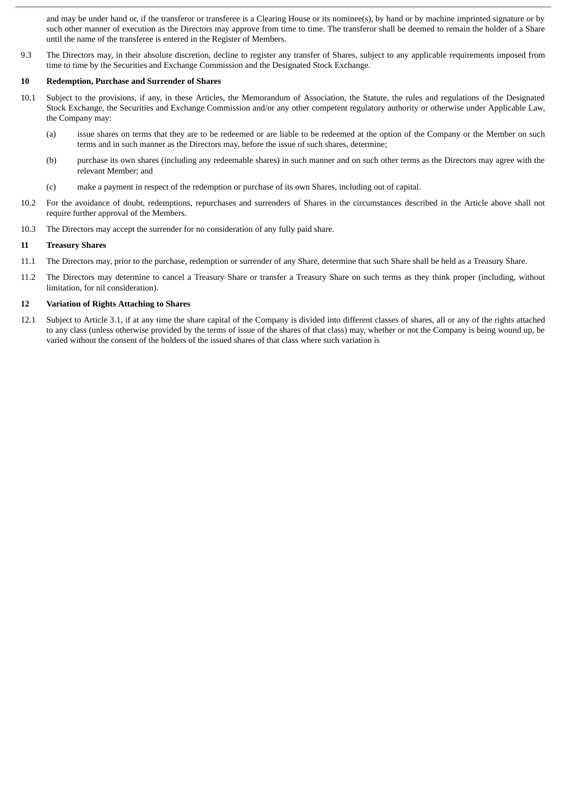and may be under hand or, if the transferor or transferee is a Clearing House or its nominee(s), by hand or by machine imprinted signature or by such other manner of execution as the Directors may approve from time to time. The transferor shall be deemed to remain the holder of a Share until the name of the transferee is entered in the Register of Members.

9.3 The Directors may, in their absolute discretion, decline to register any transfer of Shares, subject to any applicable requirements imposed from time to time by the Securities and Exchange Commission and the Designated Stock Exchange.

#### **10 Redemption, Purchase and Surrender of Shares**

- 10.1 Subject to the provisions, if any, in these Articles, the Memorandum of Association, the Statute, the rules and regulations of the Designated Stock Exchange, the Securities and Exchange Commission and/or any other competent regulatory authority or otherwise under Applicable Law, the Company may:
	- (a) issue shares on terms that they are to be redeemed or are liable to be redeemed at the option of the Company or the Member on such terms and in such manner as the Directors may, before the issue of such shares, determine;
	- (b) purchase its own shares (including any redeemable shares) in such manner and on such other terms as the Directors may agree with the relevant Member; and
	- (c) make a payment in respect of the redemption or purchase of its own Shares, including out of capital.
- 10.2 For the avoidance of doubt, redemptions, repurchases and surrenders of Shares in the circumstances described in the Article above shall not require further approval of the Members.
- 10.3 The Directors may accept the surrender for no consideration of any fully paid share.

#### **11 Treasury Shares**

- 11.1 The Directors may, prior to the purchase, redemption or surrender of any Share, determine that such Share shall be held as a Treasury Share.
- 11.2 The Directors may determine to cancel a Treasury Share or transfer a Treasury Share on such terms as they think proper (including, without limitation, for nil consideration).

#### **12 Variation of Rights Attaching to Shares**

12.1 Subject to Article 3.1, if at any time the share capital of the Company is divided into different classes of shares, all or any of the rights attached to any class (unless otherwise provided by the terms of issue of the shares of that class) may, whether or not the Company is being wound up, be varied without the consent of the holders of the issued shares of that class where such variation is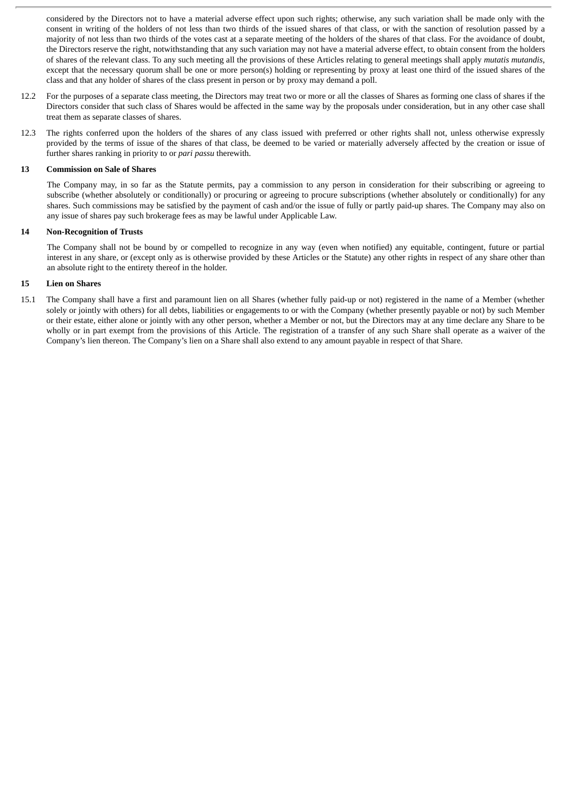considered by the Directors not to have a material adverse effect upon such rights; otherwise, any such variation shall be made only with the consent in writing of the holders of not less than two thirds of the issued shares of that class, or with the sanction of resolution passed by a majority of not less than two thirds of the votes cast at a separate meeting of the holders of the shares of that class. For the avoidance of doubt, the Directors reserve the right, notwithstanding that any such variation may not have a material adverse effect, to obtain consent from the holders of shares of the relevant class. To any such meeting all the provisions of these Articles relating to general meetings shall apply *mutatis mutandis*, except that the necessary quorum shall be one or more person(s) holding or representing by proxy at least one third of the issued shares of the class and that any holder of shares of the class present in person or by proxy may demand a poll.

- 12.2 For the purposes of a separate class meeting, the Directors may treat two or more or all the classes of Shares as forming one class of shares if the Directors consider that such class of Shares would be affected in the same way by the proposals under consideration, but in any other case shall treat them as separate classes of shares.
- 12.3 The rights conferred upon the holders of the shares of any class issued with preferred or other rights shall not, unless otherwise expressly provided by the terms of issue of the shares of that class, be deemed to be varied or materially adversely affected by the creation or issue of further shares ranking in priority to or *pari passu* therewith.

#### **13 Commission on Sale of Shares**

The Company may, in so far as the Statute permits, pay a commission to any person in consideration for their subscribing or agreeing to subscribe (whether absolutely or conditionally) or procuring or agreeing to procure subscriptions (whether absolutely or conditionally) for any shares. Such commissions may be satisfied by the payment of cash and/or the issue of fully or partly paid-up shares. The Company may also on any issue of shares pay such brokerage fees as may be lawful under Applicable Law.

#### **14 Non-Recognition of Trusts**

The Company shall not be bound by or compelled to recognize in any way (even when notified) any equitable, contingent, future or partial interest in any share, or (except only as is otherwise provided by these Articles or the Statute) any other rights in respect of any share other than an absolute right to the entirety thereof in the holder.

# **15 Lien on Shares**

15.1 The Company shall have a first and paramount lien on all Shares (whether fully paid-up or not) registered in the name of a Member (whether solely or jointly with others) for all debts, liabilities or engagements to or with the Company (whether presently payable or not) by such Member or their estate, either alone or jointly with any other person, whether a Member or not, but the Directors may at any time declare any Share to be wholly or in part exempt from the provisions of this Article. The registration of a transfer of any such Share shall operate as a waiver of the Company's lien thereon. The Company's lien on a Share shall also extend to any amount payable in respect of that Share.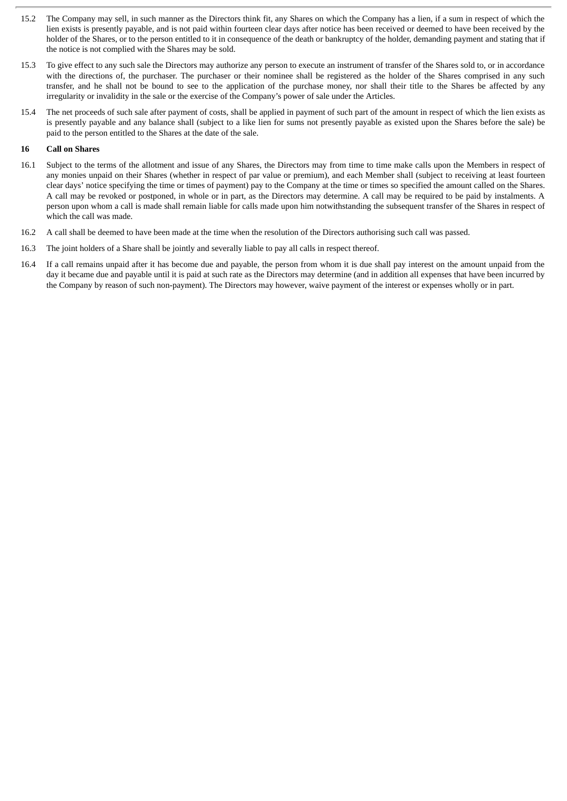- 15.2 The Company may sell, in such manner as the Directors think fit, any Shares on which the Company has a lien, if a sum in respect of which the lien exists is presently payable, and is not paid within fourteen clear days after notice has been received or deemed to have been received by the holder of the Shares, or to the person entitled to it in consequence of the death or bankruptcy of the holder, demanding payment and stating that if the notice is not complied with the Shares may be sold.
- 15.3 To give effect to any such sale the Directors may authorize any person to execute an instrument of transfer of the Shares sold to, or in accordance with the directions of, the purchaser. The purchaser or their nominee shall be registered as the holder of the Shares comprised in any such transfer, and he shall not be bound to see to the application of the purchase money, nor shall their title to the Shares be affected by any irregularity or invalidity in the sale or the exercise of the Company's power of sale under the Articles.
- 15.4 The net proceeds of such sale after payment of costs, shall be applied in payment of such part of the amount in respect of which the lien exists as is presently payable and any balance shall (subject to a like lien for sums not presently payable as existed upon the Shares before the sale) be paid to the person entitled to the Shares at the date of the sale.

#### **16 Call on Shares**

- 16.1 Subject to the terms of the allotment and issue of any Shares, the Directors may from time to time make calls upon the Members in respect of any monies unpaid on their Shares (whether in respect of par value or premium), and each Member shall (subject to receiving at least fourteen clear days' notice specifying the time or times of payment) pay to the Company at the time or times so specified the amount called on the Shares. A call may be revoked or postponed, in whole or in part, as the Directors may determine. A call may be required to be paid by instalments. A person upon whom a call is made shall remain liable for calls made upon him notwithstanding the subsequent transfer of the Shares in respect of which the call was made.
- 16.2 A call shall be deemed to have been made at the time when the resolution of the Directors authorising such call was passed.
- 16.3 The joint holders of a Share shall be jointly and severally liable to pay all calls in respect thereof.
- 16.4 If a call remains unpaid after it has become due and payable, the person from whom it is due shall pay interest on the amount unpaid from the day it became due and payable until it is paid at such rate as the Directors may determine (and in addition all expenses that have been incurred by the Company by reason of such non-payment). The Directors may however, waive payment of the interest or expenses wholly or in part.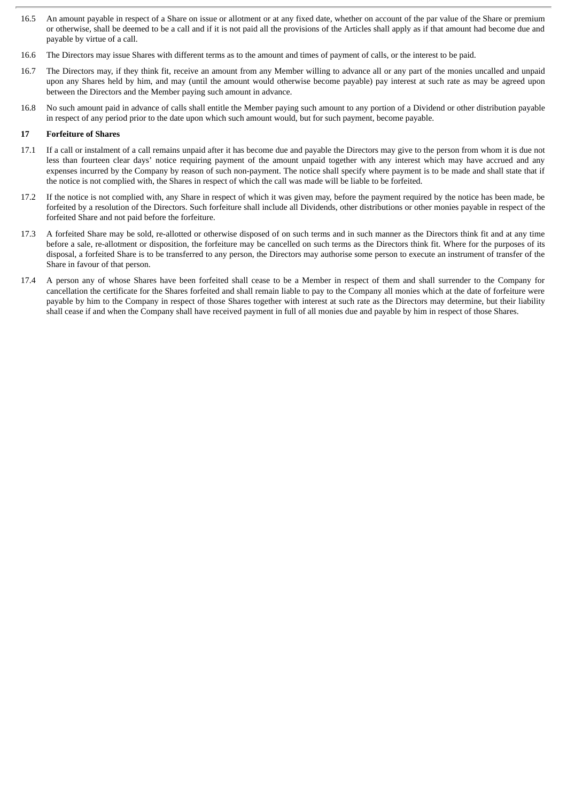- 16.5 An amount payable in respect of a Share on issue or allotment or at any fixed date, whether on account of the par value of the Share or premium or otherwise, shall be deemed to be a call and if it is not paid all the provisions of the Articles shall apply as if that amount had become due and payable by virtue of a call.
- 16.6 The Directors may issue Shares with different terms as to the amount and times of payment of calls, or the interest to be paid.
- 16.7 The Directors may, if they think fit, receive an amount from any Member willing to advance all or any part of the monies uncalled and unpaid upon any Shares held by him, and may (until the amount would otherwise become payable) pay interest at such rate as may be agreed upon between the Directors and the Member paying such amount in advance.
- 16.8 No such amount paid in advance of calls shall entitle the Member paying such amount to any portion of a Dividend or other distribution payable in respect of any period prior to the date upon which such amount would, but for such payment, become payable.

#### **17 Forfeiture of Shares**

- 17.1 If a call or instalment of a call remains unpaid after it has become due and payable the Directors may give to the person from whom it is due not less than fourteen clear days' notice requiring payment of the amount unpaid together with any interest which may have accrued and any expenses incurred by the Company by reason of such non-payment. The notice shall specify where payment is to be made and shall state that if the notice is not complied with, the Shares in respect of which the call was made will be liable to be forfeited.
- 17.2 If the notice is not complied with, any Share in respect of which it was given may, before the payment required by the notice has been made, be forfeited by a resolution of the Directors. Such forfeiture shall include all Dividends, other distributions or other monies payable in respect of the forfeited Share and not paid before the forfeiture.
- 17.3 A forfeited Share may be sold, re-allotted or otherwise disposed of on such terms and in such manner as the Directors think fit and at any time before a sale, re-allotment or disposition, the forfeiture may be cancelled on such terms as the Directors think fit. Where for the purposes of its disposal, a forfeited Share is to be transferred to any person, the Directors may authorise some person to execute an instrument of transfer of the Share in favour of that person.
- 17.4 A person any of whose Shares have been forfeited shall cease to be a Member in respect of them and shall surrender to the Company for cancellation the certificate for the Shares forfeited and shall remain liable to pay to the Company all monies which at the date of forfeiture were payable by him to the Company in respect of those Shares together with interest at such rate as the Directors may determine, but their liability shall cease if and when the Company shall have received payment in full of all monies due and payable by him in respect of those Shares.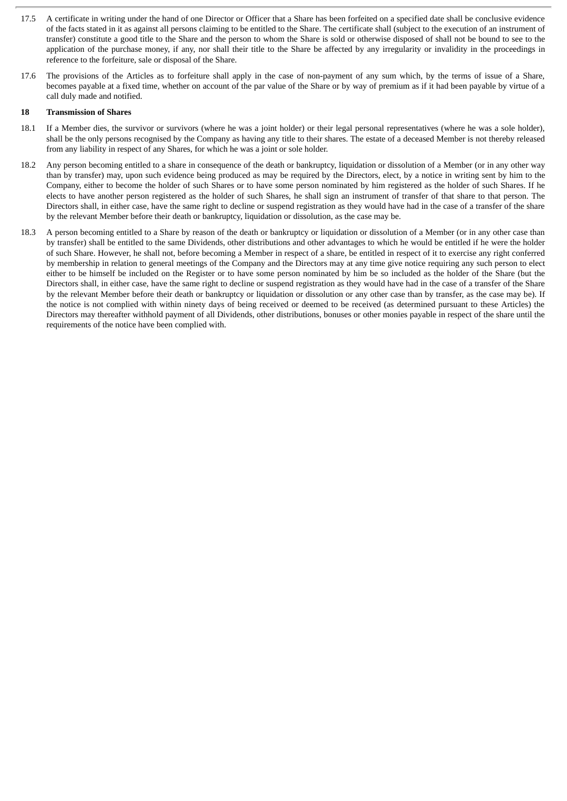- 17.5 A certificate in writing under the hand of one Director or Officer that a Share has been forfeited on a specified date shall be conclusive evidence of the facts stated in it as against all persons claiming to be entitled to the Share. The certificate shall (subject to the execution of an instrument of transfer) constitute a good title to the Share and the person to whom the Share is sold or otherwise disposed of shall not be bound to see to the application of the purchase money, if any, nor shall their title to the Share be affected by any irregularity or invalidity in the proceedings in reference to the forfeiture, sale or disposal of the Share.
- 17.6 The provisions of the Articles as to forfeiture shall apply in the case of non-payment of any sum which, by the terms of issue of a Share, becomes payable at a fixed time, whether on account of the par value of the Share or by way of premium as if it had been payable by virtue of a call duly made and notified.

#### **18 Transmission of Shares**

- 18.1 If a Member dies, the survivor or survivors (where he was a joint holder) or their legal personal representatives (where he was a sole holder), shall be the only persons recognised by the Company as having any title to their shares. The estate of a deceased Member is not thereby released from any liability in respect of any Shares, for which he was a joint or sole holder.
- 18.2 Any person becoming entitled to a share in consequence of the death or bankruptcy, liquidation or dissolution of a Member (or in any other way than by transfer) may, upon such evidence being produced as may be required by the Directors, elect, by a notice in writing sent by him to the Company, either to become the holder of such Shares or to have some person nominated by him registered as the holder of such Shares. If he elects to have another person registered as the holder of such Shares, he shall sign an instrument of transfer of that share to that person. The Directors shall, in either case, have the same right to decline or suspend registration as they would have had in the case of a transfer of the share by the relevant Member before their death or bankruptcy, liquidation or dissolution, as the case may be.
- 18.3 A person becoming entitled to a Share by reason of the death or bankruptcy or liquidation or dissolution of a Member (or in any other case than by transfer) shall be entitled to the same Dividends, other distributions and other advantages to which he would be entitled if he were the holder of such Share. However, he shall not, before becoming a Member in respect of a share, be entitled in respect of it to exercise any right conferred by membership in relation to general meetings of the Company and the Directors may at any time give notice requiring any such person to elect either to be himself be included on the Register or to have some person nominated by him be so included as the holder of the Share (but the Directors shall, in either case, have the same right to decline or suspend registration as they would have had in the case of a transfer of the Share by the relevant Member before their death or bankruptcy or liquidation or dissolution or any other case than by transfer, as the case may be). If the notice is not complied with within ninety days of being received or deemed to be received (as determined pursuant to these Articles) the Directors may thereafter withhold payment of all Dividends, other distributions, bonuses or other monies payable in respect of the share until the requirements of the notice have been complied with.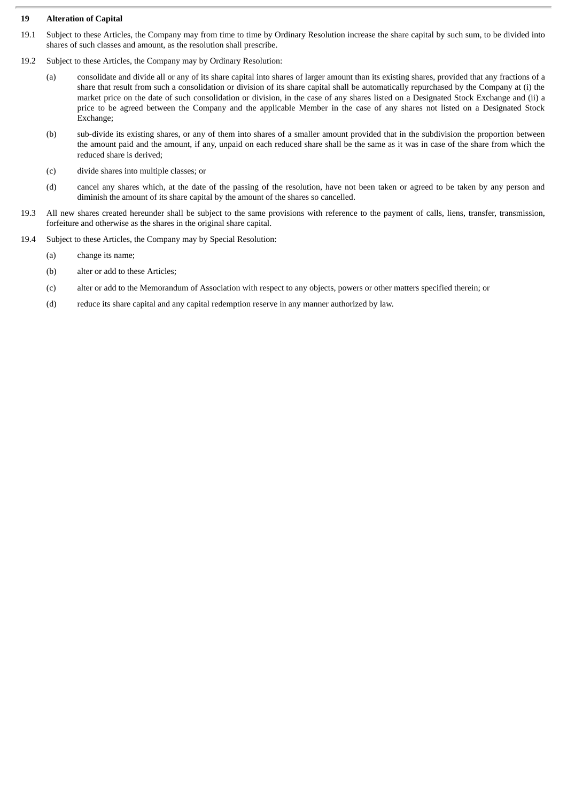#### **19 Alteration of Capital**

- 19.1 Subject to these Articles, the Company may from time to time by Ordinary Resolution increase the share capital by such sum, to be divided into shares of such classes and amount, as the resolution shall prescribe.
- 19.2 Subject to these Articles, the Company may by Ordinary Resolution:
	- (a) consolidate and divide all or any of its share capital into shares of larger amount than its existing shares, provided that any fractions of a share that result from such a consolidation or division of its share capital shall be automatically repurchased by the Company at (i) the market price on the date of such consolidation or division, in the case of any shares listed on a Designated Stock Exchange and (ii) a price to be agreed between the Company and the applicable Member in the case of any shares not listed on a Designated Stock Exchange;
	- (b) sub-divide its existing shares, or any of them into shares of a smaller amount provided that in the subdivision the proportion between the amount paid and the amount, if any, unpaid on each reduced share shall be the same as it was in case of the share from which the reduced share is derived;
	- (c) divide shares into multiple classes; or
	- (d) cancel any shares which, at the date of the passing of the resolution, have not been taken or agreed to be taken by any person and diminish the amount of its share capital by the amount of the shares so cancelled.
- 19.3 All new shares created hereunder shall be subject to the same provisions with reference to the payment of calls, liens, transfer, transmission, forfeiture and otherwise as the shares in the original share capital.
- 19.4 Subject to these Articles, the Company may by Special Resolution:
	- (a) change its name;
	- (b) alter or add to these Articles;
	- (c) alter or add to the Memorandum of Association with respect to any objects, powers or other matters specified therein; or
	- (d) reduce its share capital and any capital redemption reserve in any manner authorized by law.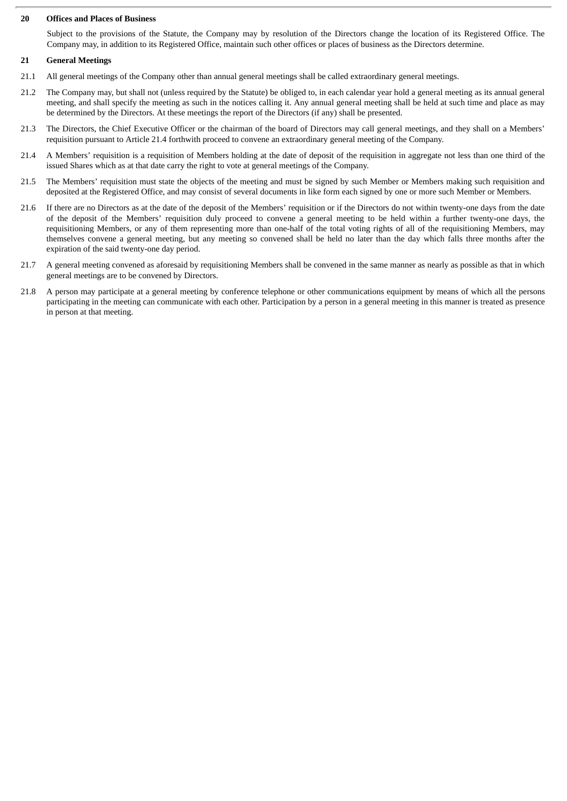#### **20 Offices and Places of Business**

Subject to the provisions of the Statute, the Company may by resolution of the Directors change the location of its Registered Office. The Company may, in addition to its Registered Office, maintain such other offices or places of business as the Directors determine.

#### **21 General Meetings**

- 21.1 All general meetings of the Company other than annual general meetings shall be called extraordinary general meetings.
- 21.2 The Company may, but shall not (unless required by the Statute) be obliged to, in each calendar year hold a general meeting as its annual general meeting, and shall specify the meeting as such in the notices calling it. Any annual general meeting shall be held at such time and place as may be determined by the Directors. At these meetings the report of the Directors (if any) shall be presented.
- 21.3 The Directors, the Chief Executive Officer or the chairman of the board of Directors may call general meetings, and they shall on a Members' requisition pursuant to Article 21.4 forthwith proceed to convene an extraordinary general meeting of the Company.
- 21.4 A Members' requisition is a requisition of Members holding at the date of deposit of the requisition in aggregate not less than one third of the issued Shares which as at that date carry the right to vote at general meetings of the Company.
- 21.5 The Members' requisition must state the objects of the meeting and must be signed by such Member or Members making such requisition and deposited at the Registered Office, and may consist of several documents in like form each signed by one or more such Member or Members.
- 21.6 If there are no Directors as at the date of the deposit of the Members' requisition or if the Directors do not within twenty-one days from the date of the deposit of the Members' requisition duly proceed to convene a general meeting to be held within a further twenty-one days, the requisitioning Members, or any of them representing more than one-half of the total voting rights of all of the requisitioning Members, may themselves convene a general meeting, but any meeting so convened shall be held no later than the day which falls three months after the expiration of the said twenty-one day period.
- 21.7 A general meeting convened as aforesaid by requisitioning Members shall be convened in the same manner as nearly as possible as that in which general meetings are to be convened by Directors.
- 21.8 A person may participate at a general meeting by conference telephone or other communications equipment by means of which all the persons participating in the meeting can communicate with each other. Participation by a person in a general meeting in this manner is treated as presence in person at that meeting.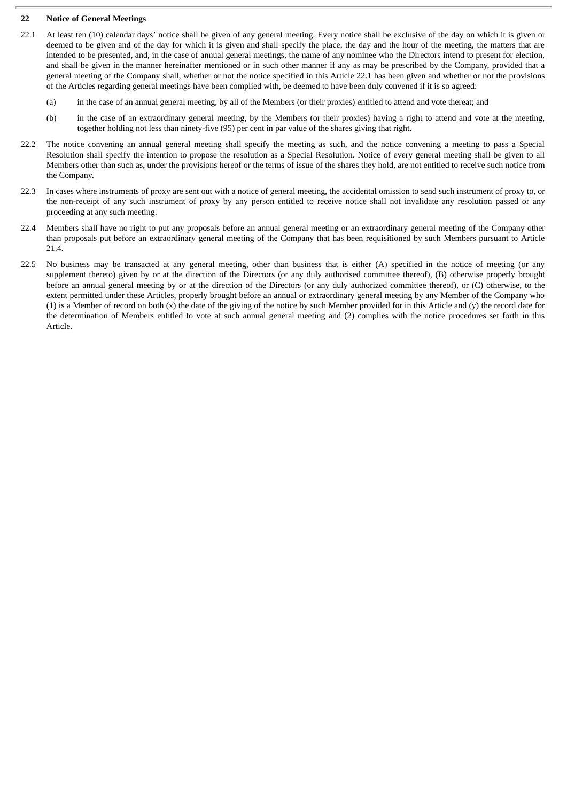#### **22 Notice of General Meetings**

- 22.1 At least ten (10) calendar days' notice shall be given of any general meeting. Every notice shall be exclusive of the day on which it is given or deemed to be given and of the day for which it is given and shall specify the place, the day and the hour of the meeting, the matters that are intended to be presented, and, in the case of annual general meetings, the name of any nominee who the Directors intend to present for election, and shall be given in the manner hereinafter mentioned or in such other manner if any as may be prescribed by the Company, provided that a general meeting of the Company shall, whether or not the notice specified in this Article 22.1 has been given and whether or not the provisions of the Articles regarding general meetings have been complied with, be deemed to have been duly convened if it is so agreed:
	- (a) in the case of an annual general meeting, by all of the Members (or their proxies) entitled to attend and vote thereat; and
	- (b) in the case of an extraordinary general meeting, by the Members (or their proxies) having a right to attend and vote at the meeting, together holding not less than ninety-five (95) per cent in par value of the shares giving that right.
- 22.2 The notice convening an annual general meeting shall specify the meeting as such, and the notice convening a meeting to pass a Special Resolution shall specify the intention to propose the resolution as a Special Resolution. Notice of every general meeting shall be given to all Members other than such as, under the provisions hereof or the terms of issue of the shares they hold, are not entitled to receive such notice from the Company.
- 22.3 In cases where instruments of proxy are sent out with a notice of general meeting, the accidental omission to send such instrument of proxy to, or the non-receipt of any such instrument of proxy by any person entitled to receive notice shall not invalidate any resolution passed or any proceeding at any such meeting.
- 22.4 Members shall have no right to put any proposals before an annual general meeting or an extraordinary general meeting of the Company other than proposals put before an extraordinary general meeting of the Company that has been requisitioned by such Members pursuant to Article 21.4.
- 22.5 No business may be transacted at any general meeting, other than business that is either (A) specified in the notice of meeting (or any supplement thereto) given by or at the direction of the Directors (or any duly authorised committee thereof), (B) otherwise properly brought before an annual general meeting by or at the direction of the Directors (or any duly authorized committee thereof), or (C) otherwise, to the extent permitted under these Articles, properly brought before an annual or extraordinary general meeting by any Member of the Company who (1) is a Member of record on both (x) the date of the giving of the notice by such Member provided for in this Article and (y) the record date for the determination of Members entitled to vote at such annual general meeting and (2) complies with the notice procedures set forth in this Article.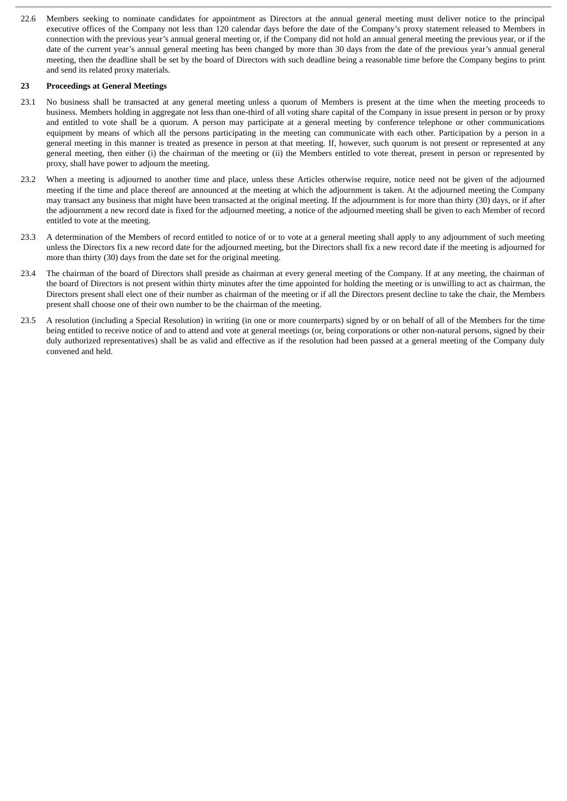22.6 Members seeking to nominate candidates for appointment as Directors at the annual general meeting must deliver notice to the principal executive offices of the Company not less than 120 calendar days before the date of the Company's proxy statement released to Members in connection with the previous year's annual general meeting or, if the Company did not hold an annual general meeting the previous year, or if the date of the current year's annual general meeting has been changed by more than 30 days from the date of the previous year's annual general meeting, then the deadline shall be set by the board of Directors with such deadline being a reasonable time before the Company begins to print and send its related proxy materials.

# **23 Proceedings at General Meetings**

- 23.1 No business shall be transacted at any general meeting unless a quorum of Members is present at the time when the meeting proceeds to business. Members holding in aggregate not less than one-third of all voting share capital of the Company in issue present in person or by proxy and entitled to vote shall be a quorum. A person may participate at a general meeting by conference telephone or other communications equipment by means of which all the persons participating in the meeting can communicate with each other. Participation by a person in a general meeting in this manner is treated as presence in person at that meeting. If, however, such quorum is not present or represented at any general meeting, then either (i) the chairman of the meeting or (ii) the Members entitled to vote thereat, present in person or represented by proxy, shall have power to adjourn the meeting.
- 23.2 When a meeting is adjourned to another time and place, unless these Articles otherwise require, notice need not be given of the adjourned meeting if the time and place thereof are announced at the meeting at which the adjournment is taken. At the adjourned meeting the Company may transact any business that might have been transacted at the original meeting. If the adjournment is for more than thirty (30) days, or if after the adjournment a new record date is fixed for the adjourned meeting, a notice of the adjourned meeting shall be given to each Member of record entitled to vote at the meeting.
- 23.3 A determination of the Members of record entitled to notice of or to vote at a general meeting shall apply to any adjournment of such meeting unless the Directors fix a new record date for the adjourned meeting, but the Directors shall fix a new record date if the meeting is adjourned for more than thirty (30) days from the date set for the original meeting.
- 23.4 The chairman of the board of Directors shall preside as chairman at every general meeting of the Company. If at any meeting, the chairman of the board of Directors is not present within thirty minutes after the time appointed for holding the meeting or is unwilling to act as chairman, the Directors present shall elect one of their number as chairman of the meeting or if all the Directors present decline to take the chair, the Members present shall choose one of their own number to be the chairman of the meeting.
- 23.5 A resolution (including a Special Resolution) in writing (in one or more counterparts) signed by or on behalf of all of the Members for the time being entitled to receive notice of and to attend and vote at general meetings (or, being corporations or other non-natural persons, signed by their duly authorized representatives) shall be as valid and effective as if the resolution had been passed at a general meeting of the Company duly convened and held.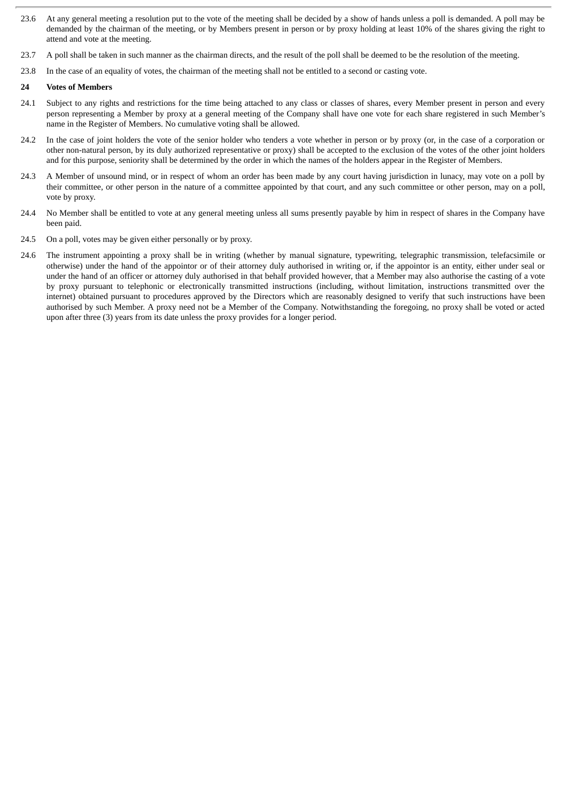- 23.6 At any general meeting a resolution put to the vote of the meeting shall be decided by a show of hands unless a poll is demanded. A poll may be demanded by the chairman of the meeting, or by Members present in person or by proxy holding at least 10% of the shares giving the right to attend and vote at the meeting.
- 23.7 A poll shall be taken in such manner as the chairman directs, and the result of the poll shall be deemed to be the resolution of the meeting.
- 23.8 In the case of an equality of votes, the chairman of the meeting shall not be entitled to a second or casting vote.

#### **24 Votes of Members**

- 24.1 Subject to any rights and restrictions for the time being attached to any class or classes of shares, every Member present in person and every person representing a Member by proxy at a general meeting of the Company shall have one vote for each share registered in such Member's name in the Register of Members. No cumulative voting shall be allowed.
- 24.2 In the case of joint holders the vote of the senior holder who tenders a vote whether in person or by proxy (or, in the case of a corporation or other non-natural person, by its duly authorized representative or proxy) shall be accepted to the exclusion of the votes of the other joint holders and for this purpose, seniority shall be determined by the order in which the names of the holders appear in the Register of Members.
- 24.3 A Member of unsound mind, or in respect of whom an order has been made by any court having jurisdiction in lunacy, may vote on a poll by their committee, or other person in the nature of a committee appointed by that court, and any such committee or other person, may on a poll, vote by proxy.
- 24.4 No Member shall be entitled to vote at any general meeting unless all sums presently payable by him in respect of shares in the Company have been paid.
- 24.5 On a poll, votes may be given either personally or by proxy.
- 24.6 The instrument appointing a proxy shall be in writing (whether by manual signature, typewriting, telegraphic transmission, telefacsimile or otherwise) under the hand of the appointor or of their attorney duly authorised in writing or, if the appointor is an entity, either under seal or under the hand of an officer or attorney duly authorised in that behalf provided however, that a Member may also authorise the casting of a vote by proxy pursuant to telephonic or electronically transmitted instructions (including, without limitation, instructions transmitted over the internet) obtained pursuant to procedures approved by the Directors which are reasonably designed to verify that such instructions have been authorised by such Member. A proxy need not be a Member of the Company. Notwithstanding the foregoing, no proxy shall be voted or acted upon after three (3) years from its date unless the proxy provides for a longer period.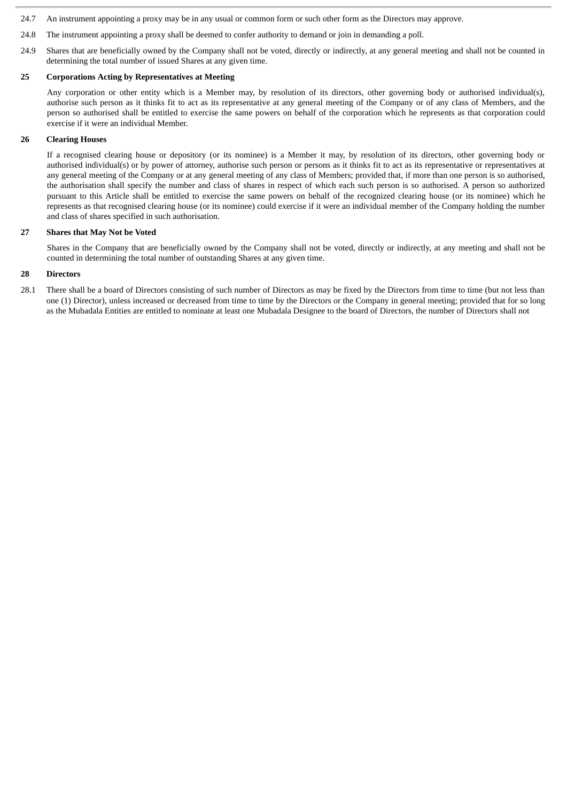- 24.7 An instrument appointing a proxy may be in any usual or common form or such other form as the Directors may approve.
- 24.8 The instrument appointing a proxy shall be deemed to confer authority to demand or join in demanding a poll.
- 24.9 Shares that are beneficially owned by the Company shall not be voted, directly or indirectly, at any general meeting and shall not be counted in determining the total number of issued Shares at any given time.

#### **25 Corporations Acting by Representatives at Meeting**

Any corporation or other entity which is a Member may, by resolution of its directors, other governing body or authorised individual(s), authorise such person as it thinks fit to act as its representative at any general meeting of the Company or of any class of Members, and the person so authorised shall be entitled to exercise the same powers on behalf of the corporation which he represents as that corporation could exercise if it were an individual Member.

#### **26 Clearing Houses**

If a recognised clearing house or depository (or its nominee) is a Member it may, by resolution of its directors, other governing body or authorised individual(s) or by power of attorney, authorise such person or persons as it thinks fit to act as its representative or representatives at any general meeting of the Company or at any general meeting of any class of Members; provided that, if more than one person is so authorised, the authorisation shall specify the number and class of shares in respect of which each such person is so authorised. A person so authorized pursuant to this Article shall be entitled to exercise the same powers on behalf of the recognized clearing house (or its nominee) which he represents as that recognised clearing house (or its nominee) could exercise if it were an individual member of the Company holding the number and class of shares specified in such authorisation.

#### **27 Shares that May Not be Voted**

Shares in the Company that are beneficially owned by the Company shall not be voted, directly or indirectly, at any meeting and shall not be counted in determining the total number of outstanding Shares at any given time.

#### **28 Directors**

28.1 There shall be a board of Directors consisting of such number of Directors as may be fixed by the Directors from time to time (but not less than one (1) Director), unless increased or decreased from time to time by the Directors or the Company in general meeting; provided that for so long as the Mubadala Entities are entitled to nominate at least one Mubadala Designee to the board of Directors, the number of Directors shall not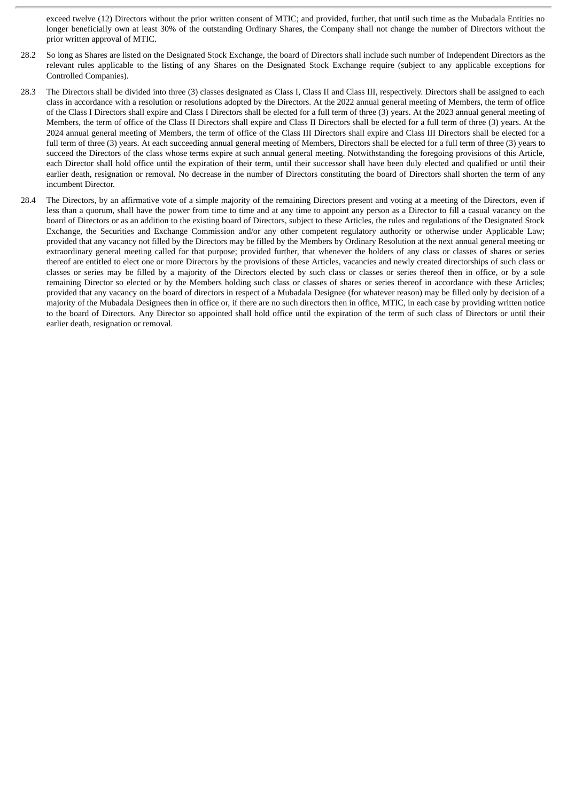exceed twelve (12) Directors without the prior written consent of MTIC; and provided, further, that until such time as the Mubadala Entities no longer beneficially own at least 30% of the outstanding Ordinary Shares, the Company shall not change the number of Directors without the prior written approval of MTIC.

- 28.2 So long as Shares are listed on the Designated Stock Exchange, the board of Directors shall include such number of Independent Directors as the relevant rules applicable to the listing of any Shares on the Designated Stock Exchange require (subject to any applicable exceptions for Controlled Companies).
- 28.3 The Directors shall be divided into three (3) classes designated as Class I, Class II and Class III, respectively. Directors shall be assigned to each class in accordance with a resolution or resolutions adopted by the Directors. At the 2022 annual general meeting of Members, the term of office of the Class I Directors shall expire and Class I Directors shall be elected for a full term of three (3) years. At the 2023 annual general meeting of Members, the term of office of the Class II Directors shall expire and Class II Directors shall be elected for a full term of three (3) years. At the 2024 annual general meeting of Members, the term of office of the Class III Directors shall expire and Class III Directors shall be elected for a full term of three (3) years. At each succeeding annual general meeting of Members, Directors shall be elected for a full term of three (3) years to succeed the Directors of the class whose terms expire at such annual general meeting. Notwithstanding the foregoing provisions of this Article, each Director shall hold office until the expiration of their term, until their successor shall have been duly elected and qualified or until their earlier death, resignation or removal. No decrease in the number of Directors constituting the board of Directors shall shorten the term of any incumbent Director.
- 28.4 The Directors, by an affirmative vote of a simple majority of the remaining Directors present and voting at a meeting of the Directors, even if less than a quorum, shall have the power from time to time and at any time to appoint any person as a Director to fill a casual vacancy on the board of Directors or as an addition to the existing board of Directors, subject to these Articles, the rules and regulations of the Designated Stock Exchange, the Securities and Exchange Commission and/or any other competent regulatory authority or otherwise under Applicable Law; provided that any vacancy not filled by the Directors may be filled by the Members by Ordinary Resolution at the next annual general meeting or extraordinary general meeting called for that purpose; provided further, that whenever the holders of any class or classes of shares or series thereof are entitled to elect one or more Directors by the provisions of these Articles, vacancies and newly created directorships of such class or classes or series may be filled by a majority of the Directors elected by such class or classes or series thereof then in office, or by a sole remaining Director so elected or by the Members holding such class or classes of shares or series thereof in accordance with these Articles; provided that any vacancy on the board of directors in respect of a Mubadala Designee (for whatever reason) may be filled only by decision of a majority of the Mubadala Designees then in office or, if there are no such directors then in office, MTIC, in each case by providing written notice to the board of Directors. Any Director so appointed shall hold office until the expiration of the term of such class of Directors or until their earlier death, resignation or removal.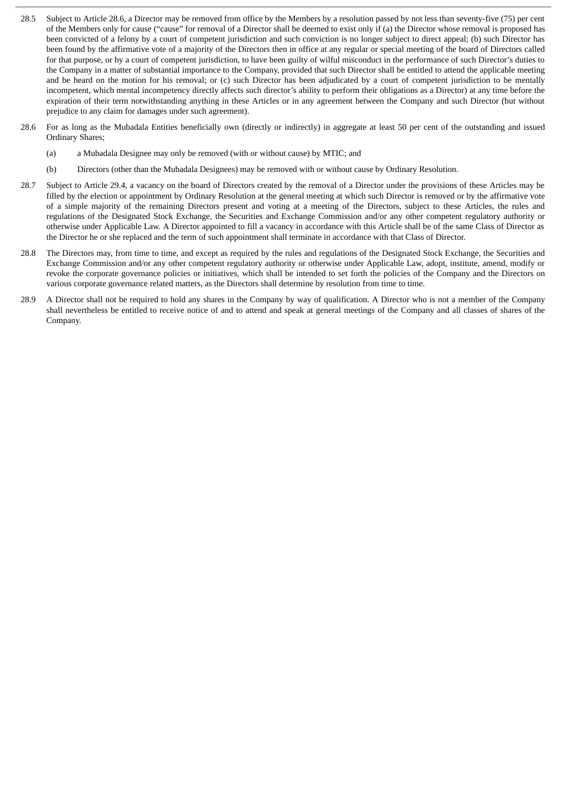- 28.5 Subject to Article 28.6, a Director may be removed from office by the Members by a resolution passed by not less than seventy-five (75) per cent of the Members only for cause ("cause" for removal of a Director shall be deemed to exist only if (a) the Director whose removal is proposed has been convicted of a felony by a court of competent jurisdiction and such conviction is no longer subject to direct appeal; (b) such Director has been found by the affirmative vote of a majority of the Directors then in office at any regular or special meeting of the board of Directors called for that purpose, or by a court of competent jurisdiction, to have been guilty of wilful misconduct in the performance of such Director's duties to the Company in a matter of substantial importance to the Company, provided that such Director shall be entitled to attend the applicable meeting and be heard on the motion for his removal; or (c) such Director has been adjudicated by a court of competent jurisdiction to be mentally incompetent, which mental incompetency directly affects such director's ability to perform their obligations as a Director) at any time before the expiration of their term notwithstanding anything in these Articles or in any agreement between the Company and such Director (but without prejudice to any claim for damages under such agreement).
- 28.6 For as long as the Mubadala Entities beneficially own (directly or indirectly) in aggregate at least 50 per cent of the outstanding and issued Ordinary Shares;
	- (a) a Mubadala Designee may only be removed (with or without cause) by MTIC; and
	- (b) Directors (other than the Mubadala Designees) may be removed with or without cause by Ordinary Resolution.
- 28.7 Subject to Article 29.4, a vacancy on the board of Directors created by the removal of a Director under the provisions of these Articles may be filled by the election or appointment by Ordinary Resolution at the general meeting at which such Director is removed or by the affirmative vote of a simple majority of the remaining Directors present and voting at a meeting of the Directors, subject to these Articles, the rules and regulations of the Designated Stock Exchange, the Securities and Exchange Commission and/or any other competent regulatory authority or otherwise under Applicable Law. A Director appointed to fill a vacancy in accordance with this Article shall be of the same Class of Director as the Director he or she replaced and the term of such appointment shall terminate in accordance with that Class of Director.
- 28.8 The Directors may, from time to time, and except as required by the rules and regulations of the Designated Stock Exchange, the Securities and Exchange Commission and/or any other competent regulatory authority or otherwise under Applicable Law, adopt, institute, amend, modify or revoke the corporate governance policies or initiatives, which shall be intended to set forth the policies of the Company and the Directors on various corporate governance related matters, as the Directors shall determine by resolution from time to time.
- 28.9 A Director shall not be required to hold any shares in the Company by way of qualification. A Director who is not a member of the Company shall nevertheless be entitled to receive notice of and to attend and speak at general meetings of the Company and all classes of shares of the Company.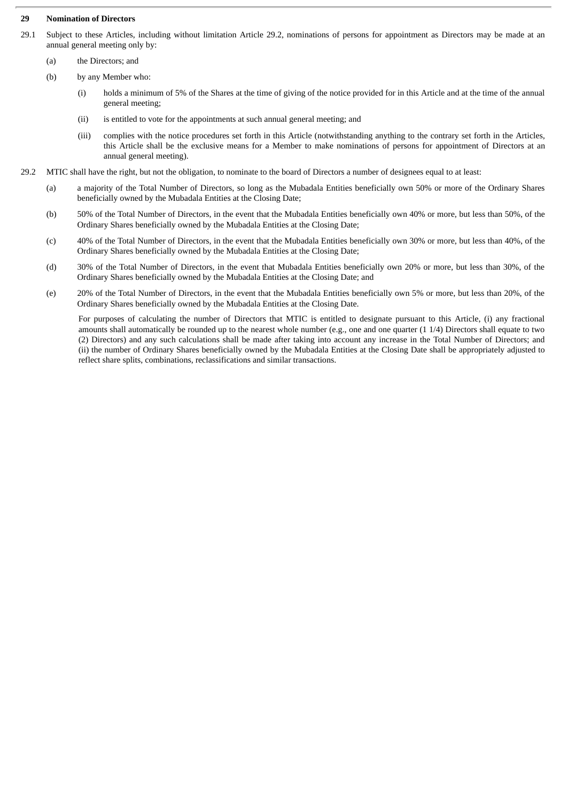#### **29 Nomination of Directors**

- 29.1 Subject to these Articles, including without limitation Article 29.2, nominations of persons for appointment as Directors may be made at an annual general meeting only by:
	- (a) the Directors; and
	- (b) by any Member who:
		- (i) holds a minimum of 5% of the Shares at the time of giving of the notice provided for in this Article and at the time of the annual general meeting;
		- (ii) is entitled to vote for the appointments at such annual general meeting; and
		- (iii) complies with the notice procedures set forth in this Article (notwithstanding anything to the contrary set forth in the Articles, this Article shall be the exclusive means for a Member to make nominations of persons for appointment of Directors at an annual general meeting).
- 29.2 MTIC shall have the right, but not the obligation, to nominate to the board of Directors a number of designees equal to at least:
	- (a) a majority of the Total Number of Directors, so long as the Mubadala Entities beneficially own 50% or more of the Ordinary Shares beneficially owned by the Mubadala Entities at the Closing Date;
	- (b) 50% of the Total Number of Directors, in the event that the Mubadala Entities beneficially own 40% or more, but less than 50%, of the Ordinary Shares beneficially owned by the Mubadala Entities at the Closing Date;
	- (c) 40% of the Total Number of Directors, in the event that the Mubadala Entities beneficially own 30% or more, but less than 40%, of the Ordinary Shares beneficially owned by the Mubadala Entities at the Closing Date;
	- (d) 30% of the Total Number of Directors, in the event that Mubadala Entities beneficially own 20% or more, but less than 30%, of the Ordinary Shares beneficially owned by the Mubadala Entities at the Closing Date; and
	- (e) 20% of the Total Number of Directors, in the event that the Mubadala Entities beneficially own 5% or more, but less than 20%, of the Ordinary Shares beneficially owned by the Mubadala Entities at the Closing Date.

For purposes of calculating the number of Directors that MTIC is entitled to designate pursuant to this Article, (i) any fractional amounts shall automatically be rounded up to the nearest whole number (e.g., one and one quarter (1 1/4) Directors shall equate to two (2) Directors) and any such calculations shall be made after taking into account any increase in the Total Number of Directors; and (ii) the number of Ordinary Shares beneficially owned by the Mubadala Entities at the Closing Date shall be appropriately adjusted to reflect share splits, combinations, reclassifications and similar transactions.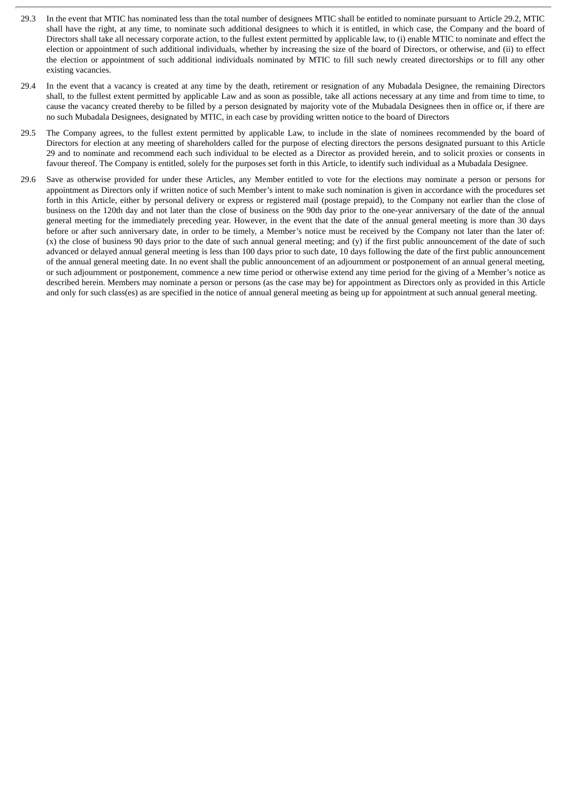- 29.3 In the event that MTIC has nominated less than the total number of designees MTIC shall be entitled to nominate pursuant to Article 29.2, MTIC shall have the right, at any time, to nominate such additional designees to which it is entitled, in which case, the Company and the board of Directors shall take all necessary corporate action, to the fullest extent permitted by applicable law, to (i) enable MTIC to nominate and effect the election or appointment of such additional individuals, whether by increasing the size of the board of Directors, or otherwise, and (ii) to effect the election or appointment of such additional individuals nominated by MTIC to fill such newly created directorships or to fill any other existing vacancies.
- 29.4 In the event that a vacancy is created at any time by the death, retirement or resignation of any Mubadala Designee, the remaining Directors shall, to the fullest extent permitted by applicable Law and as soon as possible, take all actions necessary at any time and from time to time, to cause the vacancy created thereby to be filled by a person designated by majority vote of the Mubadala Designees then in office or, if there are no such Mubadala Designees, designated by MTIC, in each case by providing written notice to the board of Directors
- 29.5 The Company agrees, to the fullest extent permitted by applicable Law, to include in the slate of nominees recommended by the board of Directors for election at any meeting of shareholders called for the purpose of electing directors the persons designated pursuant to this Article 29 and to nominate and recommend each such individual to be elected as a Director as provided herein, and to solicit proxies or consents in favour thereof. The Company is entitled, solely for the purposes set forth in this Article, to identify such individual as a Mubadala Designee.
- 29.6 Save as otherwise provided for under these Articles, any Member entitled to vote for the elections may nominate a person or persons for appointment as Directors only if written notice of such Member's intent to make such nomination is given in accordance with the procedures set forth in this Article, either by personal delivery or express or registered mail (postage prepaid), to the Company not earlier than the close of business on the 120th day and not later than the close of business on the 90th day prior to the one-year anniversary of the date of the annual general meeting for the immediately preceding year. However, in the event that the date of the annual general meeting is more than 30 days before or after such anniversary date, in order to be timely, a Member's notice must be received by the Company not later than the later of: (x) the close of business 90 days prior to the date of such annual general meeting; and (y) if the first public announcement of the date of such advanced or delayed annual general meeting is less than 100 days prior to such date, 10 days following the date of the first public announcement of the annual general meeting date. In no event shall the public announcement of an adjournment or postponement of an annual general meeting, or such adjournment or postponement, commence a new time period or otherwise extend any time period for the giving of a Member's notice as described herein. Members may nominate a person or persons (as the case may be) for appointment as Directors only as provided in this Article and only for such class(es) as are specified in the notice of annual general meeting as being up for appointment at such annual general meeting.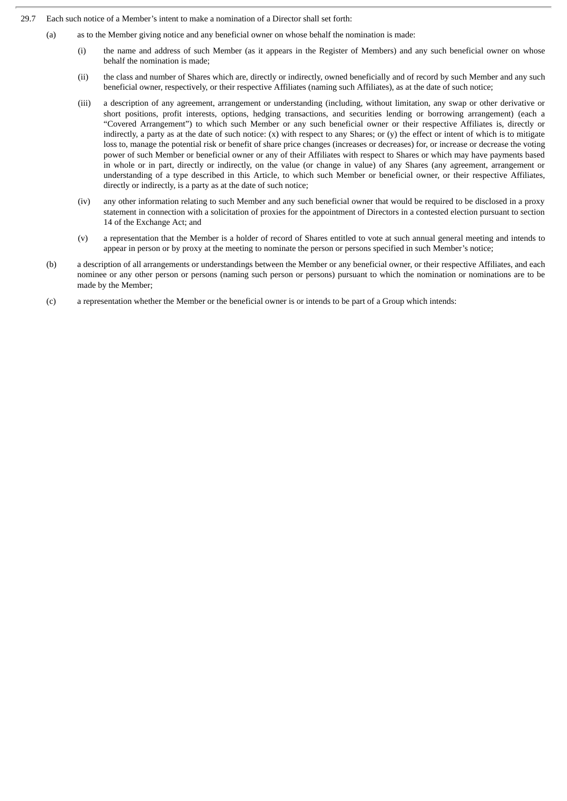- 29.7 Each such notice of a Member's intent to make a nomination of a Director shall set forth:
	- (a) as to the Member giving notice and any beneficial owner on whose behalf the nomination is made:
		- (i) the name and address of such Member (as it appears in the Register of Members) and any such beneficial owner on whose behalf the nomination is made;
		- (ii) the class and number of Shares which are, directly or indirectly, owned beneficially and of record by such Member and any such beneficial owner, respectively, or their respective Affiliates (naming such Affiliates), as at the date of such notice;
		- (iii) a description of any agreement, arrangement or understanding (including, without limitation, any swap or other derivative or short positions, profit interests, options, hedging transactions, and securities lending or borrowing arrangement) (each a "Covered Arrangement") to which such Member or any such beneficial owner or their respective Affiliates is, directly or indirectly, a party as at the date of such notice:  $(x)$  with respect to any Shares; or  $(y)$  the effect or intent of which is to mitigate loss to, manage the potential risk or benefit of share price changes (increases or decreases) for, or increase or decrease the voting power of such Member or beneficial owner or any of their Affiliates with respect to Shares or which may have payments based in whole or in part, directly or indirectly, on the value (or change in value) of any Shares (any agreement, arrangement or understanding of a type described in this Article, to which such Member or beneficial owner, or their respective Affiliates, directly or indirectly, is a party as at the date of such notice;
		- (iv) any other information relating to such Member and any such beneficial owner that would be required to be disclosed in a proxy statement in connection with a solicitation of proxies for the appointment of Directors in a contested election pursuant to section 14 of the Exchange Act; and
		- (v) a representation that the Member is a holder of record of Shares entitled to vote at such annual general meeting and intends to appear in person or by proxy at the meeting to nominate the person or persons specified in such Member's notice;
	- (b) a description of all arrangements or understandings between the Member or any beneficial owner, or their respective Affiliates, and each nominee or any other person or persons (naming such person or persons) pursuant to which the nomination or nominations are to be made by the Member;
	- (c) a representation whether the Member or the beneficial owner is or intends to be part of a Group which intends: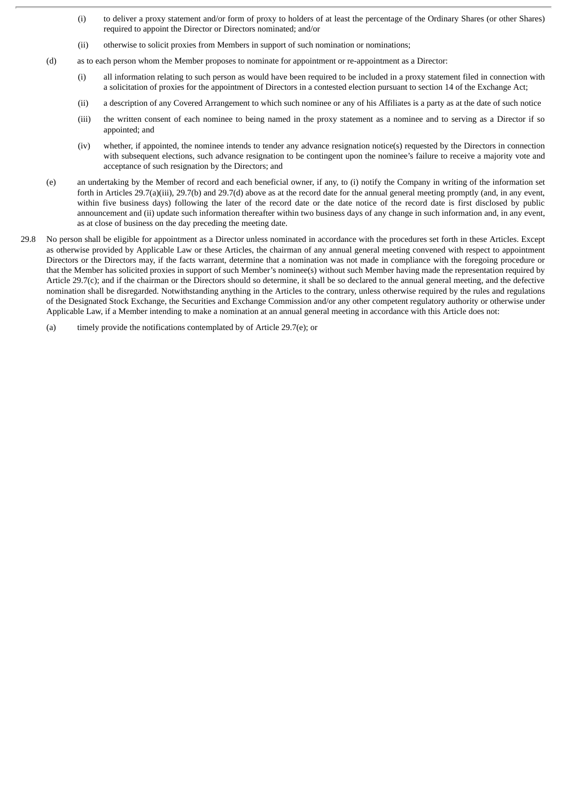- (i) to deliver a proxy statement and/or form of proxy to holders of at least the percentage of the Ordinary Shares (or other Shares) required to appoint the Director or Directors nominated; and/or
- (ii) otherwise to solicit proxies from Members in support of such nomination or nominations;
- (d) as to each person whom the Member proposes to nominate for appointment or re-appointment as a Director:
	- (i) all information relating to such person as would have been required to be included in a proxy statement filed in connection with a solicitation of proxies for the appointment of Directors in a contested election pursuant to section 14 of the Exchange Act;
	- (ii) a description of any Covered Arrangement to which such nominee or any of his Affiliates is a party as at the date of such notice
	- (iii) the written consent of each nominee to being named in the proxy statement as a nominee and to serving as a Director if so appointed; and
	- (iv) whether, if appointed, the nominee intends to tender any advance resignation notice(s) requested by the Directors in connection with subsequent elections, such advance resignation to be contingent upon the nominee's failure to receive a majority vote and acceptance of such resignation by the Directors; and
- (e) an undertaking by the Member of record and each beneficial owner, if any, to (i) notify the Company in writing of the information set forth in Articles 29.7(a)(iii), 29.7(b) and 29.7(d) above as at the record date for the annual general meeting promptly (and, in any event, within five business days) following the later of the record date or the date notice of the record date is first disclosed by public announcement and (ii) update such information thereafter within two business days of any change in such information and, in any event, as at close of business on the day preceding the meeting date.
- 29.8 No person shall be eligible for appointment as a Director unless nominated in accordance with the procedures set forth in these Articles. Except as otherwise provided by Applicable Law or these Articles, the chairman of any annual general meeting convened with respect to appointment Directors or the Directors may, if the facts warrant, determine that a nomination was not made in compliance with the foregoing procedure or that the Member has solicited proxies in support of such Member's nominee(s) without such Member having made the representation required by Article 29.7(c); and if the chairman or the Directors should so determine, it shall be so declared to the annual general meeting, and the defective nomination shall be disregarded. Notwithstanding anything in the Articles to the contrary, unless otherwise required by the rules and regulations of the Designated Stock Exchange, the Securities and Exchange Commission and/or any other competent regulatory authority or otherwise under Applicable Law, if a Member intending to make a nomination at an annual general meeting in accordance with this Article does not:
	- (a) timely provide the notifications contemplated by of Article 29.7(e); or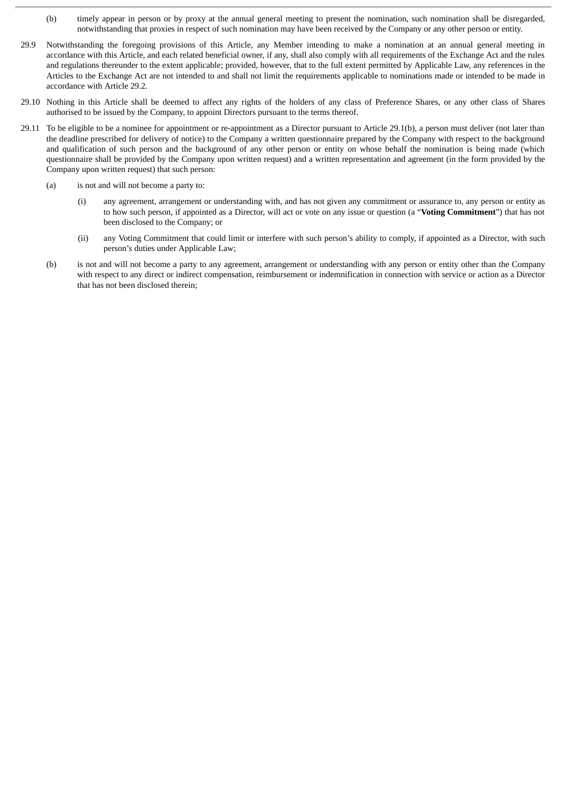- (b) timely appear in person or by proxy at the annual general meeting to present the nomination, such nomination shall be disregarded, notwithstanding that proxies in respect of such nomination may have been received by the Company or any other person or entity.
- 29.9 Notwithstanding the foregoing provisions of this Article, any Member intending to make a nomination at an annual general meeting in accordance with this Article, and each related beneficial owner, if any, shall also comply with all requirements of the Exchange Act and the rules and regulations thereunder to the extent applicable; provided, however, that to the full extent permitted by Applicable Law, any references in the Articles to the Exchange Act are not intended to and shall not limit the requirements applicable to nominations made or intended to be made in accordance with Article 29.2.
- 29.10 Nothing in this Article shall be deemed to affect any rights of the holders of any class of Preference Shares, or any other class of Shares authorised to be issued by the Company, to appoint Directors pursuant to the terms thereof.
- 29.11 To be eligible to be a nominee for appointment or re-appointment as a Director pursuant to Article 29.1(b), a person must deliver (not later than the deadline prescribed for delivery of notice) to the Company a written questionnaire prepared by the Company with respect to the background and qualification of such person and the background of any other person or entity on whose behalf the nomination is being made (which questionnaire shall be provided by the Company upon written request) and a written representation and agreement (in the form provided by the Company upon written request) that such person:
	- (a) is not and will not become a party to:
		- (i) any agreement, arrangement or understanding with, and has not given any commitment or assurance to, any person or entity as to how such person, if appointed as a Director, will act or vote on any issue or question (a "**Voting Commitment**") that has not been disclosed to the Company; or
		- (ii) any Voting Commitment that could limit or interfere with such person's ability to comply, if appointed as a Director, with such person's duties under Applicable Law;
	- (b) is not and will not become a party to any agreement, arrangement or understanding with any person or entity other than the Company with respect to any direct or indirect compensation, reimbursement or indemnification in connection with service or action as a Director that has not been disclosed therein;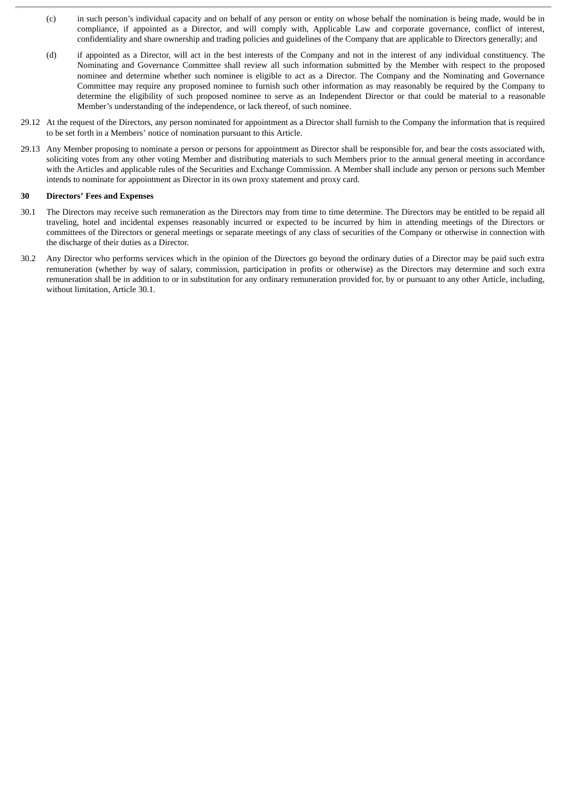- (c) in such person's individual capacity and on behalf of any person or entity on whose behalf the nomination is being made, would be in compliance, if appointed as a Director, and will comply with, Applicable Law and corporate governance, conflict of interest, confidentiality and share ownership and trading policies and guidelines of the Company that are applicable to Directors generally; and
- (d) if appointed as a Director, will act in the best interests of the Company and not in the interest of any individual constituency. The Nominating and Governance Committee shall review all such information submitted by the Member with respect to the proposed nominee and determine whether such nominee is eligible to act as a Director. The Company and the Nominating and Governance Committee may require any proposed nominee to furnish such other information as may reasonably be required by the Company to determine the eligibility of such proposed nominee to serve as an Independent Director or that could be material to a reasonable Member's understanding of the independence, or lack thereof, of such nominee.
- 29.12 At the request of the Directors, any person nominated for appointment as a Director shall furnish to the Company the information that is required to be set forth in a Members' notice of nomination pursuant to this Article.
- 29.13 Any Member proposing to nominate a person or persons for appointment as Director shall be responsible for, and bear the costs associated with, soliciting votes from any other voting Member and distributing materials to such Members prior to the annual general meeting in accordance with the Articles and applicable rules of the Securities and Exchange Commission. A Member shall include any person or persons such Member intends to nominate for appointment as Director in its own proxy statement and proxy card.

#### **30 Directors' Fees and Expenses**

- 30.1 The Directors may receive such remuneration as the Directors may from time to time determine. The Directors may be entitled to be repaid all traveling, hotel and incidental expenses reasonably incurred or expected to be incurred by him in attending meetings of the Directors or committees of the Directors or general meetings or separate meetings of any class of securities of the Company or otherwise in connection with the discharge of their duties as a Director.
- 30.2 Any Director who performs services which in the opinion of the Directors go beyond the ordinary duties of a Director may be paid such extra remuneration (whether by way of salary, commission, participation in profits or otherwise) as the Directors may determine and such extra remuneration shall be in addition to or in substitution for any ordinary remuneration provided for, by or pursuant to any other Article, including, without limitation, Article 30.1.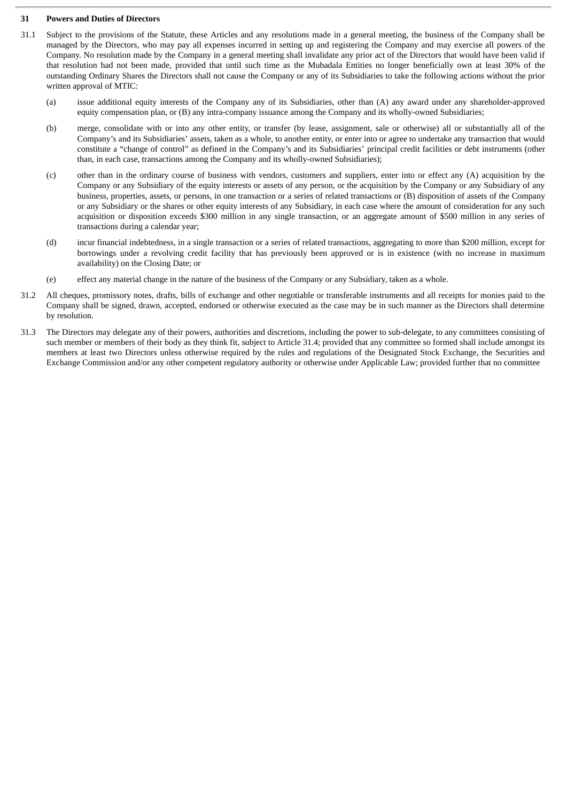#### **31 Powers and Duties of Directors**

- 31.1 Subject to the provisions of the Statute, these Articles and any resolutions made in a general meeting, the business of the Company shall be managed by the Directors, who may pay all expenses incurred in setting up and registering the Company and may exercise all powers of the Company. No resolution made by the Company in a general meeting shall invalidate any prior act of the Directors that would have been valid if that resolution had not been made, provided that until such time as the Mubadala Entities no longer beneficially own at least 30% of the outstanding Ordinary Shares the Directors shall not cause the Company or any of its Subsidiaries to take the following actions without the prior written approval of MTIC:
	- (a) issue additional equity interests of the Company any of its Subsidiaries, other than (A) any award under any shareholder-approved equity compensation plan, or (B) any intra-company issuance among the Company and its wholly-owned Subsidiaries;
	- (b) merge, consolidate with or into any other entity, or transfer (by lease, assignment, sale or otherwise) all or substantially all of the Company's and its Subsidiaries' assets, taken as a whole, to another entity, or enter into or agree to undertake any transaction that would constitute a "change of control" as defined in the Company's and its Subsidiaries' principal credit facilities or debt instruments (other than, in each case, transactions among the Company and its wholly-owned Subsidiaries);
	- (c) other than in the ordinary course of business with vendors, customers and suppliers, enter into or effect any (A) acquisition by the Company or any Subsidiary of the equity interests or assets of any person, or the acquisition by the Company or any Subsidiary of any business, properties, assets, or persons, in one transaction or a series of related transactions or (B) disposition of assets of the Company or any Subsidiary or the shares or other equity interests of any Subsidiary, in each case where the amount of consideration for any such acquisition or disposition exceeds \$300 million in any single transaction, or an aggregate amount of \$500 million in any series of transactions during a calendar year;
	- (d) incur financial indebtedness, in a single transaction or a series of related transactions, aggregating to more than \$200 million, except for borrowings under a revolving credit facility that has previously been approved or is in existence (with no increase in maximum availability) on the Closing Date; or
	- (e) effect any material change in the nature of the business of the Company or any Subsidiary, taken as a whole.
- 31.2 All cheques, promissory notes, drafts, bills of exchange and other negotiable or transferable instruments and all receipts for monies paid to the Company shall be signed, drawn, accepted, endorsed or otherwise executed as the case may be in such manner as the Directors shall determine by resolution.
- 31.3 The Directors may delegate any of their powers, authorities and discretions, including the power to sub-delegate, to any committees consisting of such member or members of their body as they think fit, subject to Article 31.4; provided that any committee so formed shall include amongst its members at least two Directors unless otherwise required by the rules and regulations of the Designated Stock Exchange, the Securities and Exchange Commission and/or any other competent regulatory authority or otherwise under Applicable Law; provided further that no committee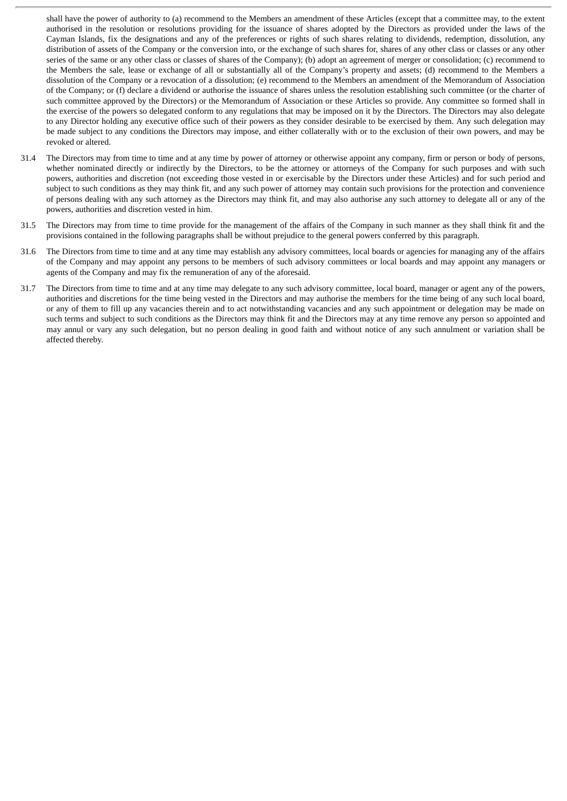shall have the power of authority to (a) recommend to the Members an amendment of these Articles (except that a committee may, to the extent authorised in the resolution or resolutions providing for the issuance of shares adopted by the Directors as provided under the laws of the Cayman Islands, fix the designations and any of the preferences or rights of such shares relating to dividends, redemption, dissolution, any distribution of assets of the Company or the conversion into, or the exchange of such shares for, shares of any other class or classes or any other series of the same or any other class or classes of shares of the Company); (b) adopt an agreement of merger or consolidation; (c) recommend to the Members the sale, lease or exchange of all or substantially all of the Company's property and assets; (d) recommend to the Members a dissolution of the Company or a revocation of a dissolution; (e) recommend to the Members an amendment of the Memorandum of Association of the Company; or (f) declare a dividend or authorise the issuance of shares unless the resolution establishing such committee (or the charter of such committee approved by the Directors) or the Memorandum of Association or these Articles so provide. Any committee so formed shall in the exercise of the powers so delegated conform to any regulations that may be imposed on it by the Directors. The Directors may also delegate to any Director holding any executive office such of their powers as they consider desirable to be exercised by them. Any such delegation may be made subject to any conditions the Directors may impose, and either collaterally with or to the exclusion of their own powers, and may be revoked or altered.

- 31.4 The Directors may from time to time and at any time by power of attorney or otherwise appoint any company, firm or person or body of persons, whether nominated directly or indirectly by the Directors, to be the attorney or attorneys of the Company for such purposes and with such powers, authorities and discretion (not exceeding those vested in or exercisable by the Directors under these Articles) and for such period and subject to such conditions as they may think fit, and any such power of attorney may contain such provisions for the protection and convenience of persons dealing with any such attorney as the Directors may think fit, and may also authorise any such attorney to delegate all or any of the powers, authorities and discretion vested in him.
- 31.5 The Directors may from time to time provide for the management of the affairs of the Company in such manner as they shall think fit and the provisions contained in the following paragraphs shall be without prejudice to the general powers conferred by this paragraph.
- 31.6 The Directors from time to time and at any time may establish any advisory committees, local boards or agencies for managing any of the affairs of the Company and may appoint any persons to be members of such advisory committees or local boards and may appoint any managers or agents of the Company and may fix the remuneration of any of the aforesaid.
- 31.7 The Directors from time to time and at any time may delegate to any such advisory committee, local board, manager or agent any of the powers, authorities and discretions for the time being vested in the Directors and may authorise the members for the time being of any such local board, or any of them to fill up any vacancies therein and to act notwithstanding vacancies and any such appointment or delegation may be made on such terms and subject to such conditions as the Directors may think fit and the Directors may at any time remove any person so appointed and may annul or vary any such delegation, but no person dealing in good faith and without notice of any such annulment or variation shall be affected thereby.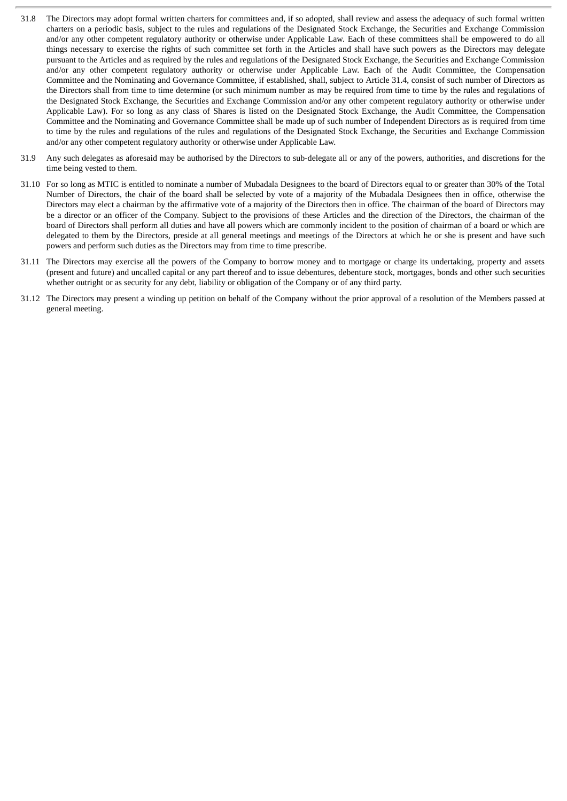- 31.8 The Directors may adopt formal written charters for committees and, if so adopted, shall review and assess the adequacy of such formal written charters on a periodic basis, subject to the rules and regulations of the Designated Stock Exchange, the Securities and Exchange Commission and/or any other competent regulatory authority or otherwise under Applicable Law. Each of these committees shall be empowered to do all things necessary to exercise the rights of such committee set forth in the Articles and shall have such powers as the Directors may delegate pursuant to the Articles and as required by the rules and regulations of the Designated Stock Exchange, the Securities and Exchange Commission and/or any other competent regulatory authority or otherwise under Applicable Law. Each of the Audit Committee, the Compensation Committee and the Nominating and Governance Committee, if established, shall, subject to Article 31.4, consist of such number of Directors as the Directors shall from time to time determine (or such minimum number as may be required from time to time by the rules and regulations of the Designated Stock Exchange, the Securities and Exchange Commission and/or any other competent regulatory authority or otherwise under Applicable Law). For so long as any class of Shares is listed on the Designated Stock Exchange, the Audit Committee, the Compensation Committee and the Nominating and Governance Committee shall be made up of such number of Independent Directors as is required from time to time by the rules and regulations of the rules and regulations of the Designated Stock Exchange, the Securities and Exchange Commission and/or any other competent regulatory authority or otherwise under Applicable Law.
- 31.9 Any such delegates as aforesaid may be authorised by the Directors to sub-delegate all or any of the powers, authorities, and discretions for the time being vested to them.
- 31.10 For so long as MTIC is entitled to nominate a number of Mubadala Designees to the board of Directors equal to or greater than 30% of the Total Number of Directors, the chair of the board shall be selected by vote of a majority of the Mubadala Designees then in office, otherwise the Directors may elect a chairman by the affirmative vote of a majority of the Directors then in office. The chairman of the board of Directors may be a director or an officer of the Company. Subject to the provisions of these Articles and the direction of the Directors, the chairman of the board of Directors shall perform all duties and have all powers which are commonly incident to the position of chairman of a board or which are delegated to them by the Directors, preside at all general meetings and meetings of the Directors at which he or she is present and have such powers and perform such duties as the Directors may from time to time prescribe.
- 31.11 The Directors may exercise all the powers of the Company to borrow money and to mortgage or charge its undertaking, property and assets (present and future) and uncalled capital or any part thereof and to issue debentures, debenture stock, mortgages, bonds and other such securities whether outright or as security for any debt, liability or obligation of the Company or of any third party.
- 31.12 The Directors may present a winding up petition on behalf of the Company without the prior approval of a resolution of the Members passed at general meeting.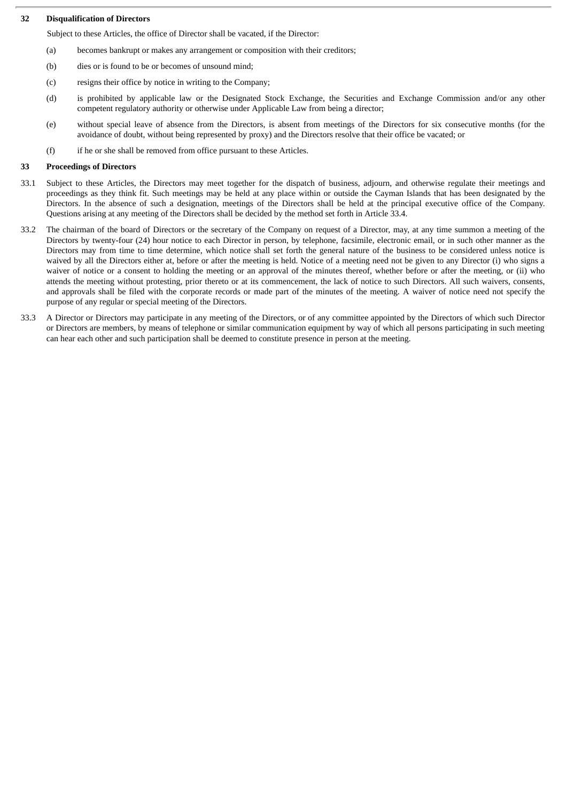#### **32 Disqualification of Directors**

Subject to these Articles, the office of Director shall be vacated, if the Director:

- (a) becomes bankrupt or makes any arrangement or composition with their creditors;
- (b) dies or is found to be or becomes of unsound mind;
- (c) resigns their office by notice in writing to the Company;
- (d) is prohibited by applicable law or the Designated Stock Exchange, the Securities and Exchange Commission and/or any other competent regulatory authority or otherwise under Applicable Law from being a director;
- (e) without special leave of absence from the Directors, is absent from meetings of the Directors for six consecutive months (for the avoidance of doubt, without being represented by proxy) and the Directors resolve that their office be vacated; or
- (f) if he or she shall be removed from office pursuant to these Articles.

#### **33 Proceedings of Directors**

- 33.1 Subject to these Articles, the Directors may meet together for the dispatch of business, adjourn, and otherwise regulate their meetings and proceedings as they think fit. Such meetings may be held at any place within or outside the Cayman Islands that has been designated by the Directors. In the absence of such a designation, meetings of the Directors shall be held at the principal executive office of the Company. Questions arising at any meeting of the Directors shall be decided by the method set forth in Article 33.4.
- 33.2 The chairman of the board of Directors or the secretary of the Company on request of a Director, may, at any time summon a meeting of the Directors by twenty-four (24) hour notice to each Director in person, by telephone, facsimile, electronic email, or in such other manner as the Directors may from time to time determine, which notice shall set forth the general nature of the business to be considered unless notice is waived by all the Directors either at, before or after the meeting is held. Notice of a meeting need not be given to any Director (i) who signs a waiver of notice or a consent to holding the meeting or an approval of the minutes thereof, whether before or after the meeting, or (ii) who attends the meeting without protesting, prior thereto or at its commencement, the lack of notice to such Directors. All such waivers, consents, and approvals shall be filed with the corporate records or made part of the minutes of the meeting. A waiver of notice need not specify the purpose of any regular or special meeting of the Directors.
- 33.3 A Director or Directors may participate in any meeting of the Directors, or of any committee appointed by the Directors of which such Director or Directors are members, by means of telephone or similar communication equipment by way of which all persons participating in such meeting can hear each other and such participation shall be deemed to constitute presence in person at the meeting.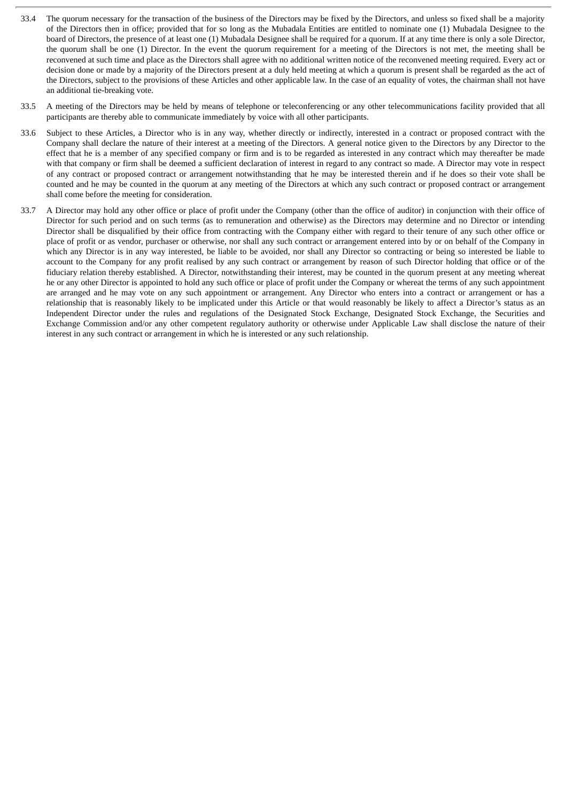- 33.4 The quorum necessary for the transaction of the business of the Directors may be fixed by the Directors, and unless so fixed shall be a majority of the Directors then in office; provided that for so long as the Mubadala Entities are entitled to nominate one (1) Mubadala Designee to the board of Directors, the presence of at least one (1) Mubadala Designee shall be required for a quorum. If at any time there is only a sole Director, the quorum shall be one (1) Director. In the event the quorum requirement for a meeting of the Directors is not met, the meeting shall be reconvened at such time and place as the Directors shall agree with no additional written notice of the reconvened meeting required. Every act or decision done or made by a majority of the Directors present at a duly held meeting at which a quorum is present shall be regarded as the act of the Directors, subject to the provisions of these Articles and other applicable law. In the case of an equality of votes, the chairman shall not have an additional tie-breaking vote.
- 33.5 A meeting of the Directors may be held by means of telephone or teleconferencing or any other telecommunications facility provided that all participants are thereby able to communicate immediately by voice with all other participants.
- 33.6 Subject to these Articles, a Director who is in any way, whether directly or indirectly, interested in a contract or proposed contract with the Company shall declare the nature of their interest at a meeting of the Directors. A general notice given to the Directors by any Director to the effect that he is a member of any specified company or firm and is to be regarded as interested in any contract which may thereafter be made with that company or firm shall be deemed a sufficient declaration of interest in regard to any contract so made. A Director may vote in respect of any contract or proposed contract or arrangement notwithstanding that he may be interested therein and if he does so their vote shall be counted and he may be counted in the quorum at any meeting of the Directors at which any such contract or proposed contract or arrangement shall come before the meeting for consideration.
- 33.7 A Director may hold any other office or place of profit under the Company (other than the office of auditor) in conjunction with their office of Director for such period and on such terms (as to remuneration and otherwise) as the Directors may determine and no Director or intending Director shall be disqualified by their office from contracting with the Company either with regard to their tenure of any such other office or place of profit or as vendor, purchaser or otherwise, nor shall any such contract or arrangement entered into by or on behalf of the Company in which any Director is in any way interested, be liable to be avoided, nor shall any Director so contracting or being so interested be liable to account to the Company for any profit realised by any such contract or arrangement by reason of such Director holding that office or of the fiduciary relation thereby established. A Director, notwithstanding their interest, may be counted in the quorum present at any meeting whereat he or any other Director is appointed to hold any such office or place of profit under the Company or whereat the terms of any such appointment are arranged and he may vote on any such appointment or arrangement. Any Director who enters into a contract or arrangement or has a relationship that is reasonably likely to be implicated under this Article or that would reasonably be likely to affect a Director's status as an Independent Director under the rules and regulations of the Designated Stock Exchange, Designated Stock Exchange, the Securities and Exchange Commission and/or any other competent regulatory authority or otherwise under Applicable Law shall disclose the nature of their interest in any such contract or arrangement in which he is interested or any such relationship.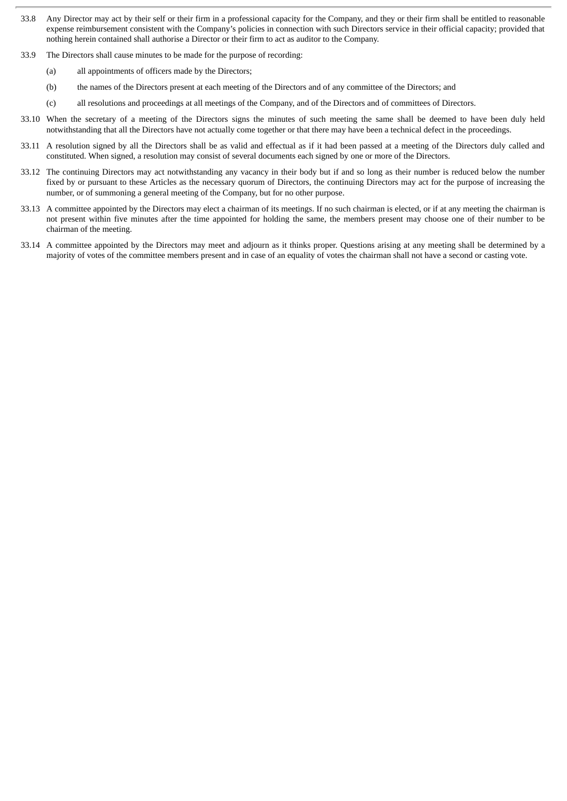- 33.8 Any Director may act by their self or their firm in a professional capacity for the Company, and they or their firm shall be entitled to reasonable expense reimbursement consistent with the Company's policies in connection with such Directors service in their official capacity; provided that nothing herein contained shall authorise a Director or their firm to act as auditor to the Company.
- 33.9 The Directors shall cause minutes to be made for the purpose of recording:
	- (a) all appointments of officers made by the Directors;
	- (b) the names of the Directors present at each meeting of the Directors and of any committee of the Directors; and
	- (c) all resolutions and proceedings at all meetings of the Company, and of the Directors and of committees of Directors.
- 33.10 When the secretary of a meeting of the Directors signs the minutes of such meeting the same shall be deemed to have been duly held notwithstanding that all the Directors have not actually come together or that there may have been a technical defect in the proceedings.
- 33.11 A resolution signed by all the Directors shall be as valid and effectual as if it had been passed at a meeting of the Directors duly called and constituted. When signed, a resolution may consist of several documents each signed by one or more of the Directors.
- 33.12 The continuing Directors may act notwithstanding any vacancy in their body but if and so long as their number is reduced below the number fixed by or pursuant to these Articles as the necessary quorum of Directors, the continuing Directors may act for the purpose of increasing the number, or of summoning a general meeting of the Company, but for no other purpose.
- 33.13 A committee appointed by the Directors may elect a chairman of its meetings. If no such chairman is elected, or if at any meeting the chairman is not present within five minutes after the time appointed for holding the same, the members present may choose one of their number to be chairman of the meeting.
- 33.14 A committee appointed by the Directors may meet and adjourn as it thinks proper. Questions arising at any meeting shall be determined by a majority of votes of the committee members present and in case of an equality of votes the chairman shall not have a second or casting vote.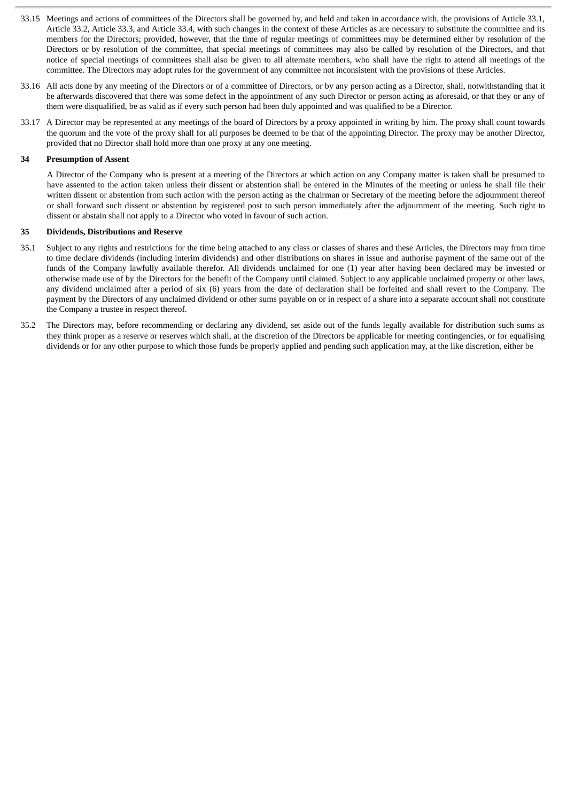- 33.15 Meetings and actions of committees of the Directors shall be governed by, and held and taken in accordance with, the provisions of Article 33.1, Article 33.2, Article 33.3, and Article 33.4, with such changes in the context of these Articles as are necessary to substitute the committee and its members for the Directors; provided, however, that the time of regular meetings of committees may be determined either by resolution of the Directors or by resolution of the committee, that special meetings of committees may also be called by resolution of the Directors, and that notice of special meetings of committees shall also be given to all alternate members, who shall have the right to attend all meetings of the committee. The Directors may adopt rules for the government of any committee not inconsistent with the provisions of these Articles.
- 33.16 All acts done by any meeting of the Directors or of a committee of Directors, or by any person acting as a Director, shall, notwithstanding that it be afterwards discovered that there was some defect in the appointment of any such Director or person acting as aforesaid, or that they or any of them were disqualified, be as valid as if every such person had been duly appointed and was qualified to be a Director.
- 33.17 A Director may be represented at any meetings of the board of Directors by a proxy appointed in writing by him. The proxy shall count towards the quorum and the vote of the proxy shall for all purposes be deemed to be that of the appointing Director. The proxy may be another Director, provided that no Director shall hold more than one proxy at any one meeting.

#### **34 Presumption of Assent**

A Director of the Company who is present at a meeting of the Directors at which action on any Company matter is taken shall be presumed to have assented to the action taken unless their dissent or abstention shall be entered in the Minutes of the meeting or unless he shall file their written dissent or abstention from such action with the person acting as the chairman or Secretary of the meeting before the adjournment thereof or shall forward such dissent or abstention by registered post to such person immediately after the adjournment of the meeting. Such right to dissent or abstain shall not apply to a Director who voted in favour of such action.

#### **35 Dividends, Distributions and Reserve**

- 35.1 Subject to any rights and restrictions for the time being attached to any class or classes of shares and these Articles, the Directors may from time to time declare dividends (including interim dividends) and other distributions on shares in issue and authorise payment of the same out of the funds of the Company lawfully available therefor. All dividends unclaimed for one (1) year after having been declared may be invested or otherwise made use of by the Directors for the benefit of the Company until claimed. Subject to any applicable unclaimed property or other laws, any dividend unclaimed after a period of six (6) years from the date of declaration shall be forfeited and shall revert to the Company. The payment by the Directors of any unclaimed dividend or other sums payable on or in respect of a share into a separate account shall not constitute the Company a trustee in respect thereof.
- 35.2 The Directors may, before recommending or declaring any dividend, set aside out of the funds legally available for distribution such sums as they think proper as a reserve or reserves which shall, at the discretion of the Directors be applicable for meeting contingencies, or for equalising dividends or for any other purpose to which those funds be properly applied and pending such application may, at the like discretion, either be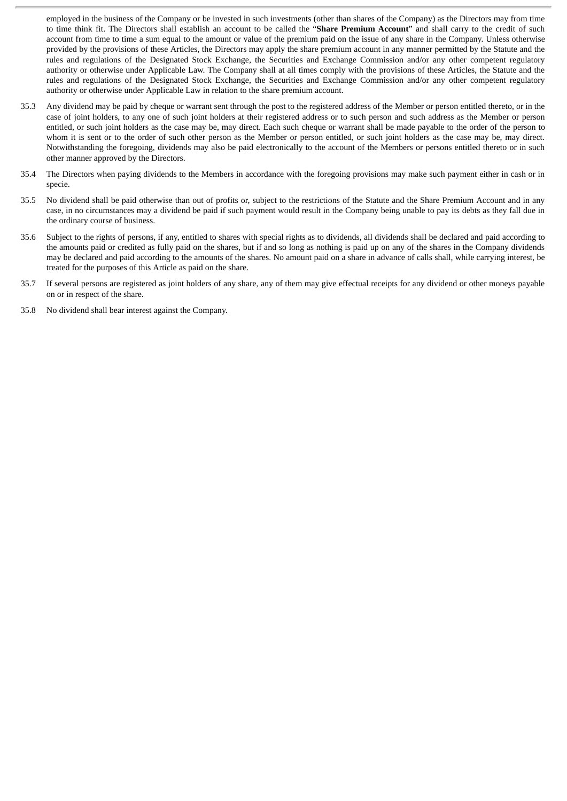employed in the business of the Company or be invested in such investments (other than shares of the Company) as the Directors may from time to time think fit. The Directors shall establish an account to be called the "**Share Premium Account**" and shall carry to the credit of such account from time to time a sum equal to the amount or value of the premium paid on the issue of any share in the Company. Unless otherwise provided by the provisions of these Articles, the Directors may apply the share premium account in any manner permitted by the Statute and the rules and regulations of the Designated Stock Exchange, the Securities and Exchange Commission and/or any other competent regulatory authority or otherwise under Applicable Law. The Company shall at all times comply with the provisions of these Articles, the Statute and the rules and regulations of the Designated Stock Exchange, the Securities and Exchange Commission and/or any other competent regulatory authority or otherwise under Applicable Law in relation to the share premium account.

- 35.3 Any dividend may be paid by cheque or warrant sent through the post to the registered address of the Member or person entitled thereto, or in the case of joint holders, to any one of such joint holders at their registered address or to such person and such address as the Member or person entitled, or such joint holders as the case may be, may direct. Each such cheque or warrant shall be made payable to the order of the person to whom it is sent or to the order of such other person as the Member or person entitled, or such joint holders as the case may be, may direct. Notwithstanding the foregoing, dividends may also be paid electronically to the account of the Members or persons entitled thereto or in such other manner approved by the Directors.
- 35.4 The Directors when paying dividends to the Members in accordance with the foregoing provisions may make such payment either in cash or in specie.
- 35.5 No dividend shall be paid otherwise than out of profits or, subject to the restrictions of the Statute and the Share Premium Account and in any case, in no circumstances may a dividend be paid if such payment would result in the Company being unable to pay its debts as they fall due in the ordinary course of business.
- 35.6 Subject to the rights of persons, if any, entitled to shares with special rights as to dividends, all dividends shall be declared and paid according to the amounts paid or credited as fully paid on the shares, but if and so long as nothing is paid up on any of the shares in the Company dividends may be declared and paid according to the amounts of the shares. No amount paid on a share in advance of calls shall, while carrying interest, be treated for the purposes of this Article as paid on the share.
- 35.7 If several persons are registered as joint holders of any share, any of them may give effectual receipts for any dividend or other moneys payable on or in respect of the share.
- 35.8 No dividend shall bear interest against the Company.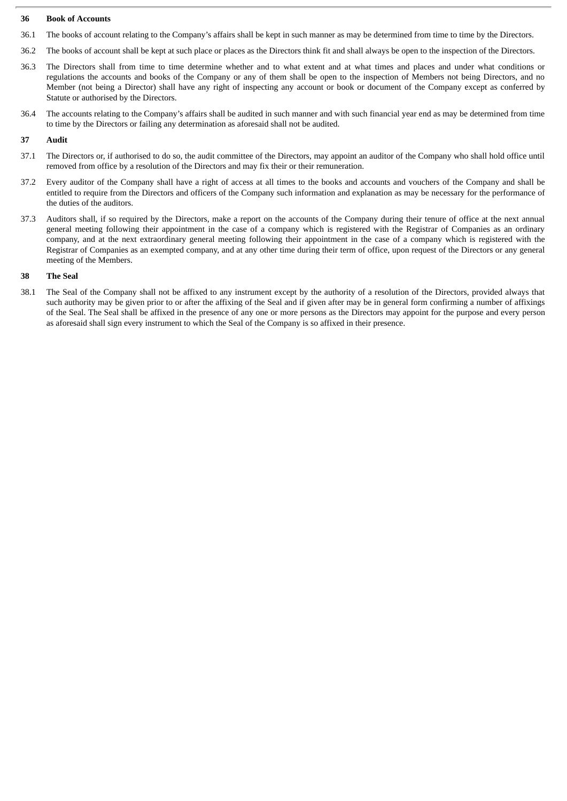#### **36 Book of Accounts**

- 36.1 The books of account relating to the Company's affairs shall be kept in such manner as may be determined from time to time by the Directors.
- 36.2 The books of account shall be kept at such place or places as the Directors think fit and shall always be open to the inspection of the Directors.
- 36.3 The Directors shall from time to time determine whether and to what extent and at what times and places and under what conditions or regulations the accounts and books of the Company or any of them shall be open to the inspection of Members not being Directors, and no Member (not being a Director) shall have any right of inspecting any account or book or document of the Company except as conferred by Statute or authorised by the Directors.
- 36.4 The accounts relating to the Company's affairs shall be audited in such manner and with such financial year end as may be determined from time to time by the Directors or failing any determination as aforesaid shall not be audited.

#### **37 Audit**

- 37.1 The Directors or, if authorised to do so, the audit committee of the Directors, may appoint an auditor of the Company who shall hold office until removed from office by a resolution of the Directors and may fix their or their remuneration.
- 37.2 Every auditor of the Company shall have a right of access at all times to the books and accounts and vouchers of the Company and shall be entitled to require from the Directors and officers of the Company such information and explanation as may be necessary for the performance of the duties of the auditors.
- 37.3 Auditors shall, if so required by the Directors, make a report on the accounts of the Company during their tenure of office at the next annual general meeting following their appointment in the case of a company which is registered with the Registrar of Companies as an ordinary company, and at the next extraordinary general meeting following their appointment in the case of a company which is registered with the Registrar of Companies as an exempted company, and at any other time during their term of office, upon request of the Directors or any general meeting of the Members.

#### **38 The Seal**

38.1 The Seal of the Company shall not be affixed to any instrument except by the authority of a resolution of the Directors, provided always that such authority may be given prior to or after the affixing of the Seal and if given after may be in general form confirming a number of affixings of the Seal. The Seal shall be affixed in the presence of any one or more persons as the Directors may appoint for the purpose and every person as aforesaid shall sign every instrument to which the Seal of the Company is so affixed in their presence.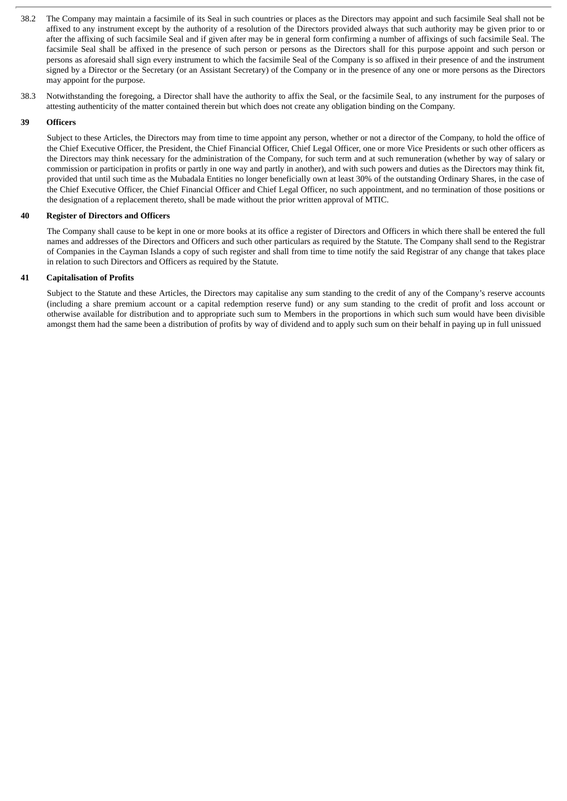- 38.2 The Company may maintain a facsimile of its Seal in such countries or places as the Directors may appoint and such facsimile Seal shall not be affixed to any instrument except by the authority of a resolution of the Directors provided always that such authority may be given prior to or after the affixing of such facsimile Seal and if given after may be in general form confirming a number of affixings of such facsimile Seal. The facsimile Seal shall be affixed in the presence of such person or persons as the Directors shall for this purpose appoint and such person or persons as aforesaid shall sign every instrument to which the facsimile Seal of the Company is so affixed in their presence of and the instrument signed by a Director or the Secretary (or an Assistant Secretary) of the Company or in the presence of any one or more persons as the Directors may appoint for the purpose.
- 38.3 Notwithstanding the foregoing, a Director shall have the authority to affix the Seal, or the facsimile Seal, to any instrument for the purposes of attesting authenticity of the matter contained therein but which does not create any obligation binding on the Company.

#### **39 Officers**

Subject to these Articles, the Directors may from time to time appoint any person, whether or not a director of the Company, to hold the office of the Chief Executive Officer, the President, the Chief Financial Officer, Chief Legal Officer, one or more Vice Presidents or such other officers as the Directors may think necessary for the administration of the Company, for such term and at such remuneration (whether by way of salary or commission or participation in profits or partly in one way and partly in another), and with such powers and duties as the Directors may think fit, provided that until such time as the Mubadala Entities no longer beneficially own at least 30% of the outstanding Ordinary Shares, in the case of the Chief Executive Officer, the Chief Financial Officer and Chief Legal Officer, no such appointment, and no termination of those positions or the designation of a replacement thereto, shall be made without the prior written approval of MTIC.

#### **40 Register of Directors and Officers**

The Company shall cause to be kept in one or more books at its office a register of Directors and Officers in which there shall be entered the full names and addresses of the Directors and Officers and such other particulars as required by the Statute. The Company shall send to the Registrar of Companies in the Cayman Islands a copy of such register and shall from time to time notify the said Registrar of any change that takes place in relation to such Directors and Officers as required by the Statute.

#### **41 Capitalisation of Profits**

Subject to the Statute and these Articles, the Directors may capitalise any sum standing to the credit of any of the Company's reserve accounts (including a share premium account or a capital redemption reserve fund) or any sum standing to the credit of profit and loss account or otherwise available for distribution and to appropriate such sum to Members in the proportions in which such sum would have been divisible amongst them had the same been a distribution of profits by way of dividend and to apply such sum on their behalf in paying up in full unissued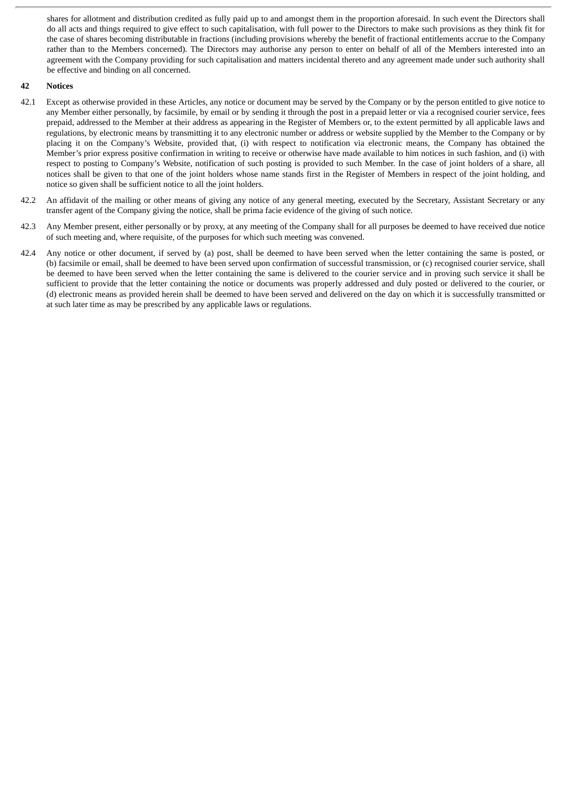shares for allotment and distribution credited as fully paid up to and amongst them in the proportion aforesaid. In such event the Directors shall do all acts and things required to give effect to such capitalisation, with full power to the Directors to make such provisions as they think fit for the case of shares becoming distributable in fractions (including provisions whereby the benefit of fractional entitlements accrue to the Company rather than to the Members concerned). The Directors may authorise any person to enter on behalf of all of the Members interested into an agreement with the Company providing for such capitalisation and matters incidental thereto and any agreement made under such authority shall be effective and binding on all concerned.

# **42 Notices**

- 42.1 Except as otherwise provided in these Articles, any notice or document may be served by the Company or by the person entitled to give notice to any Member either personally, by facsimile, by email or by sending it through the post in a prepaid letter or via a recognised courier service, fees prepaid, addressed to the Member at their address as appearing in the Register of Members or, to the extent permitted by all applicable laws and regulations, by electronic means by transmitting it to any electronic number or address or website supplied by the Member to the Company or by placing it on the Company's Website, provided that, (i) with respect to notification via electronic means, the Company has obtained the Member's prior express positive confirmation in writing to receive or otherwise have made available to him notices in such fashion, and (i) with respect to posting to Company's Website, notification of such posting is provided to such Member. In the case of joint holders of a share, all notices shall be given to that one of the joint holders whose name stands first in the Register of Members in respect of the joint holding, and notice so given shall be sufficient notice to all the joint holders.
- 42.2 An affidavit of the mailing or other means of giving any notice of any general meeting, executed by the Secretary, Assistant Secretary or any transfer agent of the Company giving the notice, shall be prima facie evidence of the giving of such notice.
- 42.3 Any Member present, either personally or by proxy, at any meeting of the Company shall for all purposes be deemed to have received due notice of such meeting and, where requisite, of the purposes for which such meeting was convened.
- 42.4 Any notice or other document, if served by (a) post, shall be deemed to have been served when the letter containing the same is posted, or (b) facsimile or email, shall be deemed to have been served upon confirmation of successful transmission, or (c) recognised courier service, shall be deemed to have been served when the letter containing the same is delivered to the courier service and in proving such service it shall be sufficient to provide that the letter containing the notice or documents was properly addressed and duly posted or delivered to the courier, or (d) electronic means as provided herein shall be deemed to have been served and delivered on the day on which it is successfully transmitted or at such later time as may be prescribed by any applicable laws or regulations.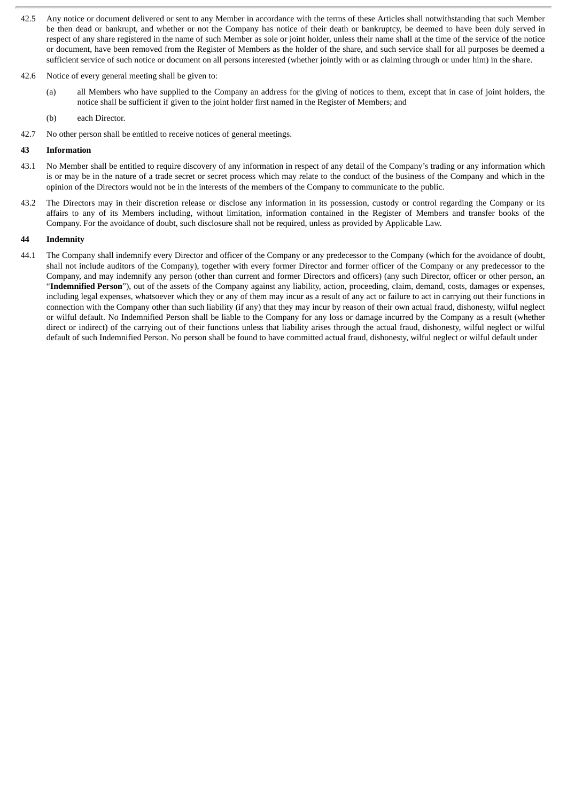- 42.5 Any notice or document delivered or sent to any Member in accordance with the terms of these Articles shall notwithstanding that such Member be then dead or bankrupt, and whether or not the Company has notice of their death or bankruptcy, be deemed to have been duly served in respect of any share registered in the name of such Member as sole or joint holder, unless their name shall at the time of the service of the notice or document, have been removed from the Register of Members as the holder of the share, and such service shall for all purposes be deemed a sufficient service of such notice or document on all persons interested (whether jointly with or as claiming through or under him) in the share.
- 42.6 Notice of every general meeting shall be given to:
	- (a) all Members who have supplied to the Company an address for the giving of notices to them, except that in case of joint holders, the notice shall be sufficient if given to the joint holder first named in the Register of Members; and
	- (b) each Director.
- 42.7 No other person shall be entitled to receive notices of general meetings.

#### **43 Information**

- 43.1 No Member shall be entitled to require discovery of any information in respect of any detail of the Company's trading or any information which is or may be in the nature of a trade secret or secret process which may relate to the conduct of the business of the Company and which in the opinion of the Directors would not be in the interests of the members of the Company to communicate to the public.
- 43.2 The Directors may in their discretion release or disclose any information in its possession, custody or control regarding the Company or its affairs to any of its Members including, without limitation, information contained in the Register of Members and transfer books of the Company. For the avoidance of doubt, such disclosure shall not be required, unless as provided by Applicable Law.

#### **44 Indemnity**

44.1 The Company shall indemnify every Director and officer of the Company or any predecessor to the Company (which for the avoidance of doubt, shall not include auditors of the Company), together with every former Director and former officer of the Company or any predecessor to the Company, and may indemnify any person (other than current and former Directors and officers) (any such Director, officer or other person, an "**Indemnified Person**"), out of the assets of the Company against any liability, action, proceeding, claim, demand, costs, damages or expenses, including legal expenses, whatsoever which they or any of them may incur as a result of any act or failure to act in carrying out their functions in connection with the Company other than such liability (if any) that they may incur by reason of their own actual fraud, dishonesty, wilful neglect or wilful default. No Indemnified Person shall be liable to the Company for any loss or damage incurred by the Company as a result (whether direct or indirect) of the carrying out of their functions unless that liability arises through the actual fraud, dishonesty, wilful neglect or wilful default of such Indemnified Person. No person shall be found to have committed actual fraud, dishonesty, wilful neglect or wilful default under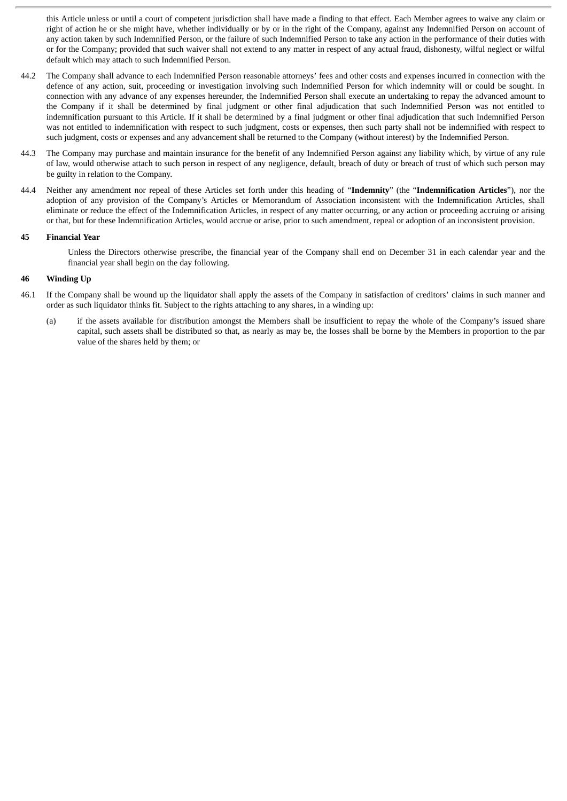this Article unless or until a court of competent jurisdiction shall have made a finding to that effect. Each Member agrees to waive any claim or right of action he or she might have, whether individually or by or in the right of the Company, against any Indemnified Person on account of any action taken by such Indemnified Person, or the failure of such Indemnified Person to take any action in the performance of their duties with or for the Company; provided that such waiver shall not extend to any matter in respect of any actual fraud, dishonesty, wilful neglect or wilful default which may attach to such Indemnified Person.

- 44.2 The Company shall advance to each Indemnified Person reasonable attorneys' fees and other costs and expenses incurred in connection with the defence of any action, suit, proceeding or investigation involving such Indemnified Person for which indemnity will or could be sought. In connection with any advance of any expenses hereunder, the Indemnified Person shall execute an undertaking to repay the advanced amount to the Company if it shall be determined by final judgment or other final adjudication that such Indemnified Person was not entitled to indemnification pursuant to this Article. If it shall be determined by a final judgment or other final adjudication that such Indemnified Person was not entitled to indemnification with respect to such judgment, costs or expenses, then such party shall not be indemnified with respect to such judgment, costs or expenses and any advancement shall be returned to the Company (without interest) by the Indemnified Person.
- 44.3 The Company may purchase and maintain insurance for the benefit of any Indemnified Person against any liability which, by virtue of any rule of law, would otherwise attach to such person in respect of any negligence, default, breach of duty or breach of trust of which such person may be guilty in relation to the Company.
- 44.4 Neither any amendment nor repeal of these Articles set forth under this heading of "**Indemnity**" (the "**Indemnification Articles**"), nor the adoption of any provision of the Company's Articles or Memorandum of Association inconsistent with the Indemnification Articles, shall eliminate or reduce the effect of the Indemnification Articles, in respect of any matter occurring, or any action or proceeding accruing or arising or that, but for these Indemnification Articles, would accrue or arise, prior to such amendment, repeal or adoption of an inconsistent provision.

#### **45 Financial Year**

Unless the Directors otherwise prescribe, the financial year of the Company shall end on December 31 in each calendar year and the financial year shall begin on the day following.

#### **46 Winding Up**

- 46.1 If the Company shall be wound up the liquidator shall apply the assets of the Company in satisfaction of creditors' claims in such manner and order as such liquidator thinks fit. Subject to the rights attaching to any shares, in a winding up:
	- (a) if the assets available for distribution amongst the Members shall be insufficient to repay the whole of the Company's issued share capital, such assets shall be distributed so that, as nearly as may be, the losses shall be borne by the Members in proportion to the par value of the shares held by them; or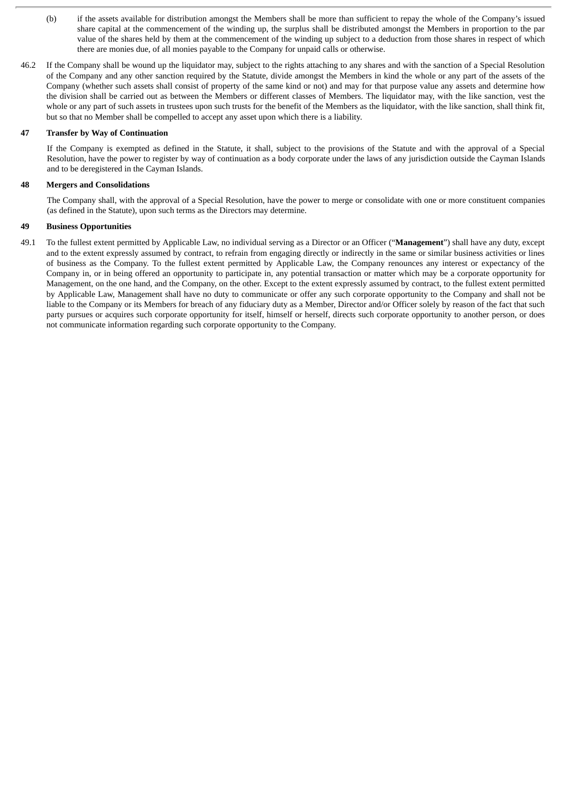- (b) if the assets available for distribution amongst the Members shall be more than sufficient to repay the whole of the Company's issued share capital at the commencement of the winding up, the surplus shall be distributed amongst the Members in proportion to the par value of the shares held by them at the commencement of the winding up subject to a deduction from those shares in respect of which there are monies due, of all monies payable to the Company for unpaid calls or otherwise.
- 46.2 If the Company shall be wound up the liquidator may, subject to the rights attaching to any shares and with the sanction of a Special Resolution of the Company and any other sanction required by the Statute, divide amongst the Members in kind the whole or any part of the assets of the Company (whether such assets shall consist of property of the same kind or not) and may for that purpose value any assets and determine how the division shall be carried out as between the Members or different classes of Members. The liquidator may, with the like sanction, vest the whole or any part of such assets in trustees upon such trusts for the benefit of the Members as the liquidator, with the like sanction, shall think fit, but so that no Member shall be compelled to accept any asset upon which there is a liability.

#### **47 Transfer by Way of Continuation**

If the Company is exempted as defined in the Statute, it shall, subject to the provisions of the Statute and with the approval of a Special Resolution, have the power to register by way of continuation as a body corporate under the laws of any jurisdiction outside the Cayman Islands and to be deregistered in the Cayman Islands.

# **48 Mergers and Consolidations**

The Company shall, with the approval of a Special Resolution, have the power to merge or consolidate with one or more constituent companies (as defined in the Statute), upon such terms as the Directors may determine.

# **49 Business Opportunities**

49.1 To the fullest extent permitted by Applicable Law, no individual serving as a Director or an Officer ("**Management**") shall have any duty, except and to the extent expressly assumed by contract, to refrain from engaging directly or indirectly in the same or similar business activities or lines of business as the Company. To the fullest extent permitted by Applicable Law, the Company renounces any interest or expectancy of the Company in, or in being offered an opportunity to participate in, any potential transaction or matter which may be a corporate opportunity for Management, on the one hand, and the Company, on the other. Except to the extent expressly assumed by contract, to the fullest extent permitted by Applicable Law, Management shall have no duty to communicate or offer any such corporate opportunity to the Company and shall not be liable to the Company or its Members for breach of any fiduciary duty as a Member, Director and/or Officer solely by reason of the fact that such party pursues or acquires such corporate opportunity for itself, himself or herself, directs such corporate opportunity to another person, or does not communicate information regarding such corporate opportunity to the Company.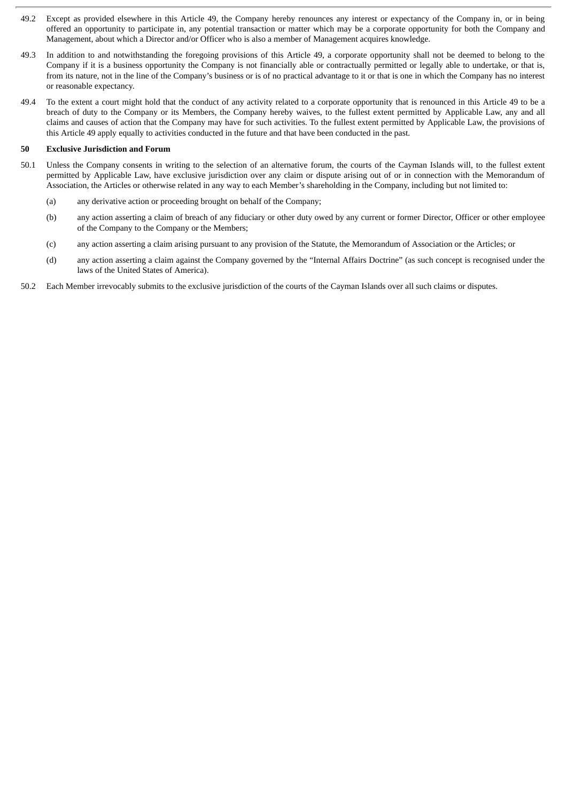- 49.2 Except as provided elsewhere in this Article 49, the Company hereby renounces any interest or expectancy of the Company in, or in being offered an opportunity to participate in, any potential transaction or matter which may be a corporate opportunity for both the Company and Management, about which a Director and/or Officer who is also a member of Management acquires knowledge.
- 49.3 In addition to and notwithstanding the foregoing provisions of this Article 49, a corporate opportunity shall not be deemed to belong to the Company if it is a business opportunity the Company is not financially able or contractually permitted or legally able to undertake, or that is, from its nature, not in the line of the Company's business or is of no practical advantage to it or that is one in which the Company has no interest or reasonable expectancy.
- 49.4 To the extent a court might hold that the conduct of any activity related to a corporate opportunity that is renounced in this Article 49 to be a breach of duty to the Company or its Members, the Company hereby waives, to the fullest extent permitted by Applicable Law, any and all claims and causes of action that the Company may have for such activities. To the fullest extent permitted by Applicable Law, the provisions of this Article 49 apply equally to activities conducted in the future and that have been conducted in the past.

#### **50 Exclusive Jurisdiction and Forum**

- 50.1 Unless the Company consents in writing to the selection of an alternative forum, the courts of the Cayman Islands will, to the fullest extent permitted by Applicable Law, have exclusive jurisdiction over any claim or dispute arising out of or in connection with the Memorandum of Association, the Articles or otherwise related in any way to each Member's shareholding in the Company, including but not limited to:
	- (a) any derivative action or proceeding brought on behalf of the Company;
	- (b) any action asserting a claim of breach of any fiduciary or other duty owed by any current or former Director, Officer or other employee of the Company to the Company or the Members;
	- (c) any action asserting a claim arising pursuant to any provision of the Statute, the Memorandum of Association or the Articles; or
	- (d) any action asserting a claim against the Company governed by the "Internal Affairs Doctrine" (as such concept is recognised under the laws of the United States of America).
- 50.2 Each Member irrevocably submits to the exclusive jurisdiction of the courts of the Cayman Islands over all such claims or disputes.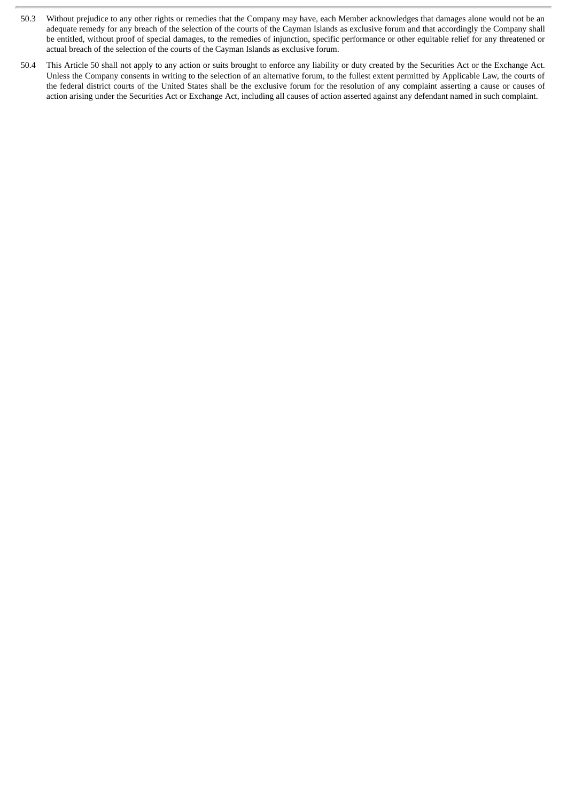- 50.3 Without prejudice to any other rights or remedies that the Company may have, each Member acknowledges that damages alone would not be an adequate remedy for any breach of the selection of the courts of the Cayman Islands as exclusive forum and that accordingly the Company shall be entitled, without proof of special damages, to the remedies of injunction, specific performance or other equitable relief for any threatened or actual breach of the selection of the courts of the Cayman Islands as exclusive forum.
- 50.4 This Article 50 shall not apply to any action or suits brought to enforce any liability or duty created by the Securities Act or the Exchange Act. Unless the Company consents in writing to the selection of an alternative forum, to the fullest extent permitted by Applicable Law, the courts of the federal district courts of the United States shall be the exclusive forum for the resolution of any complaint asserting a cause or causes of action arising under the Securities Act or Exchange Act, including all causes of action asserted against any defendant named in such complaint.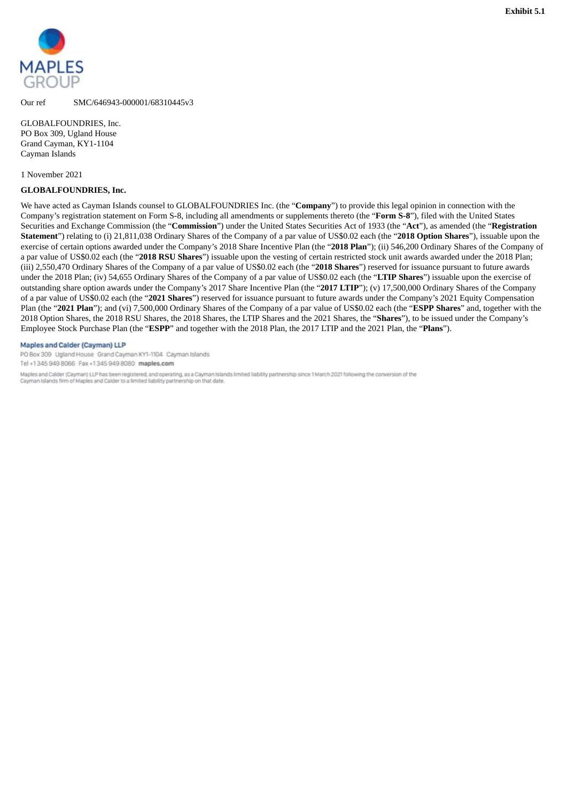<span id="page-55-0"></span>

Our ref SMC/646943-000001/68310445v3

GLOBALFOUNDRIES, Inc. PO Box 309, Ugland House Grand Cayman, KY1-1104 Cayman Islands

1 November 2021

#### **GLOBALFOUNDRIES, Inc.**

We have acted as Cayman Islands counsel to GLOBALFOUNDRIES Inc. (the "**Company**") to provide this legal opinion in connection with the Company's registration statement on Form S-8, including all amendments or supplements thereto (the "**Form S-8**"), filed with the United States Securities and Exchange Commission (the "**Commission**") under the United States Securities Act of 1933 (the "**Act**"), as amended (the "**Registration Statement**") relating to (i) 21,811,038 Ordinary Shares of the Company of a par value of US\$0.02 each (the "**2018 Option Shares**"), issuable upon the exercise of certain options awarded under the Company's 2018 Share Incentive Plan (the "**2018 Plan**"); (ii) 546,200 Ordinary Shares of the Company of a par value of US\$0.02 each (the "**2018 RSU Shares**") issuable upon the vesting of certain restricted stock unit awards awarded under the 2018 Plan; (iii) 2,550,470 Ordinary Shares of the Company of a par value of US\$0.02 each (the "**2018 Shares**") reserved for issuance pursuant to future awards under the 2018 Plan; (iv) 54,655 Ordinary Shares of the Company of a par value of US\$0.02 each (the "**LTIP Shares**") issuable upon the exercise of outstanding share option awards under the Company's 2017 Share Incentive Plan (the "**2017 LTIP**"); (v) 17,500,000 Ordinary Shares of the Company of a par value of US\$0.02 each (the "**2021 Shares**") reserved for issuance pursuant to future awards under the Company's 2021 Equity Compensation Plan (the "**2021 Plan**"); and (vi) 7,500,000 Ordinary Shares of the Company of a par value of US\$0.02 each (the "**ESPP Shares**" and, together with the 2018 Option Shares, the 2018 RSU Shares, the 2018 Shares, the LTIP Shares and the 2021 Shares, the "**Shares**"), to be issued under the Company's Employee Stock Purchase Plan (the "**ESPP**" and together with the 2018 Plan, the 2017 LTIP and the 2021 Plan, the "**Plans**").

#### Maples and Calder (Cayman) LLP

PO Box 309 Ugland House Grand Cayman KY1-1104 Cayman Islands Tel +1345 949 8066 Fax +1345 949 8080 maples.com

Maples and Calder (Cayman) LLP has been registered, and operating, as a Cayman Islands limited liability partnership since 1 March 2021 following the conversion of the Cayman Islands firm of Maples and Calder to a limited liability partnership on that date.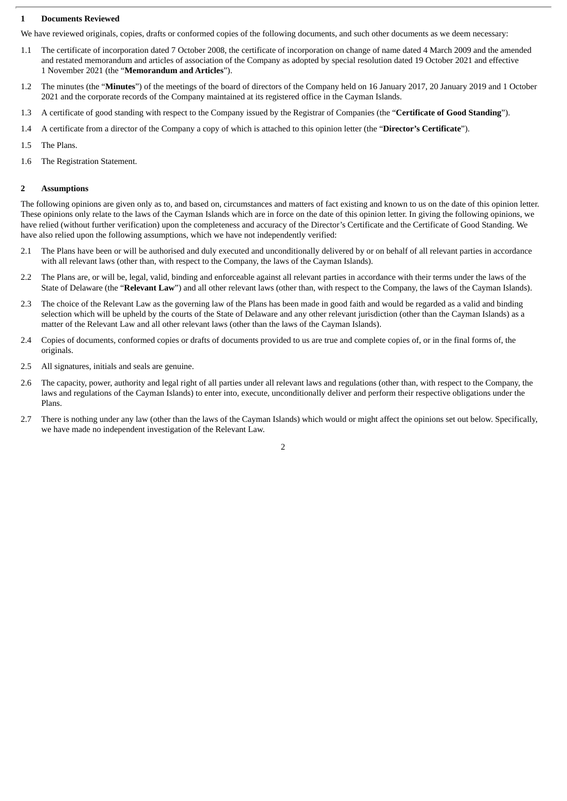#### **1 Documents Reviewed**

We have reviewed originals, copies, drafts or conformed copies of the following documents, and such other documents as we deem necessary:

- 1.1 The certificate of incorporation dated 7 October 2008, the certificate of incorporation on change of name dated 4 March 2009 and the amended and restated memorandum and articles of association of the Company as adopted by special resolution dated 19 October 2021 and effective 1 November 2021 (the "**Memorandum and Articles**").
- 1.2 The minutes (the "**Minutes**") of the meetings of the board of directors of the Company held on 16 January 2017, 20 January 2019 and 1 October 2021 and the corporate records of the Company maintained at its registered office in the Cayman Islands.
- 1.3 A certificate of good standing with respect to the Company issued by the Registrar of Companies (the "**Certificate of Good Standing**").
- 1.4 A certificate from a director of the Company a copy of which is attached to this opinion letter (the "**Director's Certificate**").
- 1.5 The Plans.
- 1.6 The Registration Statement.

#### **2 Assumptions**

The following opinions are given only as to, and based on, circumstances and matters of fact existing and known to us on the date of this opinion letter. These opinions only relate to the laws of the Cayman Islands which are in force on the date of this opinion letter. In giving the following opinions, we have relied (without further verification) upon the completeness and accuracy of the Director's Certificate and the Certificate of Good Standing. We have also relied upon the following assumptions, which we have not independently verified:

- 2.1 The Plans have been or will be authorised and duly executed and unconditionally delivered by or on behalf of all relevant parties in accordance with all relevant laws (other than, with respect to the Company, the laws of the Cayman Islands).
- 2.2 The Plans are, or will be, legal, valid, binding and enforceable against all relevant parties in accordance with their terms under the laws of the State of Delaware (the "**Relevant Law**") and all other relevant laws (other than, with respect to the Company, the laws of the Cayman Islands).
- 2.3 The choice of the Relevant Law as the governing law of the Plans has been made in good faith and would be regarded as a valid and binding selection which will be upheld by the courts of the State of Delaware and any other relevant jurisdiction (other than the Cayman Islands) as a matter of the Relevant Law and all other relevant laws (other than the laws of the Cayman Islands).
- 2.4 Copies of documents, conformed copies or drafts of documents provided to us are true and complete copies of, or in the final forms of, the originals.
- 2.5 All signatures, initials and seals are genuine.
- 2.6 The capacity, power, authority and legal right of all parties under all relevant laws and regulations (other than, with respect to the Company, the laws and regulations of the Cayman Islands) to enter into, execute, unconditionally deliver and perform their respective obligations under the Plans.
- 2.7 There is nothing under any law (other than the laws of the Cayman Islands) which would or might affect the opinions set out below. Specifically, we have made no independent investigation of the Relevant Law.

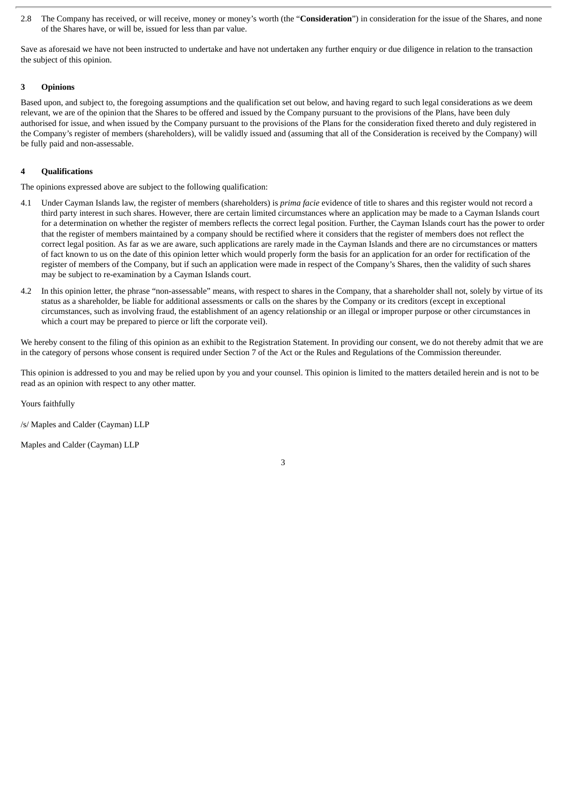2.8 The Company has received, or will receive, money or money's worth (the "**Consideration**") in consideration for the issue of the Shares, and none of the Shares have, or will be, issued for less than par value.

Save as aforesaid we have not been instructed to undertake and have not undertaken any further enquiry or due diligence in relation to the transaction the subject of this opinion.

#### **3 Opinions**

Based upon, and subject to, the foregoing assumptions and the qualification set out below, and having regard to such legal considerations as we deem relevant, we are of the opinion that the Shares to be offered and issued by the Company pursuant to the provisions of the Plans, have been duly authorised for issue, and when issued by the Company pursuant to the provisions of the Plans for the consideration fixed thereto and duly registered in the Company's register of members (shareholders), will be validly issued and (assuming that all of the Consideration is received by the Company) will be fully paid and non-assessable.

# **4 Qualifications**

The opinions expressed above are subject to the following qualification:

- 4.1 Under Cayman Islands law, the register of members (shareholders) is *prima facie* evidence of title to shares and this register would not record a third party interest in such shares. However, there are certain limited circumstances where an application may be made to a Cayman Islands court for a determination on whether the register of members reflects the correct legal position. Further, the Cayman Islands court has the power to order that the register of members maintained by a company should be rectified where it considers that the register of members does not reflect the correct legal position. As far as we are aware, such applications are rarely made in the Cayman Islands and there are no circumstances or matters of fact known to us on the date of this opinion letter which would properly form the basis for an application for an order for rectification of the register of members of the Company, but if such an application were made in respect of the Company's Shares, then the validity of such shares may be subject to re-examination by a Cayman Islands court.
- 4.2 In this opinion letter, the phrase "non-assessable" means, with respect to shares in the Company, that a shareholder shall not, solely by virtue of its status as a shareholder, be liable for additional assessments or calls on the shares by the Company or its creditors (except in exceptional circumstances, such as involving fraud, the establishment of an agency relationship or an illegal or improper purpose or other circumstances in which a court may be prepared to pierce or lift the corporate veil).

We hereby consent to the filing of this opinion as an exhibit to the Registration Statement. In providing our consent, we do not thereby admit that we are in the category of persons whose consent is required under Section 7 of the Act or the Rules and Regulations of the Commission thereunder.

This opinion is addressed to you and may be relied upon by you and your counsel. This opinion is limited to the matters detailed herein and is not to be read as an opinion with respect to any other matter.

Yours faithfully

/s/ Maples and Calder (Cayman) LLP

Maples and Calder (Cayman) LLP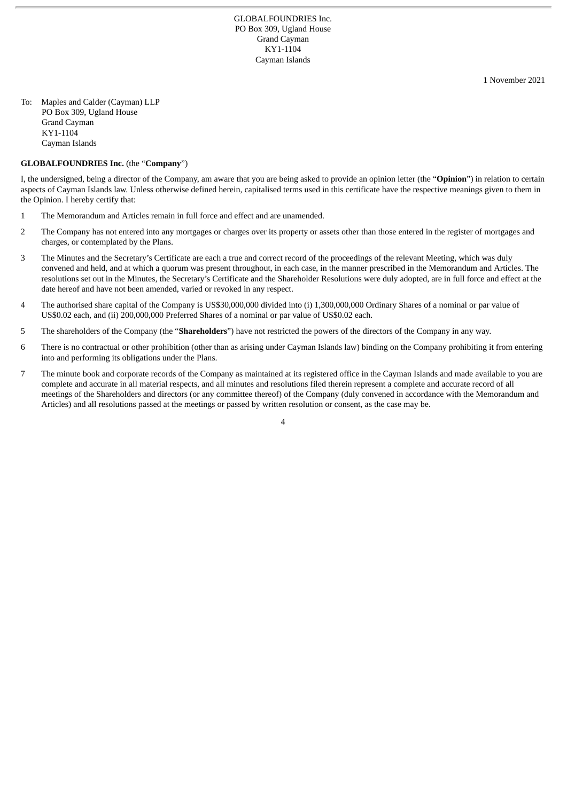1 November 2021

To: Maples and Calder (Cayman) LLP PO Box 309, Ugland House Grand Cayman KY1-1104 Cayman Islands

#### **GLOBALFOUNDRIES Inc.** (the "**Company**")

I, the undersigned, being a director of the Company, am aware that you are being asked to provide an opinion letter (the "**Opinion**") in relation to certain aspects of Cayman Islands law. Unless otherwise defined herein, capitalised terms used in this certificate have the respective meanings given to them in the Opinion. I hereby certify that:

- 1 The Memorandum and Articles remain in full force and effect and are unamended.
- 2 The Company has not entered into any mortgages or charges over its property or assets other than those entered in the register of mortgages and charges, or contemplated by the Plans.
- 3 The Minutes and the Secretary's Certificate are each a true and correct record of the proceedings of the relevant Meeting, which was duly convened and held, and at which a quorum was present throughout, in each case, in the manner prescribed in the Memorandum and Articles. The resolutions set out in the Minutes, the Secretary's Certificate and the Shareholder Resolutions were duly adopted, are in full force and effect at the date hereof and have not been amended, varied or revoked in any respect.
- 4 The authorised share capital of the Company is US\$30,000,000 divided into (i) 1,300,000,000 Ordinary Shares of a nominal or par value of US\$0.02 each, and (ii) 200,000,000 Preferred Shares of a nominal or par value of US\$0.02 each.
- 5 The shareholders of the Company (the "**Shareholders**") have not restricted the powers of the directors of the Company in any way.
- 6 There is no contractual or other prohibition (other than as arising under Cayman Islands law) binding on the Company prohibiting it from entering into and performing its obligations under the Plans.
- 7 The minute book and corporate records of the Company as maintained at its registered office in the Cayman Islands and made available to you are complete and accurate in all material respects, and all minutes and resolutions filed therein represent a complete and accurate record of all meetings of the Shareholders and directors (or any committee thereof) of the Company (duly convened in accordance with the Memorandum and Articles) and all resolutions passed at the meetings or passed by written resolution or consent, as the case may be.

4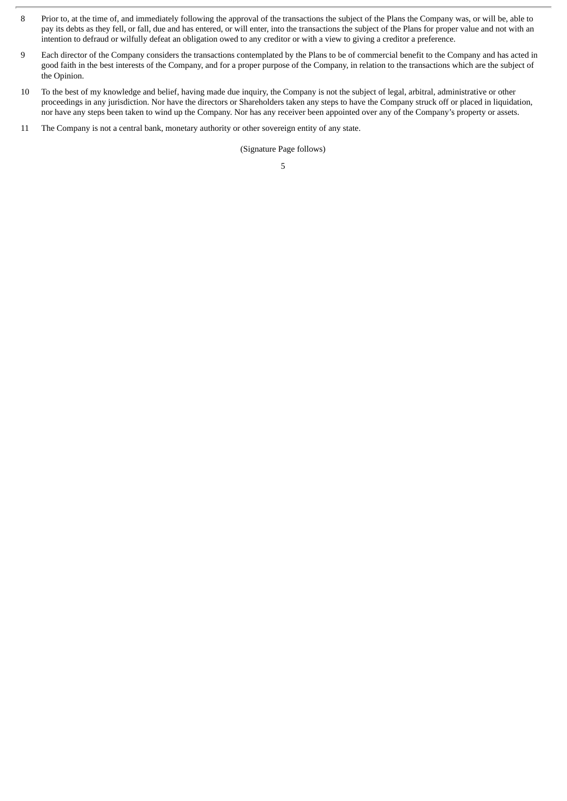- 8 Prior to, at the time of, and immediately following the approval of the transactions the subject of the Plans the Company was, or will be, able to pay its debts as they fell, or fall, due and has entered, or will enter, into the transactions the subject of the Plans for proper value and not with an intention to defraud or wilfully defeat an obligation owed to any creditor or with a view to giving a creditor a preference.
- 9 Each director of the Company considers the transactions contemplated by the Plans to be of commercial benefit to the Company and has acted in good faith in the best interests of the Company, and for a proper purpose of the Company, in relation to the transactions which are the subject of the Opinion.
- 10 To the best of my knowledge and belief, having made due inquiry, the Company is not the subject of legal, arbitral, administrative or other proceedings in any jurisdiction. Nor have the directors or Shareholders taken any steps to have the Company struck off or placed in liquidation, nor have any steps been taken to wind up the Company. Nor has any receiver been appointed over any of the Company's property or assets.
- 11 The Company is not a central bank, monetary authority or other sovereign entity of any state.

(Signature Page follows)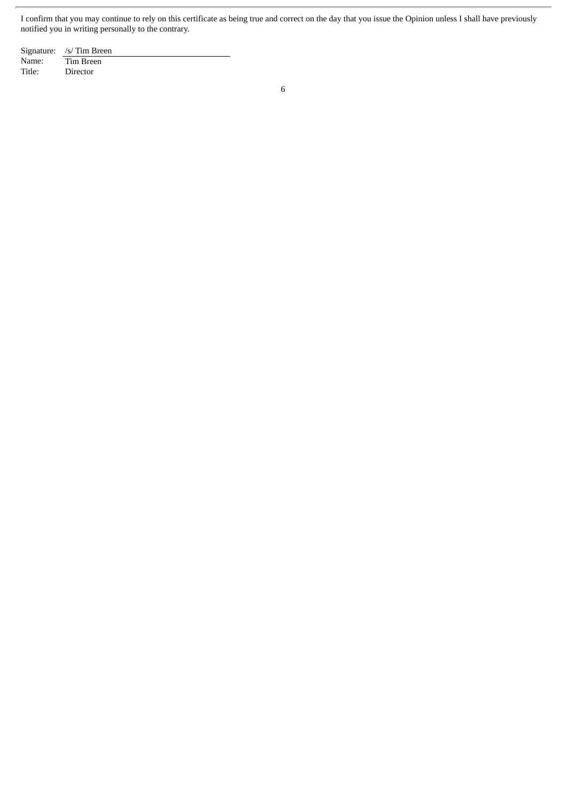I confirm that you may continue to rely on this certificate as being true and correct on the day that you issue the Opinion unless I shall have previously notified you in writing personally to the contrary.

|        | Signature: /s/ Tim Breen |
|--------|--------------------------|
| Name:  | Tim Breen                |
| Title: | Director                 |